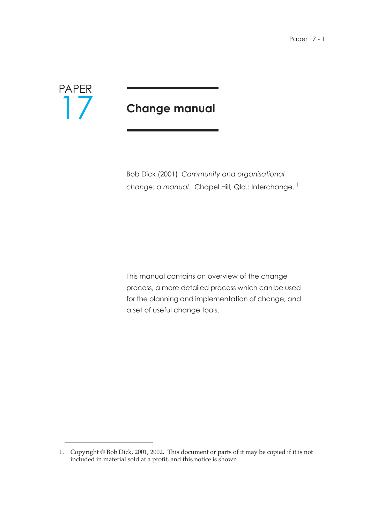

# **Change manual**

Bob Dick (2001) *Community and organisational change: a manual*. Chapel Hill, Qld.: Interchange. 1

This manual contains an overview of the change process, a more detailed process which can be used for the planning and implementation of change, and a set of useful change tools.

<sup>1.</sup> Copyright © Bob Dick, 2001, 2002. This document or parts of it may be copied if it is not included in material sold at a profit, and this notice is shown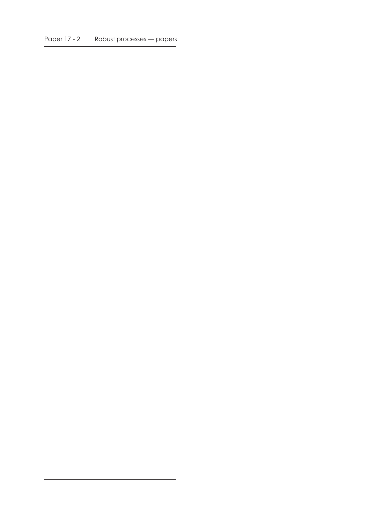Paper 17 - 2 Robust processes — papers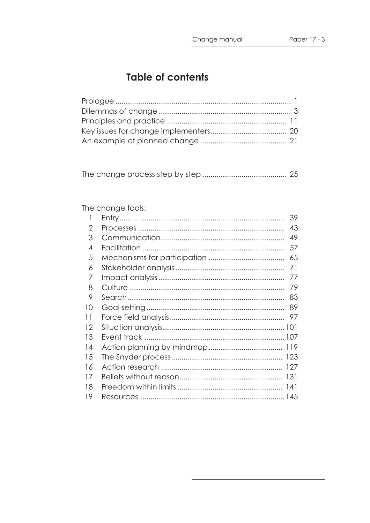## **Table of contents**

### The change tools:

|                | 39 |
|----------------|----|
| 2              | 43 |
| 3              | 49 |
| $\overline{4}$ | 57 |
| 5              | 65 |
| 6              | 71 |
| 7              | 77 |
| 8              | 79 |
| 9              | 83 |
| 10             | 89 |
| 11             | 97 |
| 12             |    |
| 13             |    |
| 14             |    |
| 15             |    |
| 16             |    |
| 17             |    |
| 18             |    |
| 19             |    |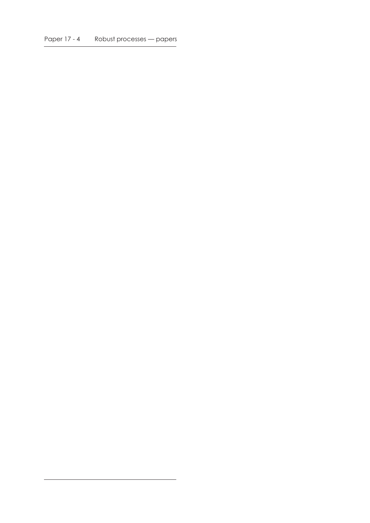Paper 17 - 4 Robust processes — papers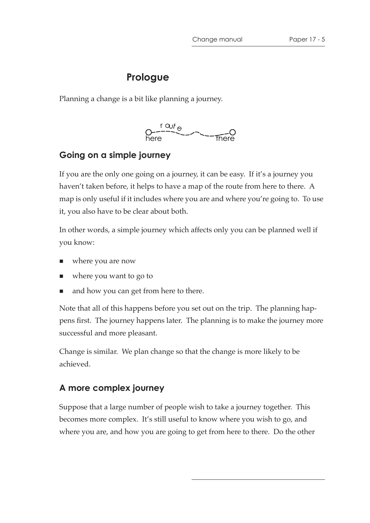## **Prologue**

Planning a change is a bit like planning a journey.



## **Going on a simple journey**

If you are the only one going on a journey, it can be easy. If it's a journey you haven't taken before, it helps to have a map of the route from here to there. A map is only useful if it includes where you are and where you're going to. To use it, you also have to be clear about both.

In other words, a simple journey which affects only you can be planned well if you know:

- where you are now
- where you want to go to
- **a** and how you can get from here to there.

Note that all of this happens before you set out on the trip. The planning happens first. The journey happens later. The planning is to make the journey more successful and more pleasant.

Change is similar. We plan change so that the change is more likely to be achieved.

## **A more complex journey**

Suppose that a large number of people wish to take a journey together. This becomes more complex. It's still useful to know where you wish to go, and where you are, and how you are going to get from here to there. Do the other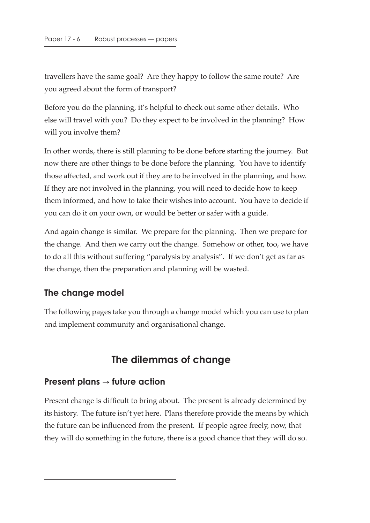travellers have the same goal? Are they happy to follow the same route? Are you agreed about the form of transport?

Before you do the planning, it's helpful to check out some other details. Who else will travel with you? Do they expect to be involved in the planning? How will you involve them?

In other words, there is still planning to be done before starting the journey. But now there are other things to be done before the planning. You have to identify those affected, and work out if they are to be involved in the planning, and how. If they are not involved in the planning, you will need to decide how to keep them informed, and how to take their wishes into account. You have to decide if you can do it on your own, or would be better or safer with a guide.

And again change is similar. We prepare for the planning. Then we prepare for the change. And then we carry out the change. Somehow or other, too, we have to do all this without suffering "paralysis by analysis". If we don't get as far as the change, then the preparation and planning will be wasted.

### **The change model**

The following pages take you through a change model which you can use to plan and implement community and organisational change.

### **The dilemmas of change**

#### **Present plans** → **future action**

Present change is difficult to bring about. The present is already determined by its history. The future isn't yet here. Plans therefore provide the means by which the future can be influenced from the present. If people agree freely, now, that they will do something in the future, there is a good chance that they will do so.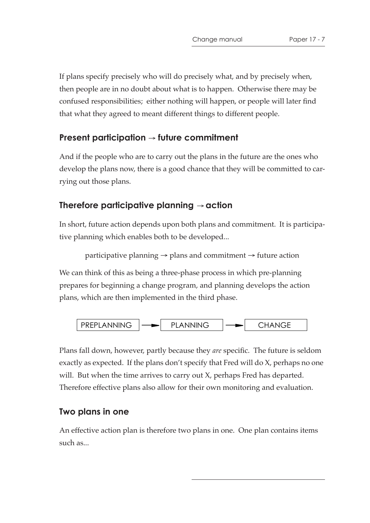If plans specify precisely who will do precisely what, and by precisely when, then people are in no doubt about what is to happen. Otherwise there may be confused responsibilities; either nothing will happen, or people will later find that what they agreed to meant different things to different people.

### **Present participation** → **future commitment**

And if the people who are to carry out the plans in the future are the ones who develop the plans now, there is a good chance that they will be committed to carrying out those plans.

### **Therefore participative planning** → **action**

In short, future action depends upon both plans and commitment. It is participative planning which enables both to be developed...

participative planning  $\rightarrow$  plans and commitment  $\rightarrow$  future action

We can think of this as being a three-phase process in which pre-planning prepares for beginning a change program, and planning develops the action plans, which are then implemented in the third phase.



Plans fall down, however, partly because they *are* specific. The future is seldom exactly as expected. If the plans don't specify that Fred will do X, perhaps no one will. But when the time arrives to carry out X, perhaps Fred has departed. Therefore effective plans also allow for their own monitoring and evaluation.

### **Two plans in one**

An effective action plan is therefore two plans in one. One plan contains items such as...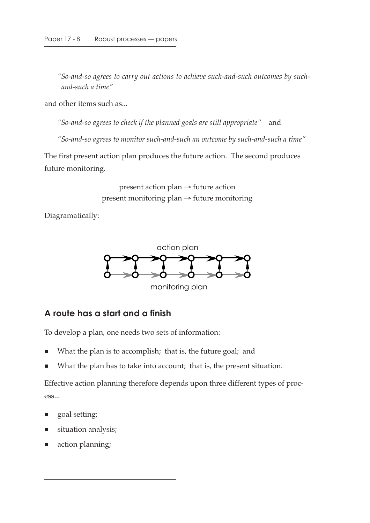*"So-and-so agrees to carry out actions to achieve such-and-such outcomes by suchand-such a time"*

and other items such as...

*"So-and-so agrees to check if the planned goals are still appropriate"* and

*"So-and-so agrees to monitor such-and-such an outcome by such-and-such a time"*

The first present action plan produces the future action. The second produces future monitoring.

> present action plan  $\rightarrow$  future action present monitoring plan  $\rightarrow$  future monitoring

Diagramatically:



monitoring plan

#### **A route has a start and a finish**

To develop a plan, one needs two sets of information:

- What the plan is to accomplish; that is, the future goal; and
- What the plan has to take into account; that is, the present situation.

Effective action planning therefore depends upon three different types of process...

- **goal setting;**
- **situation analysis;**
- action planning;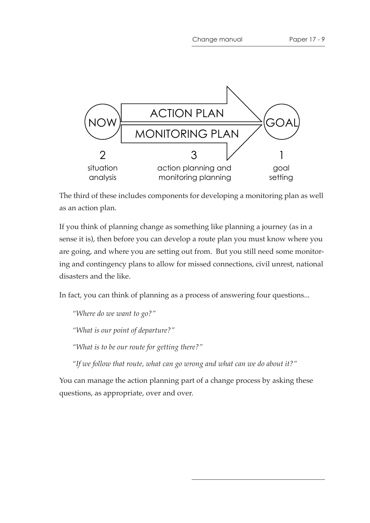

The third of these includes components for developing a monitoring plan as well as an action plan.

If you think of planning change as something like planning a journey (as in a sense it is), then before you can develop a route plan you must know where you are going, and where you are setting out from. But you still need some monitoring and contingency plans to allow for missed connections, civil unrest, national disasters and the like.

In fact, you can think of planning as a process of answering four questions...

```
"Where do we want to go?"
"What is our point of departure?"
"What is to be our route for getting there?"
"If we follow that route, what can go wrong and what can we do about it?"
```
You can manage the action planning part of a change process by asking these questions, as appropriate, over and over.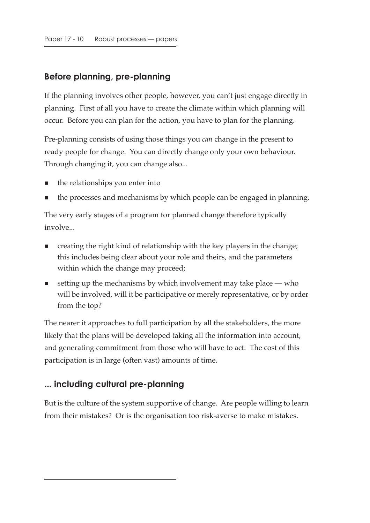### **Before planning, pre-planning**

If the planning involves other people, however, you can't just engage directly in planning. First of all you have to create the climate within which planning will occur. Before you can plan for the action, you have to plan for the planning.

Pre-planning consists of using those things you *can* change in the present to ready people for change. You can directly change only your own behaviour. Through changing it, you can change also...

- the relationships you enter into
- the processes and mechanisms by which people can be engaged in planning.

The very early stages of a program for planned change therefore typically involve...

- **EXEDENT** creating the right kind of relationship with the key players in the change; this includes being clear about your role and theirs, and the parameters within which the change may proceed;
- $\Box$  setting up the mechanisms by which involvement may take place who will be involved, will it be participative or merely representative, or by order from the top?

The nearer it approaches to full participation by all the stakeholders, the more likely that the plans will be developed taking all the information into account, and generating commitment from those who will have to act. The cost of this participation is in large (often vast) amounts of time.

### **... including cultural pre-planning**

But is the culture of the system supportive of change. Are people willing to learn from their mistakes? Or is the organisation too risk-averse to make mistakes.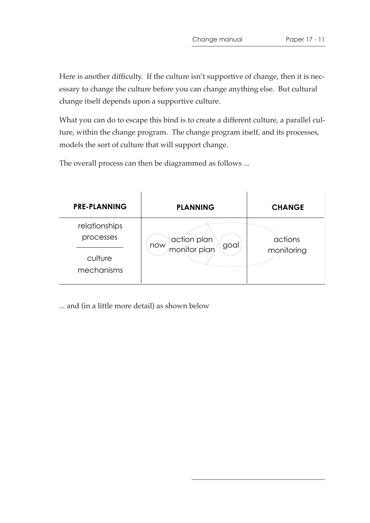Here is another difficulty. If the culture isn't supportive of change, then it is necessary to change the culture before you can change anything else. But cultural change itself depends upon a supportive culture.

What you can do to escape this bind is to create a different culture, a parallel culture, within the change program. The change program itself, and its processes, models the sort of culture that will support change.

The overall process can then be diagrammed as follows ...



... and (in a little more detail) as shown below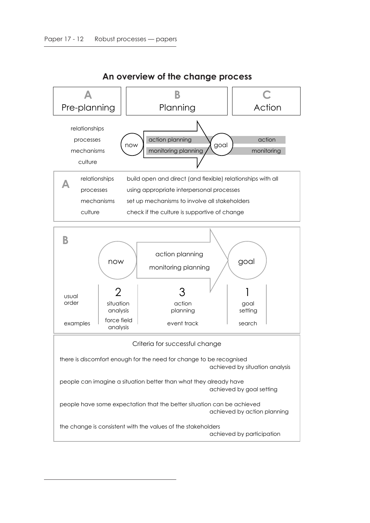

**An overview of the change process**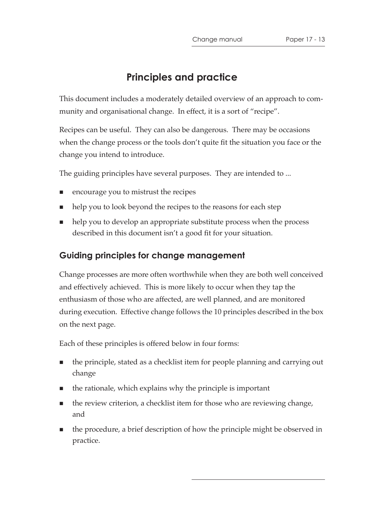## **Principles and practice**

This document includes a moderately detailed overview of an approach to community and organisational change. In effect, it is a sort of "recipe".

Recipes can be useful. They can also be dangerous. There may be occasions when the change process or the tools don't quite fit the situation you face or the change you intend to introduce.

The guiding principles have several purposes. They are intended to ...

- encourage you to mistrust the recipes
- help you to look beyond the recipes to the reasons for each step
- help you to develop an appropriate substitute process when the process described in this document isn't a good fit for your situation.

### **Guiding principles for change management**

Change processes are more often worthwhile when they are both well conceived and effectively achieved. This is more likely to occur when they tap the enthusiasm of those who are affected, are well planned, and are monitored during execution. Effective change follows the 10 principles described in the box on the next page.

Each of these principles is offered below in four forms:

- the principle, stated as a checklist item for people planning and carrying out change
- the rationale, which explains why the principle is important
- $\blacksquare$  the review criterion, a checklist item for those who are reviewing change, and
- **the procedure, a brief description of how the principle might be observed in** practice.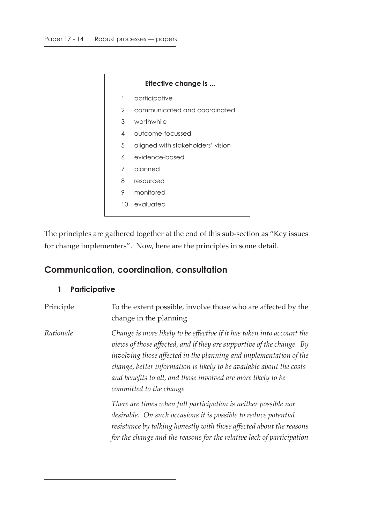|                | Effective change is               |
|----------------|-----------------------------------|
| 1              | participative                     |
| $\overline{2}$ | communicated and coordinated      |
| 3              | worthwhile                        |
| 4              | outcome-focussed                  |
| 5              | aligned with stakeholders' vision |
| 6              | evidence-based                    |
| 7              | planned                           |
| 8              | resourced                         |
| 9              | monitored                         |
| 10. I          | evaluated                         |
|                |                                   |

The principles are gathered together at the end of this sub-section as "Key issues for change implementers". Now, here are the principles in some detail.

## **Communication, coordination, consultation**

#### **1 Participative**

| Principle | To the extent possible, involve those who are affected by the<br>change in the planning                                                                                                                                                                                                                                                                                                   |
|-----------|-------------------------------------------------------------------------------------------------------------------------------------------------------------------------------------------------------------------------------------------------------------------------------------------------------------------------------------------------------------------------------------------|
| Rationale | Change is more likely to be effective if it has taken into account the<br>views of those affected, and if they are supportive of the change. By<br>involving those affected in the planning and implementation of the<br>change, better information is likely to be available about the costs<br>and benefits to all, and those involved are more likely to be<br>committed to the change |
|           | There are times when full participation is neither possible nor<br>desirable. On such occasions it is possible to reduce potential<br>resistance by talking honestly with those affected about the reasons<br>for the change and the reasons for the relative lack of participation                                                                                                       |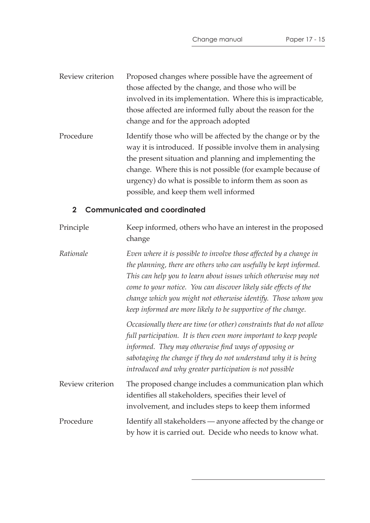Review criterion Proposed changes where possible have the agreement of those affected by the change, and those who will be involved in its implementation. Where this is impracticable, those affected are informed fully about the reason for the change and for the approach adopted Procedure Identify those who will be affected by the change or by the way it is introduced. If possible involve them in analysing the present situation and planning and implementing the change. Where this is not possible (for example because of urgency) do what is possible to inform them as soon as

#### **2 Communicated and coordinated**

Principle Keep informed, others who have an interest in the proposed change

possible, and keep them well informed

*Rationale Even where it is possible to involve those affected by a change in the planning, there are others who can usefully be kept informed. This can help you to learn about issues which otherwise may not come to your notice. You can discover likely side effects of the change which you might not otherwise identify. Those whom you keep informed are more likely to be supportive of the change.*

> *Occasionally there are time (or other) constraints that do not allow full participation. It is then even more important to keep people informed. They may otherwise find ways of opposing or sabotaging the change if they do not understand why it is being introduced and why greater participation is not possible*

Review criterion The proposed change includes a communication plan which identifies all stakeholders, specifies their level of involvement, and includes steps to keep them informed

Procedure Identify all stakeholders — anyone affected by the change or by how it is carried out. Decide who needs to know what.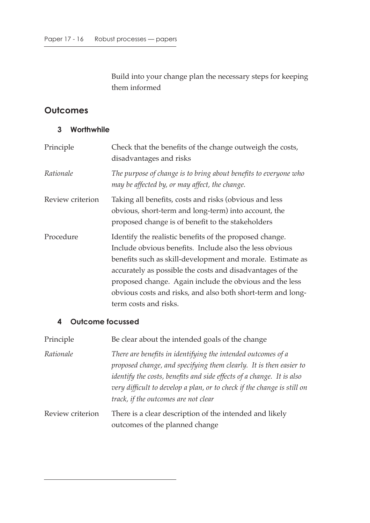Build into your change plan the necessary steps for keeping them informed

### **Outcomes**

#### **3 Worthwhile**

| Principle        | Check that the benefits of the change outweigh the costs,<br>disadvantages and risks                                                                                                                                                                                                                                                                                                             |
|------------------|--------------------------------------------------------------------------------------------------------------------------------------------------------------------------------------------------------------------------------------------------------------------------------------------------------------------------------------------------------------------------------------------------|
| Rationale        | The purpose of change is to bring about benefits to everyone who<br>may be affected by, or may affect, the change.                                                                                                                                                                                                                                                                               |
| Review criterion | Taking all benefits, costs and risks (obvious and less<br>obvious, short-term and long-term) into account, the<br>proposed change is of benefit to the stakeholders                                                                                                                                                                                                                              |
| Procedure        | Identify the realistic benefits of the proposed change.<br>Include obvious benefits. Include also the less obvious<br>benefits such as skill-development and morale. Estimate as<br>accurately as possible the costs and disadvantages of the<br>proposed change. Again include the obvious and the less<br>obvious costs and risks, and also both short-term and long-<br>term costs and risks. |

#### **4 Outcome focussed**

| Principle        | Be clear about the intended goals of the change                                                                                                                                                                                                                                                                                       |
|------------------|---------------------------------------------------------------------------------------------------------------------------------------------------------------------------------------------------------------------------------------------------------------------------------------------------------------------------------------|
| Rationale        | There are benefits in identifying the intended outcomes of a<br>proposed change, and specifying them clearly. It is then easier to<br><i>identify the costs, benefits and side effects of a change. It is also</i><br>very difficult to develop a plan, or to check if the change is still on<br>track, if the outcomes are not clear |
| Review criterion | There is a clear description of the intended and likely<br>outcomes of the planned change                                                                                                                                                                                                                                             |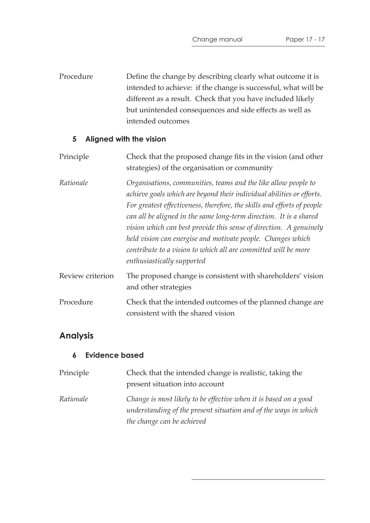Procedure Define the change by describing clearly what outcome it is intended to achieve: if the change is successful, what will be different as a result. Check that you have included likely but unintended consequences and side effects as well as intended outcomes

#### **5 Aligned with the vision**

| Principle        | Check that the proposed change fits in the vision (and other<br>strategies) of the organisation or community                                                                                                                                                                                                                                                                                                                                                                                                                  |
|------------------|-------------------------------------------------------------------------------------------------------------------------------------------------------------------------------------------------------------------------------------------------------------------------------------------------------------------------------------------------------------------------------------------------------------------------------------------------------------------------------------------------------------------------------|
| Rationale        | Organisations, communities, teams and the like allow people to<br>achieve goals which are beyond their individual abilities or efforts.<br>For greatest effectiveness, therefore, the skills and efforts of people<br>can all be aligned in the same long-term direction. It is a shared<br>vision which can best provide this sense of direction. A genuinely<br>held vision can energise and motivate people. Changes which<br>contribute to a vision to which all are committed will be more<br>enthusiastically supported |
| Review criterion | The proposed change is consistent with shareholders' vision<br>and other strategies                                                                                                                                                                                                                                                                                                                                                                                                                                           |
| Procedure        | Check that the intended outcomes of the planned change are<br>consistent with the shared vision                                                                                                                                                                                                                                                                                                                                                                                                                               |

### **Analysis**

#### **6 Evidence based**

| Principle | Check that the intended change is realistic, taking the                                                                             |
|-----------|-------------------------------------------------------------------------------------------------------------------------------------|
|           | present situation into account                                                                                                      |
| Rationale | Change is most likely to be effective when it is based on a good<br>understanding of the present situation and of the ways in which |
|           | the change can be achieved                                                                                                          |
|           |                                                                                                                                     |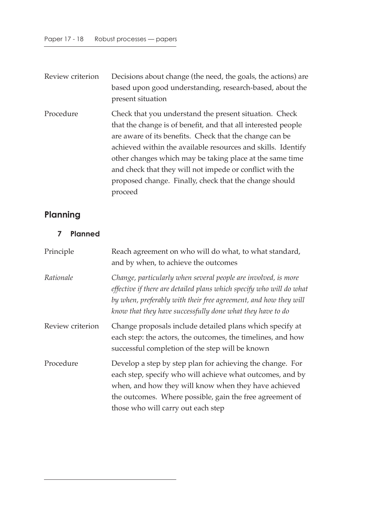| Review criterion | Decisions about change (the need, the goals, the actions) are |
|------------------|---------------------------------------------------------------|
|                  | based upon good understanding, research-based, about the      |
|                  | present situation                                             |

Procedure Check that you understand the present situation. Check that the change is of benefit, and that all interested people are aware of its benefits. Check that the change can be achieved within the available resources and skills. Identify other changes which may be taking place at the same time and check that they will not impede or conflict with the proposed change. Finally, check that the change should proceed

### **Planning**

#### **7 Planned**

| Principle        | Reach agreement on who will do what, to what standard,<br>and by when, to achieve the outcomes                                                                                                                                                                                   |
|------------------|----------------------------------------------------------------------------------------------------------------------------------------------------------------------------------------------------------------------------------------------------------------------------------|
| Rationale        | Change, particularly when several people are involved, is more<br>effective if there are detailed plans which specify who will do what<br>by when, preferably with their free agreement, and how they will<br>know that they have successfully done what they have to do         |
| Review criterion | Change proposals include detailed plans which specify at<br>each step: the actors, the outcomes, the timelines, and how<br>successful completion of the step will be known                                                                                                       |
| Procedure        | Develop a step by step plan for achieving the change. For<br>each step, specify who will achieve what outcomes, and by<br>when, and how they will know when they have achieved<br>the outcomes. Where possible, gain the free agreement of<br>those who will carry out each step |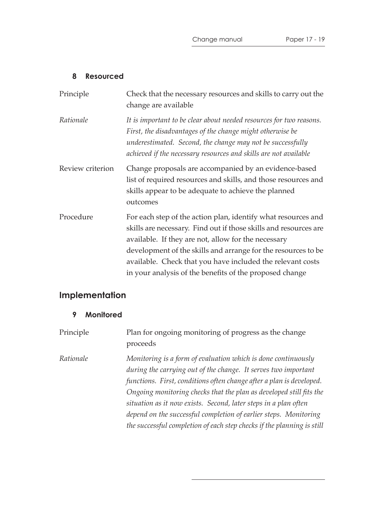#### **8 Resourced**

| Principle        | Check that the necessary resources and skills to carry out the<br>change are available                                                                                                                                                                                                                                                                                             |
|------------------|------------------------------------------------------------------------------------------------------------------------------------------------------------------------------------------------------------------------------------------------------------------------------------------------------------------------------------------------------------------------------------|
| Rationale        | It is important to be clear about needed resources for two reasons.<br>First, the disadvantages of the change might otherwise be<br>underestimated. Second, the change may not be successfully<br>achieved if the necessary resources and skills are not available                                                                                                                 |
| Review criterion | Change proposals are accompanied by an evidence-based<br>list of required resources and skills, and those resources and<br>skills appear to be adequate to achieve the planned<br>outcomes                                                                                                                                                                                         |
| Procedure        | For each step of the action plan, identify what resources and<br>skills are necessary. Find out if those skills and resources are<br>available. If they are not, allow for the necessary<br>development of the skills and arrange for the resources to be<br>available. Check that you have included the relevant costs<br>in your analysis of the benefits of the proposed change |

## **Implementation**

#### **9 Monitored**

| Principle | Plan for ongoing monitoring of progress as the change<br>proceeds                                                                                                                                                                                                                                                                                                                                                                                                                               |
|-----------|-------------------------------------------------------------------------------------------------------------------------------------------------------------------------------------------------------------------------------------------------------------------------------------------------------------------------------------------------------------------------------------------------------------------------------------------------------------------------------------------------|
| Rationale | Monitoring is a form of evaluation which is done continuously<br>during the carrying out of the change. It serves two important<br>functions. First, conditions often change after a plan is developed.<br>Ongoing monitoring checks that the plan as developed still fits the<br>situation as it now exists. Second, later steps in a plan often<br>depend on the successful completion of earlier steps. Monitoring<br>the successful completion of each step checks if the planning is still |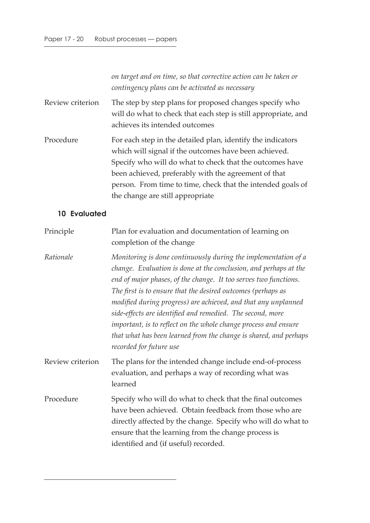*on target and on time, so that corrective action can be taken or contingency plans can be activated as necessary*

- Review criterion The step by step plans for proposed changes specify who will do what to check that each step is still appropriate, and achieves its intended outcomes
- Procedure For each step in the detailed plan, identify the indicators which will signal if the outcomes have been achieved. Specify who will do what to check that the outcomes have been achieved, preferably with the agreement of that person. From time to time, check that the intended goals of the change are still appropriate

#### **10 Evaluated**

| Principle        | Plan for evaluation and documentation of learning on<br>completion of the change                                                                                                                                                                                                                                                                                                                                                                                                                                                                                          |
|------------------|---------------------------------------------------------------------------------------------------------------------------------------------------------------------------------------------------------------------------------------------------------------------------------------------------------------------------------------------------------------------------------------------------------------------------------------------------------------------------------------------------------------------------------------------------------------------------|
| Rationale        | Monitoring is done continuously during the implementation of a<br>change. Evaluation is done at the conclusion, and perhaps at the<br>end of major phases, of the change. It too serves two functions.<br>The first is to ensure that the desired outcomes (perhaps as<br>modified during progress) are achieved, and that any unplanned<br>side-effects are identified and remedied. The second, more<br>important, is to reflect on the whole change process and ensure<br>that what has been learned from the change is shared, and perhaps<br>recorded for future use |
| Review criterion | The plans for the intended change include end-of-process<br>evaluation, and perhaps a way of recording what was<br>learned                                                                                                                                                                                                                                                                                                                                                                                                                                                |
| Procedure        | Specify who will do what to check that the final outcomes<br>have been achieved. Obtain feedback from those who are<br>directly affected by the change. Specify who will do what to<br>ensure that the learning from the change process is<br>identified and (if useful) recorded.                                                                                                                                                                                                                                                                                        |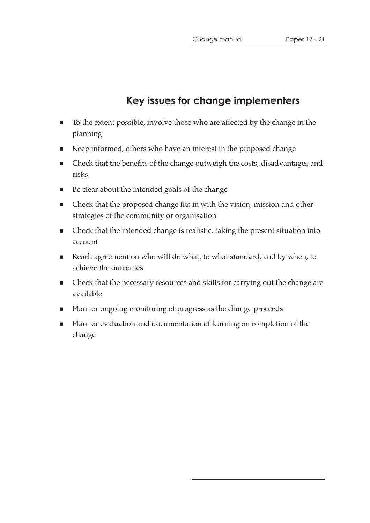## **Key issues for change implementers**

- To the extent possible, involve those who are affected by the change in the planning
- Keep informed, others who have an interest in the proposed change
- Check that the benefits of the change outweigh the costs, disadvantages and risks
- Be clear about the intended goals of the change
- Check that the proposed change fits in with the vision, mission and other strategies of the community or organisation
- Check that the intended change is realistic, taking the present situation into account
- Reach agreement on who will do what, to what standard, and by when, to achieve the outcomes
- Check that the necessary resources and skills for carrying out the change are available
- Plan for ongoing monitoring of progress as the change proceeds
- Plan for evaluation and documentation of learning on completion of the change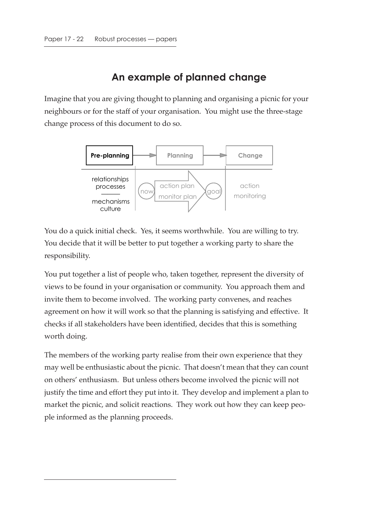## **An example of planned change**

Imagine that you are giving thought to planning and organising a picnic for your neighbours or for the staff of your organisation. You might use the three-stage change process of this document to do so.



You do a quick initial check. Yes, it seems worthwhile. You are willing to try. You decide that it will be better to put together a working party to share the responsibility.

You put together a list of people who, taken together, represent the diversity of views to be found in your organisation or community. You approach them and invite them to become involved. The working party convenes, and reaches agreement on how it will work so that the planning is satisfying and effective. It checks if all stakeholders have been identified, decides that this is something worth doing.

The members of the working party realise from their own experience that they may well be enthusiastic about the picnic. That doesn't mean that they can count on others' enthusiasm. But unless others become involved the picnic will not justify the time and effort they put into it. They develop and implement a plan to market the picnic, and solicit reactions. They work out how they can keep people informed as the planning proceeds.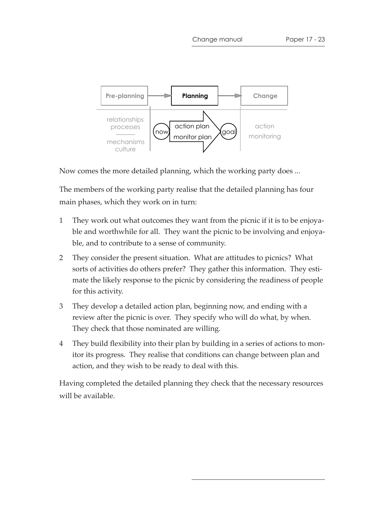

Now comes the more detailed planning, which the working party does ...

The members of the working party realise that the detailed planning has four main phases, which they work on in turn:

- 1 They work out what outcomes they want from the picnic if it is to be enjoyable and worthwhile for all. They want the picnic to be involving and enjoyable, and to contribute to a sense of community.
- 2 They consider the present situation. What are attitudes to picnics? What sorts of activities do others prefer? They gather this information. They estimate the likely response to the picnic by considering the readiness of people for this activity.
- 3 They develop a detailed action plan, beginning now, and ending with a review after the picnic is over. They specify who will do what, by when. They check that those nominated are willing.
- 4 They build flexibility into their plan by building in a series of actions to monitor its progress. They realise that conditions can change between plan and action, and they wish to be ready to deal with this.

Having completed the detailed planning they check that the necessary resources will be available.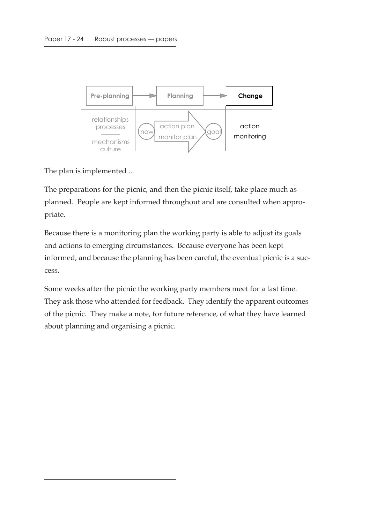

The plan is implemented ...

The preparations for the picnic, and then the picnic itself, take place much as planned. People are kept informed throughout and are consulted when appropriate.

Because there is a monitoring plan the working party is able to adjust its goals and actions to emerging circumstances. Because everyone has been kept informed, and because the planning has been careful, the eventual picnic is a success.

Some weeks after the picnic the working party members meet for a last time. They ask those who attended for feedback. They identify the apparent outcomes of the picnic. They make a note, for future reference, of what they have learned about planning and organising a picnic.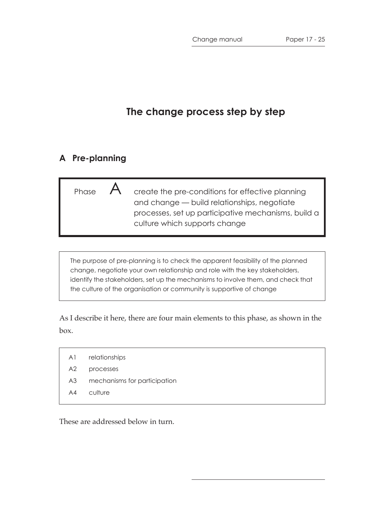## **The change process step by step**

### **A Pre-planning**

| Phase A<br>create the pre-conditions for effective planning<br>and change — build relationships, negotiate<br>processes, set up participative mechanisms, build a<br>culture which supports change |  |
|----------------------------------------------------------------------------------------------------------------------------------------------------------------------------------------------------|--|
|----------------------------------------------------------------------------------------------------------------------------------------------------------------------------------------------------|--|

The purpose of pre-planning is to check the apparent feasibility of the planned change, negotiate your own relationship and role with the key stakeholders, identify the stakeholders, set up the mechanisms to involve them, and check that the culture of the organisation or community is supportive of change

As I describe it here, there are four main elements to this phase, as shown in the box.

- A1 relationships
- A2 processes
- A3 mechanisms for participation
- A4 culture

These are addressed below in turn.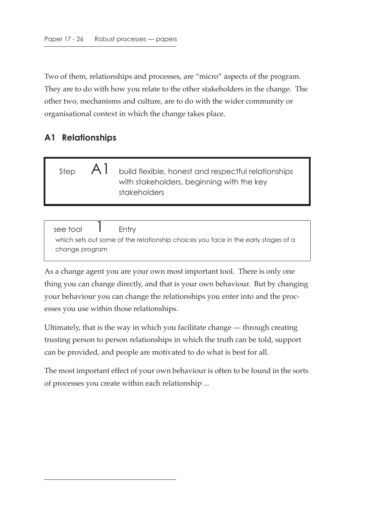Two of them, relationships and processes, are "micro" aspects of the program. They are to do with how you relate to the other stakeholders in the change. The other two, mechanisms and culture, are to do with the wider community or organisational context in which the change takes place.

### **A1 Relationships**



| see tool       | Entry                                                                             |
|----------------|-----------------------------------------------------------------------------------|
|                | which sets out some of the relationship choices you face in the early stages of a |
| change program |                                                                                   |

As a change agent you are your own most important tool. There is only one thing you can change directly, and that is your own behaviour. But by changing your behaviour you can change the relationships you enter into and the processes you use within those relationships.

Ultimately, that is the way in which you facilitate change — through creating trusting person to person relationships in which the truth can be told, support can be provided, and people are motivated to do what is best for all.

The most important effect of your own behaviour is often to be found in the sorts of processes you create within each relationship ...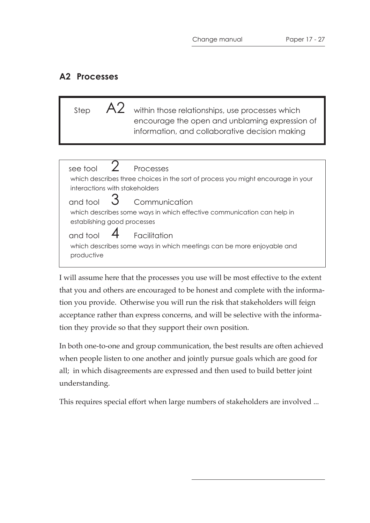### **A2 Processes**

| Step                                                | within those relationships, use processes which<br>encourage the open and unblaming expression of<br>information, and collaborative decision making                                                                        |
|-----------------------------------------------------|----------------------------------------------------------------------------------------------------------------------------------------------------------------------------------------------------------------------------|
|                                                     |                                                                                                                                                                                                                            |
| see tool<br>and tool<br>establishing good processes | Processes<br>which describes three choices in the sort of process you might encourage in your<br>interactions with stakeholders<br>Communication<br>which describes some ways in which effective communication can help in |
| and tool<br>productive                              | Facilitation<br>which describes some ways in which meetings can be more enjoyable and                                                                                                                                      |

I will assume here that the processes you use will be most effective to the extent that you and others are encouraged to be honest and complete with the information you provide. Otherwise you will run the risk that stakeholders will feign acceptance rather than express concerns, and will be selective with the information they provide so that they support their own position.

In both one-to-one and group communication, the best results are often achieved when people listen to one another and jointly pursue goals which are good for all; in which disagreements are expressed and then used to build better joint understanding.

This requires special effort when large numbers of stakeholders are involved ...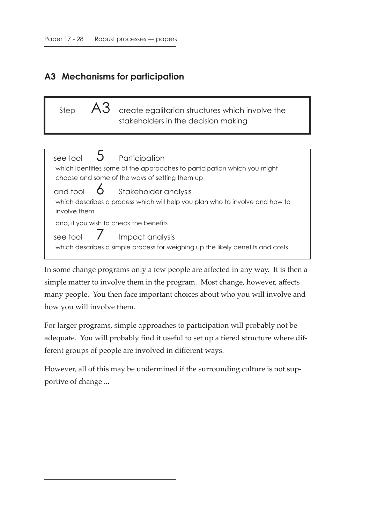### **A3 Mechanisms for participation**

| Step         | create egalitarian structures which involve the<br>stakeholders in the decision making                                                                                                                                                                                 |
|--------------|------------------------------------------------------------------------------------------------------------------------------------------------------------------------------------------------------------------------------------------------------------------------|
|              |                                                                                                                                                                                                                                                                        |
| see tool     | Participation<br>which identifies some of the approaches to participation which you might<br>choose and some of the ways of setting them up<br>and tool $\bullet$ stakeholder analysis<br>which describes a process which will help you plan who to involve and how to |
| involve them | and, if you wish to check the benefits<br>see tool $\sqrt{\phantom{a}}$ Impact analysis<br>which describes a simple process for weighing up the likely benefits and costs                                                                                              |

In some change programs only a few people are affected in any way. It is then a simple matter to involve them in the program. Most change, however, affects many people. You then face important choices about who you will involve and how you will involve them.

For larger programs, simple approaches to participation will probably not be adequate. You will probably find it useful to set up a tiered structure where different groups of people are involved in different ways.

However, all of this may be undermined if the surrounding culture is not supportive of change ...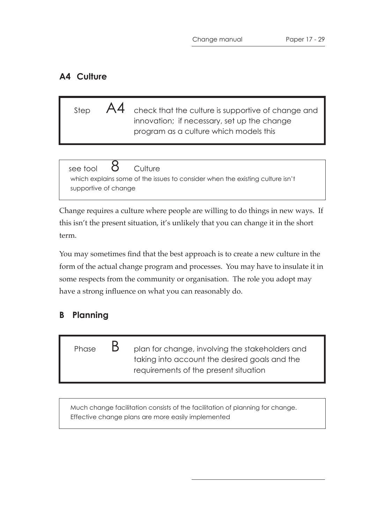### **A4 Culture**

supportive of change

| Step     | $\mathsf{A4}\hspace{0.1cm}$ check that the culture is supportive of change and<br>innovation; if necessary, set up the change<br>program as a culture which models this |
|----------|-------------------------------------------------------------------------------------------------------------------------------------------------------------------------|
|          |                                                                                                                                                                         |
| see tool | Culture<br>which explains some of the issues to consider when the existing culture isn't                                                                                |

Change requires a culture where people are willing to do things in new ways. If this isn't the present situation, it's unlikely that you can change it in the short term.

You may sometimes find that the best approach is to create a new culture in the form of the actual change program and processes. You may have to insulate it in some respects from the community or organisation. The role you adopt may have a strong influence on what you can reasonably do.

### **B Planning**

Phase  $\mathsf B$  plan for change, involving the stakeholders and taking into account the desired goals and the requirements of the present situation

Much change facilitation consists of the facilitation of planning for change. Effective change plans are more easily implemented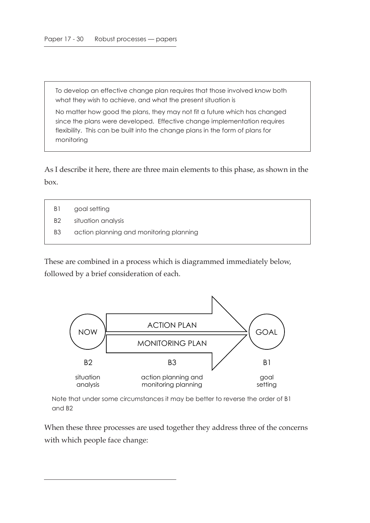To develop an effective change plan requires that those involved know both what they wish to achieve, and what the present situation is

No matter how good the plans, they may not fit a future which has changed since the plans were developed. Effective change implementation requires flexibility. This can be built into the change plans in the form of plans for monitoring

As I describe it here, there are three main elements to this phase, as shown in the box.

| B1 | goal setting |
|----|--------------|
|    |              |

- B2 situation analysis
- B3 action planning and monitoring planning

These are combined in a process which is diagrammed immediately below, followed by a brief consideration of each.



Note that under some circumstances it may be better to reverse the order of B1 and B2

When these three processes are used together they address three of the concerns with which people face change: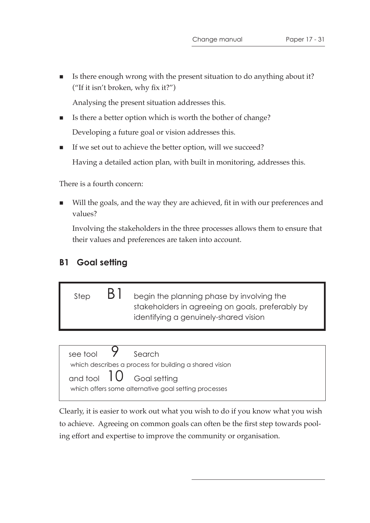Is there enough wrong with the present situation to do anything about it? ("If it isn't broken, why fix it?")

Analysing the present situation addresses this.

- Is there a better option which is worth the bother of change? Developing a future goal or vision addresses this.
- If we set out to achieve the better option, will we succeed? Having a detailed action plan, with built in monitoring, addresses this.

There is a fourth concern:

Will the goals, and the way they are achieved, fit in with our preferences and values?

Involving the stakeholders in the three processes allows them to ensure that their values and preferences are taken into account.

### **B1 Goal setting**

Step  $\mathsf{B1}\quad$  begin the planning phase by involving the stakeholders in agreeing on goals, preferably by identifying a genuinely-shared vision



Clearly, it is easier to work out what you wish to do if you know what you wish to achieve. Agreeing on common goals can often be the first step towards pooling effort and expertise to improve the community or organisation.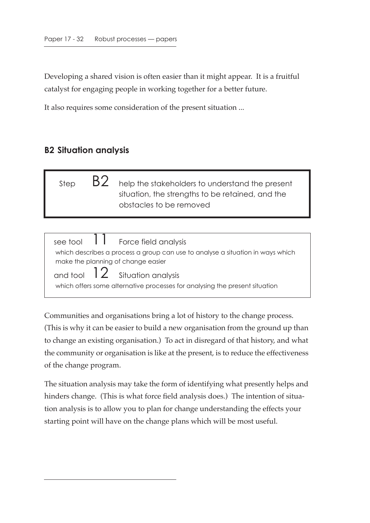Developing a shared vision is often easier than it might appear. It is a fruitful catalyst for engaging people in working together for a better future.

It also requires some consideration of the present situation ...

### **B2 Situation analysis**

| Step | $\mathsf{B2}\quad$ help the stakeholders to understand the present<br>situation, the strengths to be retained, and the<br>obstacles to be removed |
|------|---------------------------------------------------------------------------------------------------------------------------------------------------|
|      |                                                                                                                                                   |

|  | see tool $\begin{bmatrix} 1 \end{bmatrix}$ Force field analysis                |
|--|--------------------------------------------------------------------------------|
|  | which describes a process a group can use to analyse a situation in ways which |
|  | make the planning of change easier                                             |
|  | and tool $\sqrt{2}$ Situation analysis                                         |
|  | which offers some alternative processes for analysing the present situation    |
|  |                                                                                |

Communities and organisations bring a lot of history to the change process. (This is why it can be easier to build a new organisation from the ground up than to change an existing organisation.) To act in disregard of that history, and what the community or organisation is like at the present, is to reduce the effectiveness of the change program.

The situation analysis may take the form of identifying what presently helps and hinders change. (This is what force field analysis does.) The intention of situation analysis is to allow you to plan for change understanding the effects your starting point will have on the change plans which will be most useful.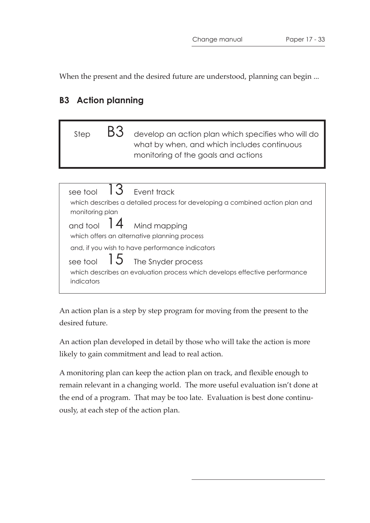When the present and the desired future are understood, planning can begin ...

## **B3 Action planning**

| Step            |                | develop an action plan which specifies who will do<br>what by when, and which includes continuous<br>monitoring of the goals and actions |
|-----------------|----------------|------------------------------------------------------------------------------------------------------------------------------------------|
|                 |                |                                                                                                                                          |
| see tool        | $\overline{1}$ | Event track                                                                                                                              |
|                 |                | which describes a detailed process for developing a combined action plan and                                                             |
| monitoring plan |                |                                                                                                                                          |
|                 |                | and tool $\ 4\ $ Mind mapping                                                                                                            |
|                 |                | which offers an alternative planning process                                                                                             |
|                 |                | and, if you wish to have performance indicators                                                                                          |
| indicators      |                | see tool $\overline{5}$ The Snyder process<br>which describes an evaluation process which develops effective performance                 |

An action plan is a step by step program for moving from the present to the desired future.

An action plan developed in detail by those who will take the action is more likely to gain commitment and lead to real action.

A monitoring plan can keep the action plan on track, and flexible enough to remain relevant in a changing world. The more useful evaluation isn't done at the end of a program. That may be too late. Evaluation is best done continuously, at each step of the action plan.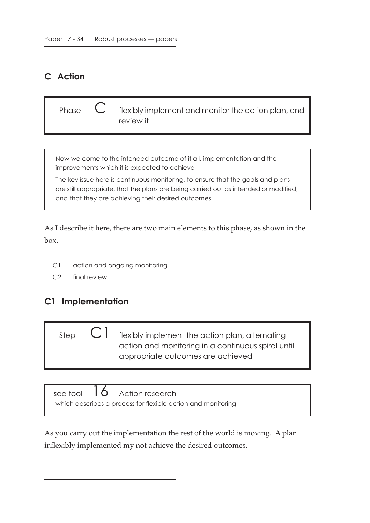### **C Action**



Now we come to the intended outcome of it all, implementation and the improvements which it is expected to achieve

The key issue here is continuous monitoring, to ensure that the goals and plans are still appropriate, that the plans are being carried out as intended or modified, and that they are achieving their desired outcomes

As I describe it here, there are two main elements to this phase, as shown in the box.

- C1 action and ongoing monitoring
- C2 final review

### **C1 Implementation**

Step  $\mathbb{C}$  1 flexibly implement the action plan, alternating action and monitoring in a continuous spiral until appropriate outcomes are achieved

see tool  $16$  Action research which describes a process for flexible action and monitoring

As you carry out the implementation the rest of the world is moving. A plan inflexibly implemented my not achieve the desired outcomes.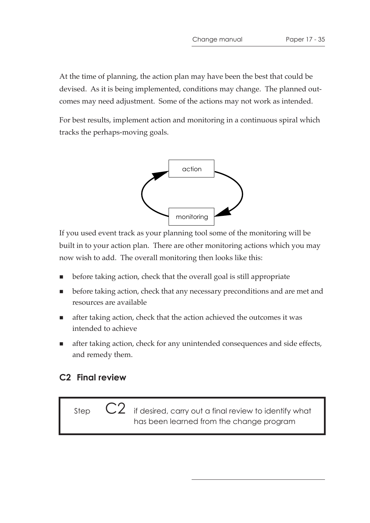At the time of planning, the action plan may have been the best that could be devised. As it is being implemented, conditions may change. The planned outcomes may need adjustment. Some of the actions may not work as intended.

For best results, implement action and monitoring in a continuous spiral which tracks the perhaps-moving goals.



If you used event track as your planning tool some of the monitoring will be built in to your action plan. There are other monitoring actions which you may now wish to add. The overall monitoring then looks like this:

- before taking action, check that the overall goal is still appropriate
- **•** before taking action, check that any necessary preconditions and are met and resources are available
- $\blacksquare$  after taking action, check that the action achieved the outcomes it was intended to achieve
- after taking action, check for any unintended consequences and side effects, and remedy them.

### **C2 Final review**

Step  $C2$  if desired, carry out a final review to identify what has been learned from the change program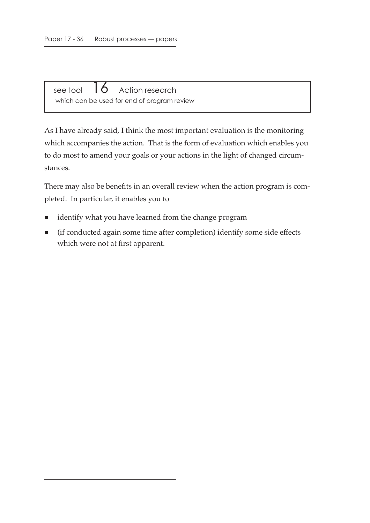see tool  $16$  Action research which can be used for end of program review

As I have already said, I think the most important evaluation is the monitoring which accompanies the action. That is the form of evaluation which enables you to do most to amend your goals or your actions in the light of changed circumstances.

There may also be benefits in an overall review when the action program is completed. In particular, it enables you to

- identify what you have learned from the change program
- (if conducted again some time after completion) identify some side effects which were not at first apparent.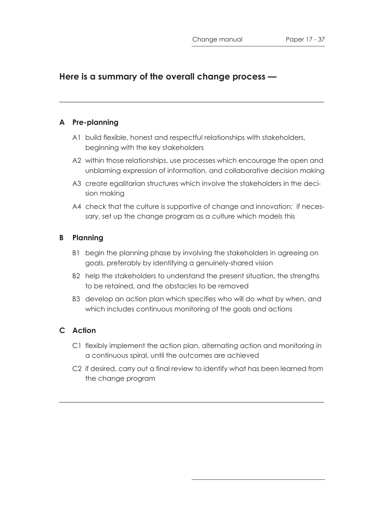### **Here is a summary of the overall change process —**

#### **A Pre-planning**

A1 build flexible, honest and respectful relationships with stakeholders, beginning with the key stakeholders

\_\_\_\_\_\_\_\_\_\_\_\_\_\_\_\_\_\_\_\_\_\_\_\_\_\_\_\_\_\_\_\_\_\_\_\_\_\_\_\_\_\_\_\_\_\_\_\_\_\_\_\_\_\_\_\_\_\_\_\_\_\_\_\_\_\_\_\_\_\_\_

- A2 within those relationships, use processes which encourage the open and unblaming expression of information, and collaborative decision making
- A3 create egalitarian structures which involve the stakeholders in the decision making
- A4 check that the culture is supportive of change and innovation; if necessary, set up the change program as a culture which models this

#### **B Planning**

- B1 begin the planning phase by involving the stakeholders in agreeing on goals, preferably by identifying a genuinely-shared vision
- B2 help the stakeholders to understand the present situation, the strengths to be retained, and the obstacles to be removed
- B3 develop an action plan which specifies who will do what by when, and which includes continuous monitoring of the goals and actions

#### **C Action**

- C1 flexibly implement the action plan, alternating action and monitoring in a continuous spiral, until the outcomes are achieved
- C2 if desired, carry out a final review to identify what has been learned from the change program

\_\_\_\_\_\_\_\_\_\_\_\_\_\_\_\_\_\_\_\_\_\_\_\_\_\_\_\_\_\_\_\_\_\_\_\_\_\_\_\_\_\_\_\_\_\_\_\_\_\_\_\_\_\_\_\_\_\_\_\_\_\_\_\_\_\_\_\_\_\_\_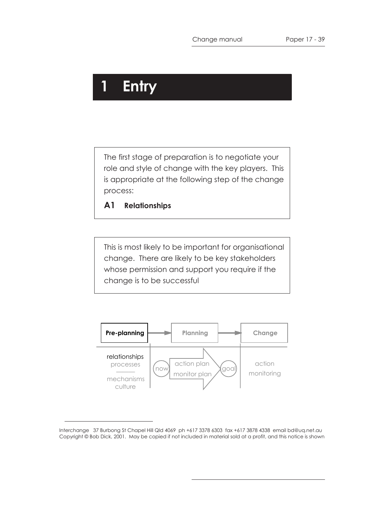# **1 Entry**

The first stage of preparation is to negotiate your role and style of change with the key players. This is appropriate at the following step of the change process:

#### **A1 Relationships**

This is most likely to be important for organisational change. There are likely to be key stakeholders whose permission and support you require if the change is to be successful



Interchange 37 Burbong St Chapel Hill Qld 4069 ph +617 3378 6303 fax +617 3878 4338 email bd@uq.net.au Copyright © Bob Dick, 2001. May be copied if not included in material sold at a profit, and this notice is shown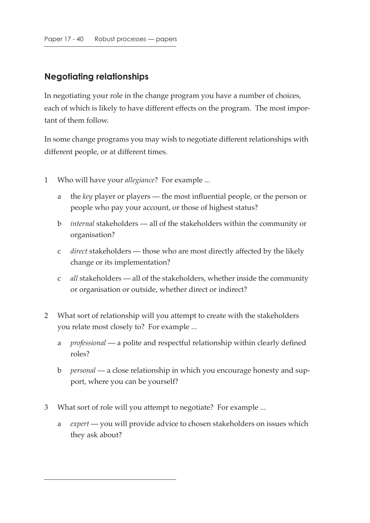#### **Negotiating relationships**

In negotiating your role in the change program you have a number of choices, each of which is likely to have different effects on the program. The most important of them follow.

In some change programs you may wish to negotiate different relationships with different people, or at different times.

- 1 Who will have your *allegiance*? For example ...
	- a the *key* player or players the most influential people, or the person or people who pay your account, or those of highest status?
	- b *internal* stakeholders all of the stakeholders within the community or organisation?
	- c *direct* stakeholders those who are most directly affected by the likely change or its implementation?
	- c *all* stakeholders all of the stakeholders, whether inside the community or organisation or outside, whether direct or indirect?
- 2 What sort of relationship will you attempt to create with the stakeholders you relate most closely to? For example ...
	- a *professional* a polite and respectful relationship within clearly defined roles?
	- b *personal* a close relationship in which you encourage honesty and support, where you can be yourself?
- 3 What sort of role will you attempt to negotiate? For example ...
	- a *expert* you will provide advice to chosen stakeholders on issues which they ask about?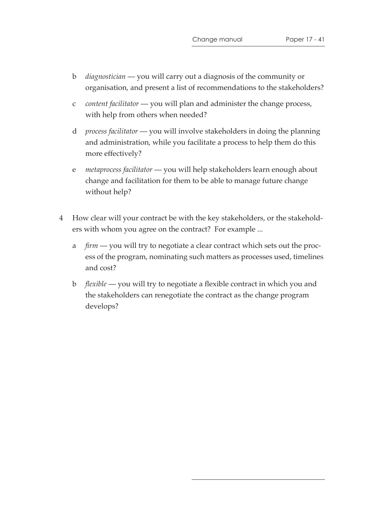- b *diagnostician* you will carry out a diagnosis of the community or organisation, and present a list of recommendations to the stakeholders?
- c *content facilitator* you will plan and administer the change process, with help from others when needed?
- d *process facilitator* you will involve stakeholders in doing the planning and administration, while you facilitate a process to help them do this more effectively?
- e *metaprocess facilitator* you will help stakeholders learn enough about change and facilitation for them to be able to manage future change without help?
- 4 How clear will your contract be with the key stakeholders, or the stakeholders with whom you agree on the contract? For example ...
	- a *firm* you will try to negotiate a clear contract which sets out the process of the program, nominating such matters as processes used, timelines and cost?
	- b *flexible* you will try to negotiate a flexible contract in which you and the stakeholders can renegotiate the contract as the change program develops?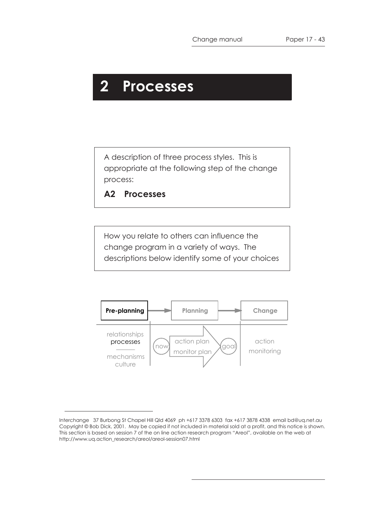# **2 Processes**

A description of three process styles. This is appropriate at the following step of the change process:

**A2 Processes**

How you relate to others can influence the change program in a variety of ways. The descriptions below identify some of your choices



Interchange 37 Burbong St Chapel Hill Qld 4069 ph +617 3378 6303 fax +617 3878 4338 email bd@uq.net.au Copyright © Bob Dick, 2001. May be copied if not included in material sold at a profit, and this notice is shown. This section is based on session 7 of the on line action research program "Areol", available on the web at http://www.uq.action\_research/areol/areol-session07.html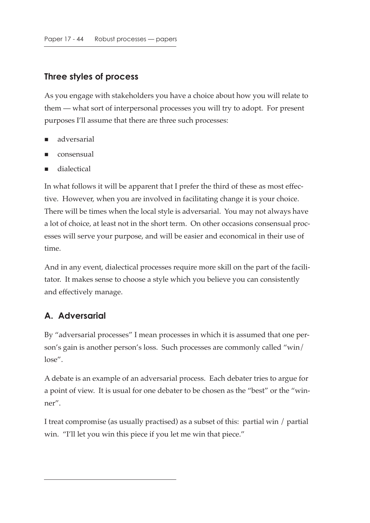#### **Three styles of process**

As you engage with stakeholders you have a choice about how you will relate to them — what sort of interpersonal processes you will try to adopt. For present purposes I'll assume that there are three such processes:

- adversarial
- consensual
- dialectical

In what follows it will be apparent that I prefer the third of these as most effective. However, when you are involved in facilitating change it is your choice. There will be times when the local style is adversarial. You may not always have a lot of choice, at least not in the short term. On other occasions consensual processes will serve your purpose, and will be easier and economical in their use of time.

And in any event, dialectical processes require more skill on the part of the facilitator. It makes sense to choose a style which you believe you can consistently and effectively manage.

# **A. Adversarial**

By "adversarial processes" I mean processes in which it is assumed that one person's gain is another person's loss. Such processes are commonly called "win/ lose".

A debate is an example of an adversarial process. Each debater tries to argue for a point of view. It is usual for one debater to be chosen as the "best" or the "winner".

I treat compromise (as usually practised) as a subset of this: partial win / partial win. "I'll let you win this piece if you let me win that piece."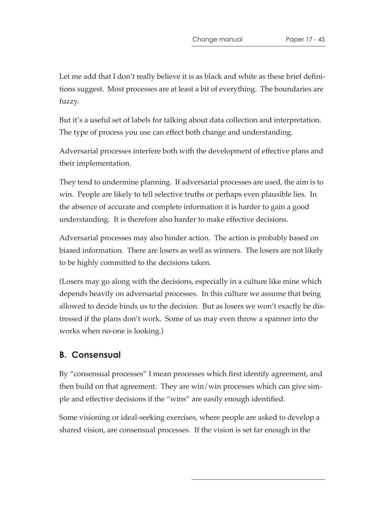Let me add that I don't really believe it is as black and white as these brief definitions suggest. Most processes are at least a bit of everything. The boundaries are fuzzy.

But it's a useful set of labels for talking about data collection and interpretation. The type of process you use can effect both change and understanding.

Adversarial processes interfere both with the development of effective plans and their implementation.

They tend to undermine planning. If adversarial processes are used, the aim is to win. People are likely to tell selective truths or perhaps even plausible lies. In the absence of accurate and complete information it is harder to gain a good understanding. It is therefore also harder to make effective decisions.

Adversarial processes may also hinder action. The action is probably based on biased information. There are losers as well as winners. The losers are not likely to be highly committed to the decisions taken.

(Losers may go along with the decisions, especially in a culture like mine which depends heavily on adversarial processes. In this culture we assume that being allowed to decide binds us to the decision. But as losers we won't exactly be distressed if the plans don't work. Some of us may even throw a spanner into the works when no-one is looking.)

#### **B. Consensual**

By "consensual processes" I mean processes which first identify agreement, and then build on that agreement. They are win/win processes which can give simple and effective decisions if the "wins" are easily enough identified.

Some visioning or ideal-seeking exercises, where people are asked to develop a shared vision, are consensual processes. If the vision is set far enough in the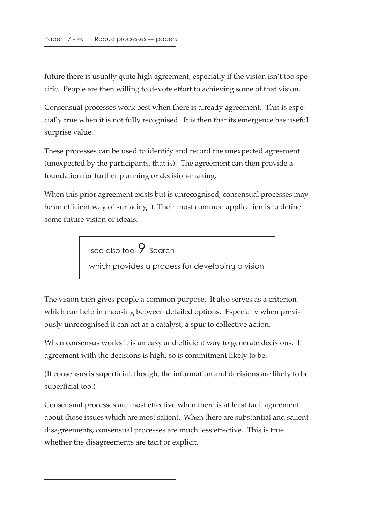future there is usually quite high agreement, especially if the vision isn't too specific. People are then willing to devote effort to achieving some of that vision.

Consensual processes work best when there is already agreement. This is especially true when it is not fully recognised. It is then that its emergence has useful surprise value.

These processes can be used to identify and record the unexpected agreement (unexpected by the participants, that is). The agreement can then provide a foundation for further planning or decision-making.

When this prior agreement exists but is unrecognised, consensual processes may be an efficient way of surfacing it. Their most common application is to define some future vision or ideals.

see also tool 9 Search

which provides a process for developing a vision

The vision then gives people a common purpose. It also serves as a criterion which can help in choosing between detailed options. Especially when previously unrecognised it can act as a catalyst, a spur to collective action.

When consensus works it is an easy and efficient way to generate decisions. If agreement with the decisions is high, so is commitment likely to be.

(If consensus is superficial, though, the information and decisions are likely to be superficial too.)

Consensual processes are most effective when there is at least tacit agreement about those issues which are most salient. When there are substantial and salient disagreements, consensual processes are much less effective. This is true whether the disagreements are tacit or explicit.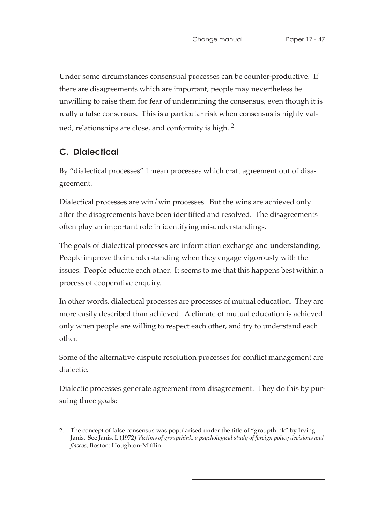Under some circumstances consensual processes can be counter-productive. If there are disagreements which are important, people may nevertheless be unwilling to raise them for fear of undermining the consensus, even though it is really a false consensus. This is a particular risk when consensus is highly valued, relationships are close, and conformity is high.  $^2$ 

# **C. Dialectical**

By "dialectical processes" I mean processes which craft agreement out of disagreement.

Dialectical processes are win/win processes. But the wins are achieved only after the disagreements have been identified and resolved. The disagreements often play an important role in identifying misunderstandings.

The goals of dialectical processes are information exchange and understanding. People improve their understanding when they engage vigorously with the issues. People educate each other. It seems to me that this happens best within a process of cooperative enquiry.

In other words, dialectical processes are processes of mutual education. They are more easily described than achieved. A climate of mutual education is achieved only when people are willing to respect each other, and try to understand each other.

Some of the alternative dispute resolution processes for conflict management are dialectic.

Dialectic processes generate agreement from disagreement. They do this by pursuing three goals:

<sup>2.</sup> The concept of false consensus was popularised under the title of "groupthink" by Irving Janis. See Janis, I. (1972) *Victims of groupthink: a psychological study of foreign policy decisions and fiascos*, Boston: Houghton-Mifflin.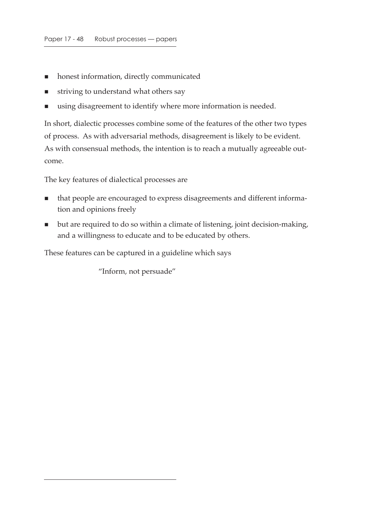- **n** honest information, directly communicated
- **striving to understand what others say**
- using disagreement to identify where more information is needed.

In short, dialectic processes combine some of the features of the other two types of process. As with adversarial methods, disagreement is likely to be evident. As with consensual methods, the intention is to reach a mutually agreeable outcome.

The key features of dialectical processes are

- that people are encouraged to express disagreements and different information and opinions freely
- but are required to do so within a climate of listening, joint decision-making, and a willingness to educate and to be educated by others.

These features can be captured in a guideline which says

"Inform, not persuade"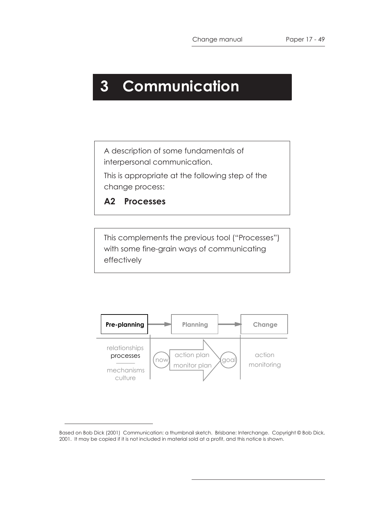# **3 Communication**

A description of some fundamentals of interpersonal communication.

This is appropriate at the following step of the change process:

#### **A2 Processes**

This complements the previous tool ("Processes") with some fine-grain ways of communicating effectively



Based on Bob Dick (2001) Communication: a thumbnail sketch. Brisbane: Interchange. Copyright © Bob Dick, 2001. It may be copied if it is not included in material sold at a profit, and this notice is shown.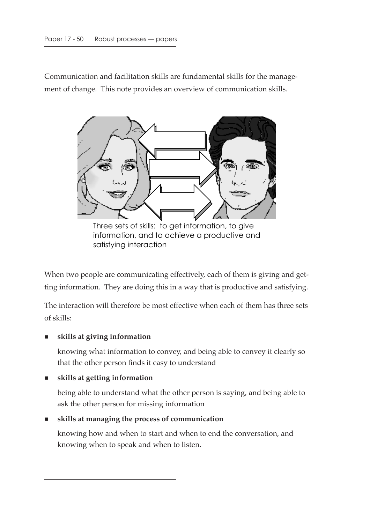Communication and facilitation skills are fundamental skills for the management of change. This note provides an overview of communication skills.



Three sets of skills: to get information, to give information, and to achieve a productive and satisfying interaction

When two people are communicating effectively, each of them is giving and getting information. They are doing this in a way that is productive and satisfying.

The interaction will therefore be most effective when each of them has three sets of skills:

#### **skills at giving information**

knowing what information to convey, and being able to convey it clearly so that the other person finds it easy to understand

#### **skills at getting information**

being able to understand what the other person is saying, and being able to ask the other person for missing information

#### **skills at managing the process of communication**

knowing how and when to start and when to end the conversation, and knowing when to speak and when to listen.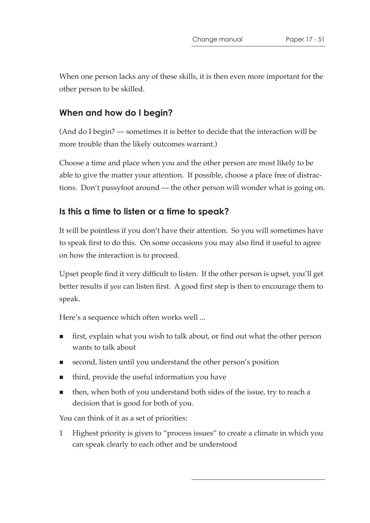When one person lacks any of these skills, it is then even more important for the other person to be skilled.

## **When and how do I begin?**

(And do I begin? — sometimes it is better to decide that the interaction will be more trouble than the likely outcomes warrant.)

Choose a time and place when you and the other person are most likely to be able to give the matter your attention. If possible, choose a place free of distractions. Don't pussyfoot around — the other person will wonder what is going on.

## **Is this a time to listen or a time to speak?**

It will be pointless if you don't have their attention. So you will sometimes have to speak first to do this. On some occasions you may also find it useful to agree on how the interaction is to proceed.

Upset people find it very difficult to listen. If the other person is upset, you'll get better results if *you* can listen first. A good first step is then to encourage them to speak.

Here's a sequence which often works well ...

- first, explain what you wish to talk about, or find out what the other person wants to talk about
- second, listen until you understand the other person's position
- third, provide the useful information you have
- then, when both of you understand both sides of the issue, try to reach a decision that is good for both of you.

You can think of it as a set of priorities:

1 Highest priority is given to "process issues" to create a climate in which you can speak clearly to each other and be understood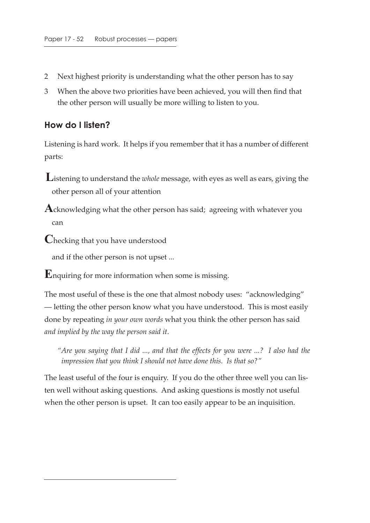- 2 Next highest priority is understanding what the other person has to say
- 3 When the above two priorities have been achieved, you will then find that the other person will usually be more willing to listen to you.

#### **How do I listen?**

Listening is hard work. It helps if you remember that it has a number of different parts:

**L**istening to understand the *whole* message, with eyes as well as ears, giving the other person all of your attention

**A**cknowledging what the other person has said; agreeing with whatever you can

**C**hecking that you have understood

and if the other person is not upset ...

**E**nquiring for more information when some is missing.

The most useful of these is the one that almost nobody uses: "acknowledging" — letting the other person know what you have understood. This is most easily done by repeating *in your own words* what you think the other person has said *and implied by the way the person said it*.

*"Are you saying that I did ..., and that the effects for you were ...? I also had the impression that you think I should not have done this. Is that so?"*

The least useful of the four is enquiry. If you do the other three well you can listen well without asking questions. And asking questions is mostly not useful when the other person is upset. It can too easily appear to be an inquisition.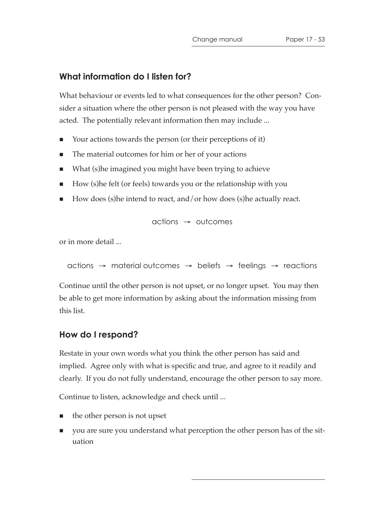# **What information do I listen for?**

What behaviour or events led to what consequences for the other person? Consider a situation where the other person is not pleased with the way you have acted. The potentially relevant information then may include ...

- Your actions towards the person (or their perceptions of it)
- The material outcomes for him or her of your actions
- What (s) he imagined you might have been trying to achieve
- How (s)he felt (or feels) towards you or the relationship with you
- $\blacksquare$  How does (s) he intend to react, and/or how does (s) he actually react.

actions → outcomes

or in more detail ...

actions → material outcomes → beliefs → feelings → reactions

Continue until the other person is not upset, or no longer upset. You may then be able to get more information by asking about the information missing from this list.

# **How do I respond?**

Restate in your own words what you think the other person has said and implied. Agree only with what is specific and true, and agree to it readily and clearly. If you do not fully understand, encourage the other person to say more.

Continue to listen, acknowledge and check until ...

- the other person is not upset
- vou are sure you understand what perception the other person has of the situation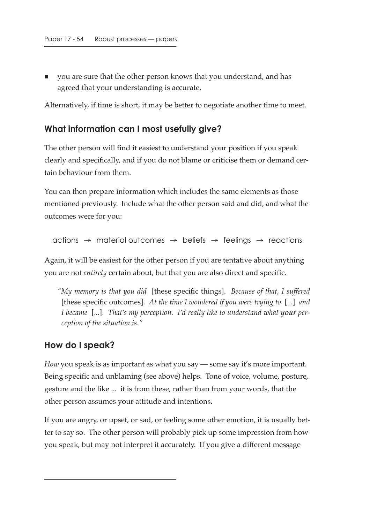you are sure that the other person knows that you understand, and has agreed that your understanding is accurate.

Alternatively, if time is short, it may be better to negotiate another time to meet.

#### **What information can I most usefully give?**

The other person will find it easiest to understand your position if you speak clearly and specifically, and if you do not blame or criticise them or demand certain behaviour from them.

You can then prepare information which includes the same elements as those mentioned previously. Include what the other person said and did, and what the outcomes were for you:

```
actions \rightarrow material outcomes \rightarrow beliefs \rightarrow feelings \rightarrow reactions
```
Again, it will be easiest for the other person if you are tentative about anything you are not *entirely* certain about, but that you are also direct and specific.

*"My memory is that you did* [these specific things]. *Because of that, I suffered* [these specific outcomes]. *At the time I wondered if you were trying to* [...] *and I became* [...]. *That's my perception. I'd really like to understand what your perception of the situation is."*

#### **How do I speak?**

*How* you speak is as important as what you say — some say it's more important. Being specific and unblaming (see above) helps. Tone of voice, volume, posture, gesture and the like ... it is from these, rather than from your words, that the other person assumes your attitude and intentions.

If you are angry, or upset, or sad, or feeling some other emotion, it is usually better to say so. The other person will probably pick up some impression from how you speak, but may not interpret it accurately. If you give a different message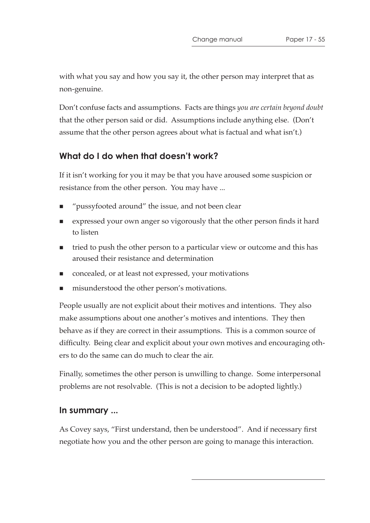with what you say and how you say it, the other person may interpret that as non-genuine.

Don't confuse facts and assumptions. Facts are things *you are certain beyond doubt* that the other person said or did. Assumptions include anything else. (Don't assume that the other person agrees about what is factual and what isn't.)

# **What do I do when that doesn't work?**

If it isn't working for you it may be that you have aroused some suspicion or resistance from the other person. You may have ...

- "pussyfooted around" the issue, and not been clear
- expressed your own anger so vigorously that the other person finds it hard to listen
- tried to push the other person to a particular view or outcome and this has aroused their resistance and determination
- concealed, or at least not expressed, your motivations
- misunderstood the other person's motivations.

People usually are not explicit about their motives and intentions. They also make assumptions about one another's motives and intentions. They then behave as if they are correct in their assumptions. This is a common source of difficulty. Being clear and explicit about your own motives and encouraging others to do the same can do much to clear the air.

Finally, sometimes the other person is unwilling to change. Some interpersonal problems are not resolvable. (This is not a decision to be adopted lightly.)

#### **In summary ...**

As Covey says, "First understand, then be understood". And if necessary first negotiate how you and the other person are going to manage this interaction.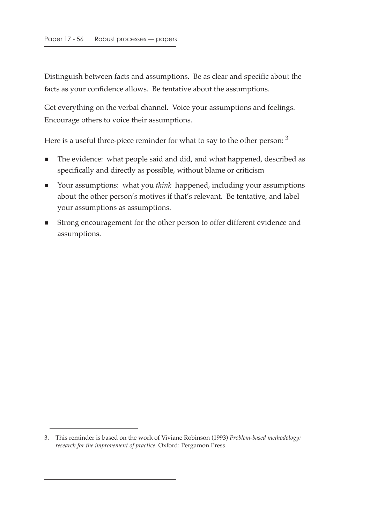Distinguish between facts and assumptions. Be as clear and specific about the facts as your confidence allows. Be tentative about the assumptions.

Get everything on the verbal channel. Voice your assumptions and feelings. Encourage others to voice their assumptions.

Here is a useful three-piece reminder for what to say to the other person: <sup>3</sup>

- The evidence: what people said and did, and what happened, described as specifically and directly as possible, without blame or criticism
- Your assumptions: what you *think* happened, including your assumptions about the other person's motives if that's relevant. Be tentative, and label your assumptions as assumptions.
- Strong encouragement for the other person to offer different evidence and assumptions.

<sup>3.</sup> This reminder is based on the work of Viviane Robinson (1993) *Problem-based methodology: research for the improvement of practice*. Oxford: Pergamon Press.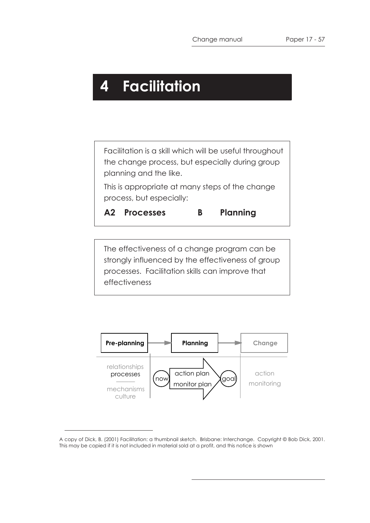# **4 Facilitation**

Facilitation is a skill which will be useful throughout the change process, but especially during group planning and the like.

This is appropriate at many steps of the change process, but especially:

**A2 Processes B Planning**

The effectiveness of a change program can be strongly influenced by the effectiveness of group processes. Facilitation skills can improve that effectiveness



A copy of Dick, B. (2001) Facilitation: a thumbnail sketch. Brisbane: Interchange. Copyright © Bob Dick, 2001. This may be copied if it is not included in material sold at a profit, and this notice is shown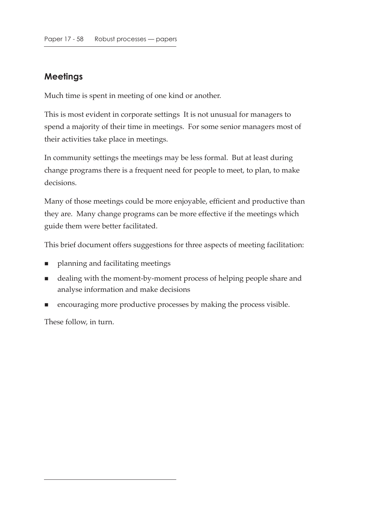# **Meetings**

Much time is spent in meeting of one kind or another.

This is most evident in corporate settings It is not unusual for managers to spend a majority of their time in meetings. For some senior managers most of their activities take place in meetings.

In community settings the meetings may be less formal. But at least during change programs there is a frequent need for people to meet, to plan, to make decisions.

Many of those meetings could be more enjoyable, efficient and productive than they are. Many change programs can be more effective if the meetings which guide them were better facilitated.

This brief document offers suggestions for three aspects of meeting facilitation:

- planning and facilitating meetings
- dealing with the moment-by-moment process of helping people share and analyse information and make decisions
- encouraging more productive processes by making the process visible.

These follow, in turn.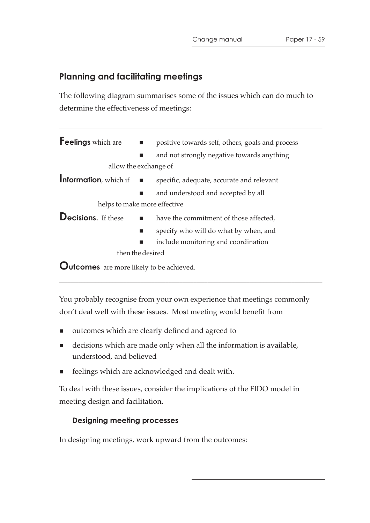# **Planning and facilitating meetings**

The following diagram summarises some of the issues which can do much to determine the effectiveness of meetings:

\_\_\_\_\_\_\_\_\_\_\_\_\_\_\_\_\_\_\_\_\_\_\_\_\_\_\_\_\_\_\_\_\_\_\_\_\_\_\_\_\_\_\_\_\_\_\_\_\_\_\_\_\_\_\_\_\_\_\_\_\_\_\_\_\_\_\_\_\_\_\_\_\_\_\_\_\_\_\_\_\_\_\_\_\_\_\_\_\_\_\_\_\_\_

| Feelings which are<br><b>Contract Contract</b>         | positive towards self, others, goals and process |  |  |  |
|--------------------------------------------------------|--------------------------------------------------|--|--|--|
|                                                        | and not strongly negative towards anything       |  |  |  |
| allow the exchange of                                  |                                                  |  |  |  |
| <b>Information</b> , which if $\blacksquare$           | specific, adequate, accurate and relevant        |  |  |  |
| п                                                      | and understood and accepted by all               |  |  |  |
| helps to make more effective                           |                                                  |  |  |  |
| <b>Decisions.</b> If these<br><b>Contract Contract</b> | have the commitment of those affected,           |  |  |  |
| ш                                                      | specify who will do what by when, and            |  |  |  |
|                                                        | include monitoring and coordination              |  |  |  |
| then the desired                                       |                                                  |  |  |  |
|                                                        |                                                  |  |  |  |

**Outcomes** are more likely to be achieved.

You probably recognise from your own experience that meetings commonly don't deal well with these issues. Most meeting would benefit from

\_\_\_\_\_\_\_\_\_\_\_\_\_\_\_\_\_\_\_\_\_\_\_\_\_\_\_\_\_\_\_\_\_\_\_\_\_\_\_\_\_\_\_\_\_\_\_\_\_\_\_\_\_\_\_\_\_\_\_\_\_\_\_\_\_\_\_\_\_\_\_\_\_\_\_\_\_\_\_\_\_\_\_\_\_\_\_\_\_\_\_\_\_\_

- outcomes which are clearly defined and agreed to
- decisions which are made only when all the information is available, understood, and believed
- **Feelings which are acknowledged and dealt with.**

To deal with these issues, consider the implications of the FIDO model in meeting design and facilitation.

#### **Designing meeting processes**

In designing meetings, work upward from the outcomes: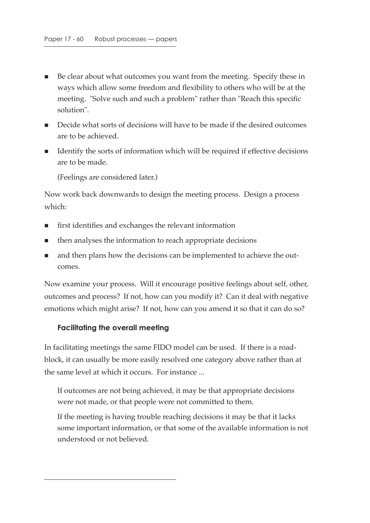- Be clear about what outcomes you want from the meeting. Specify these in ways which allow some freedom and flexibility to others who will be at the meeting. "Solve such and such a problem" rather than "Reach this specific solution".
- Decide what sorts of decisions will have to be made if the desired outcomes are to be achieved.
- Identify the sorts of information which will be required if effective decisions are to be made.

(Feelings are considered later.)

Now work back downwards to design the meeting process. Design a process which:

- **first identifies and exchanges the relevant information**
- $\blacksquare$  then analyses the information to reach appropriate decisions
- and then plans how the decisions can be implemented to achieve the outcomes.

Now examine your process. Will it encourage positive feelings about self, other, outcomes and process? If not, how can you modify it? Can it deal with negative emotions which might arise? If not, how can you amend it so that it can do so?

#### **Facilitating the overall meeting**

In facilitating meetings the same FIDO model can be used. If there is a roadblock, it can usually be more easily resolved one category above rather than at the same level at which it occurs. For instance ...

If outcomes are not being achieved, it may be that appropriate decisions were not made, or that people were not committed to them.

If the meeting is having trouble reaching decisions it may be that it lacks some important information, or that some of the available information is not understood or not believed.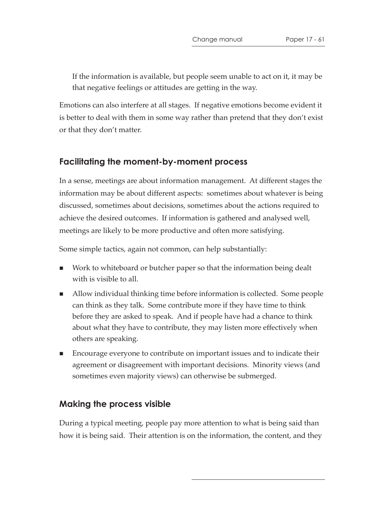If the information is available, but people seem unable to act on it, it may be that negative feelings or attitudes are getting in the way.

Emotions can also interfere at all stages. If negative emotions become evident it is better to deal with them in some way rather than pretend that they don't exist or that they don't matter.

#### **Facilitating the moment-by-moment process**

In a sense, meetings are about information management. At different stages the information may be about different aspects: sometimes about whatever is being discussed, sometimes about decisions, sometimes about the actions required to achieve the desired outcomes. If information is gathered and analysed well, meetings are likely to be more productive and often more satisfying.

Some simple tactics, again not common, can help substantially:

- Work to whiteboard or butcher paper so that the information being dealt with is visible to all.
- Allow individual thinking time before information is collected. Some people can think as they talk. Some contribute more if they have time to think before they are asked to speak. And if people have had a chance to think about what they have to contribute, they may listen more effectively when others are speaking.
- Encourage everyone to contribute on important issues and to indicate their agreement or disagreement with important decisions. Minority views (and sometimes even majority views) can otherwise be submerged.

# **Making the process visible**

During a typical meeting, people pay more attention to what is being said than how it is being said. Their attention is on the information, the content, and they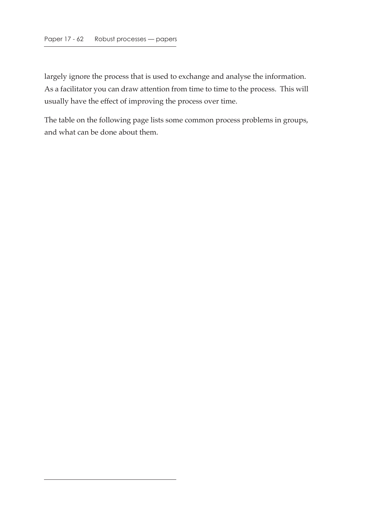largely ignore the process that is used to exchange and analyse the information. As a facilitator you can draw attention from time to time to the process. This will usually have the effect of improving the process over time.

The table on the following page lists some common process problems in groups, and what can be done about them.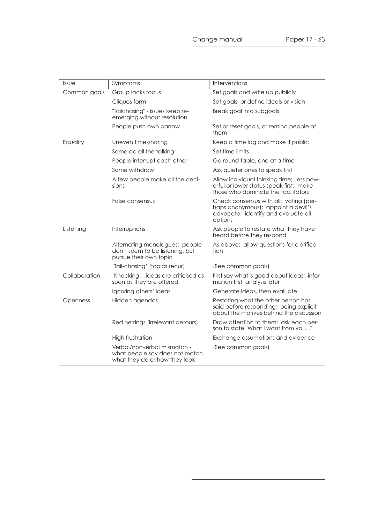| Issue         | Symptoms                                                                                       | Interventions                                                                                                                  |
|---------------|------------------------------------------------------------------------------------------------|--------------------------------------------------------------------------------------------------------------------------------|
| Common goals  | Group lacks focus                                                                              | Set goals and write up publicly                                                                                                |
|               | Cliques form                                                                                   | Set goals, or define ideals or vision                                                                                          |
|               | "Tailchasing" - issues keep re-<br>emerging without resolution                                 | Break goal into subgoals                                                                                                       |
|               | People push own barrow                                                                         | Set or reset goals, or remind people of<br>them                                                                                |
| Equality      | Uneven time-sharing                                                                            | Keep a time log and make it public                                                                                             |
|               | Some do all the talking                                                                        | Set time limits                                                                                                                |
|               | People interrupt each other                                                                    | Go round table, one at a time                                                                                                  |
|               | Some withdraw                                                                                  | Ask quieter ones to speak first                                                                                                |
|               | A few people make all the deci-<br>sions                                                       | Allow individual thinking time; less pow-<br>erful or lower status speak first; make<br>those who dominate the facilitators    |
|               | False consensus                                                                                | Check consensus with all; voting (per-<br>haps anonymous); appoint a devil's<br>advocate; identify and evaluate all<br>options |
| Listening     | Interruptions                                                                                  | Ask people to restate what they have<br>heard before they respond                                                              |
|               | Alternating monologues: people<br>don't seem to be listening, but<br>pursue their own topic    | As above; allow questions for clarifica-<br>tion                                                                               |
|               | 'Tail-chasing' (topics recur)                                                                  | (See common goals)                                                                                                             |
| Collaboration | 'Knocking': ideas are criticised as<br>soon as they are offered                                | First say what is good about ideas; infor-<br>mation first, analysis later                                                     |
|               | Ignoring others' ideas                                                                         | Generate ideas, then evaluate                                                                                                  |
| Openness      | Hidden agendas                                                                                 | Restating what the other person has<br>said before responding; being explicit<br>about the motives behind the discussion       |
|               | Red herrings (irrelevant detours)                                                              | Draw attention to them; ask each per-<br>son to state "What I want from you"                                                   |
|               | <b>High frustration</b>                                                                        | Exchange assumptions and evidence                                                                                              |
|               | Verbal/nonverbal mismatch -<br>what people say does not match<br>what they do or how they look | (See common goals)                                                                                                             |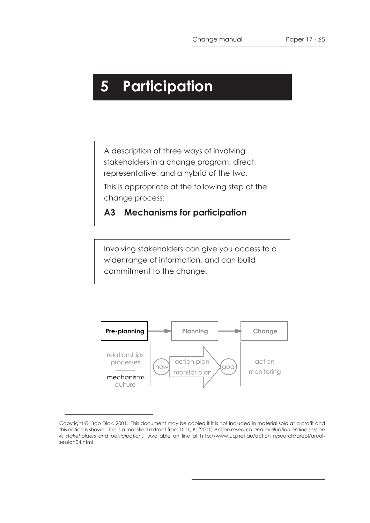# **5 Participation**

A description of three ways of involving stakeholders in a change program: direct, representative, and a hybrid of the two.

This is appropriate at the following step of the change process:

## **A3 Mechanisms for participation**

Involving stakeholders can give you access to a wider range of information, and can build commitment to the change.



Copyright © Bob Dick, 2001. This document may be copied if it is not included in material sold at a profit and this notice is shown. This is a modified extract from Dick, B. (2001) *Action research and evaluation on line session 4: stakeholders and participation*. Available on line at http://www.uq.net.au/action\_research/areol/areolsession04.html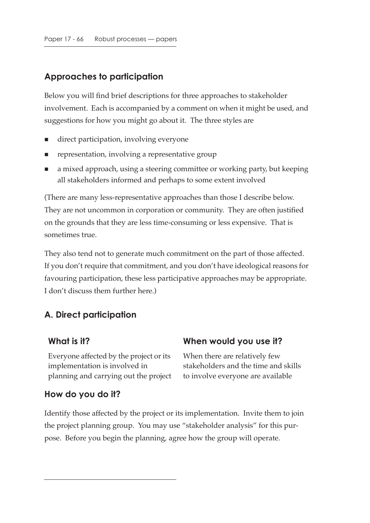## **Approaches to participation**

Below you will find brief descriptions for three approaches to stakeholder involvement. Each is accompanied by a comment on when it might be used, and suggestions for how you might go about it. The three styles are

- direct participation, involving everyone
- **Paramers** representation, involving a representative group
- a mixed approach, using a steering committee or working party, but keeping all stakeholders informed and perhaps to some extent involved

(There are many less-representative approaches than those I describe below. They are not uncommon in corporation or community. They are often justified on the grounds that they are less time-consuming or less expensive. That is sometimes true.

They also tend not to generate much commitment on the part of those affected. If you don't require that commitment, and you don't have ideological reasons for favouring participation, these less participative approaches may be appropriate. I don't discuss them further here.)

#### **A. Direct participation**

Everyone affected by the project or its implementation is involved in planning and carrying out the project

#### **How do you do it?**

#### What is it? When would you use it?

When there are relatively few stakeholders and the time and skills to involve everyone are available

Identify those affected by the project or its implementation. Invite them to join the project planning group. You may use "stakeholder analysis" for this purpose. Before you begin the planning, agree how the group will operate.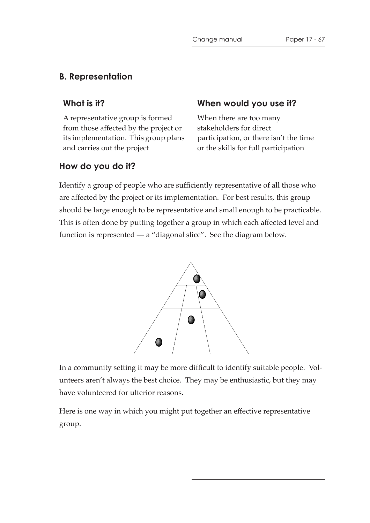## **B. Representation**

A representative group is formed from those affected by the project or its implementation. This group plans and carries out the project

## **How do you do it?**

## **What is it? When would you use it?**

When there are too many stakeholders for direct participation, or there isn't the time or the skills for full participation

Identify a group of people who are sufficiently representative of all those who are affected by the project or its implementation. For best results, this group should be large enough to be representative and small enough to be practicable. This is often done by putting together a group in which each affected level and function is represented — a "diagonal slice". See the diagram below.



In a community setting it may be more difficult to identify suitable people. Volunteers aren't always the best choice. They may be enthusiastic, but they may have volunteered for ulterior reasons.

Here is one way in which you might put together an effective representative group.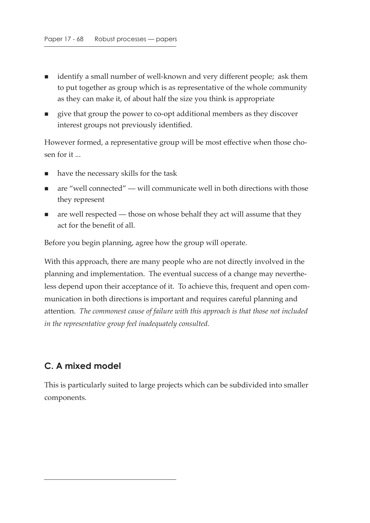- identify a small number of well-known and very different people; ask them to put together as group which is as representative of the whole community as they can make it, of about half the size you think is appropriate
- que that group the power to co-opt additional members as they discover interest groups not previously identified.

However formed, a representative group will be most effective when those chosen for it ...

- have the necessary skills for the task
- $\blacksquare$  are "well connected" will communicate well in both directions with those they represent
- $\blacksquare$  are well respected those on whose behalf they act will assume that they act for the benefit of all.

Before you begin planning, agree how the group will operate.

With this approach, there are many people who are not directly involved in the planning and implementation. The eventual success of a change may nevertheless depend upon their acceptance of it. To achieve this, frequent and open communication in both directions is important and requires careful planning and attention. *The commonest cause of failure with this approach is that those not included in the representative group feel inadequately consulted.*

#### **C. A mixed model**

This is particularly suited to large projects which can be subdivided into smaller components.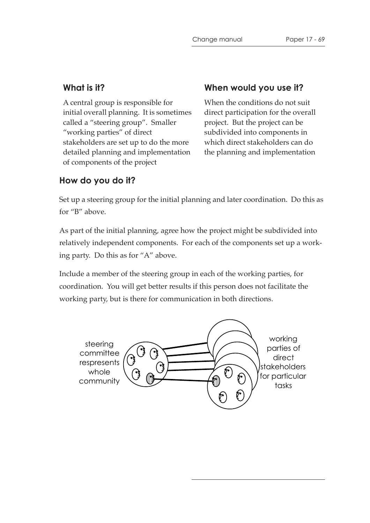A central group is responsible for initial overall planning. It is sometimes called a "steering group". Smaller "working parties" of direct stakeholders are set up to do the more detailed planning and implementation of components of the project

## **What is it? When would you use it?**

When the conditions do not suit direct participation for the overall project. But the project can be subdivided into components in which direct stakeholders can do the planning and implementation

# **How do you do it?**

Set up a steering group for the initial planning and later coordination. Do this as for "B" above.

As part of the initial planning, agree how the project might be subdivided into relatively independent components. For each of the components set up a working party. Do this as for "A" above.

Include a member of the steering group in each of the working parties, for coordination. You will get better results if this person does not facilitate the working party, but is there for communication in both directions.

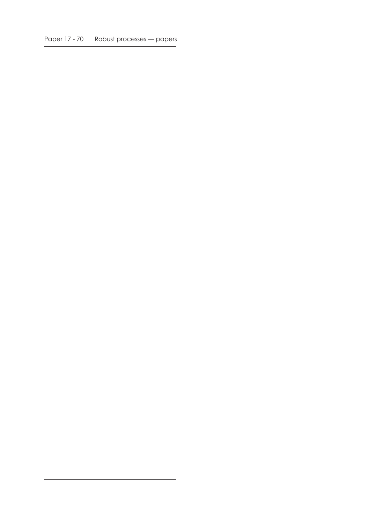Paper 17 - 70 Robust processes — papers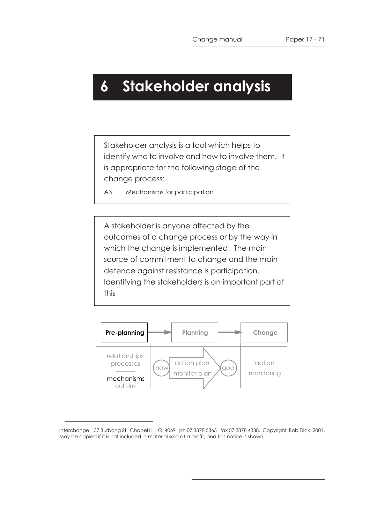# **6 Stakeholder analysis**

Stakeholder analysis is a tool which helps to identify who to involve and how to involve them. It is appropriate for the following stage of the change process:

A3 Mechanisms for participation

A stakeholder is anyone affected by the outcomes of a change process or by the way in which the change is implemented. The main source of commitment to change and the main defence against resistance is participation. Identifying the stakeholders is an important part of this



Interchange 37 Burbong St Chapel Hill Q 4069 ph 07 3378 5365 fax 07 3878 4338. Copyright Bob Dick, 2001. May be copied if it is not included in material sold at a profit, and this notice is shown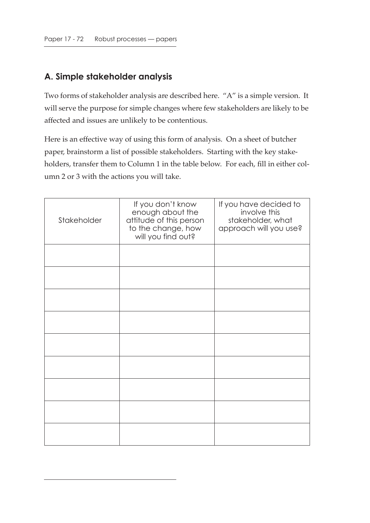# **A. Simple stakeholder analysis**

Two forms of stakeholder analysis are described here. "A" is a simple version. It will serve the purpose for simple changes where few stakeholders are likely to be affected and issues are unlikely to be contentious.

Here is an effective way of using this form of analysis. On a sheet of butcher paper, brainstorm a list of possible stakeholders. Starting with the key stakeholders, transfer them to Column 1 in the table below. For each, fill in either column 2 or 3 with the actions you will take.

| Stakeholder | If you don't know<br>enough about the<br>attitude of this person<br>to the change, how<br>will you find out? | If you have decided to<br>involve this<br>stakeholder, what<br>approach will you use? |
|-------------|--------------------------------------------------------------------------------------------------------------|---------------------------------------------------------------------------------------|
|             |                                                                                                              |                                                                                       |
|             |                                                                                                              |                                                                                       |
|             |                                                                                                              |                                                                                       |
|             |                                                                                                              |                                                                                       |
|             |                                                                                                              |                                                                                       |
|             |                                                                                                              |                                                                                       |
|             |                                                                                                              |                                                                                       |
|             |                                                                                                              |                                                                                       |
|             |                                                                                                              |                                                                                       |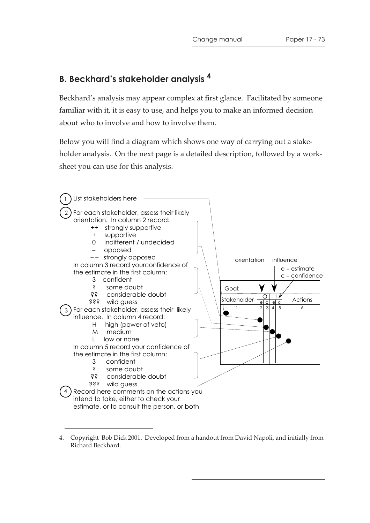## **B. Beckhard's stakeholder analysis 4**

Beckhard's analysis may appear complex at first glance. Facilitated by someone familiar with it, it is easy to use, and helps you to make an informed decision about who to involve and how to involve them.

Below you will find a diagram which shows one way of carrying out a stakeholder analysis. On the next page is a detailed description, followed by a worksheet you can use for this analysis.



<sup>4.</sup> Copyright Bob Dick 2001. Developed from a handout from David Napoli, and initially from Richard Beckhard.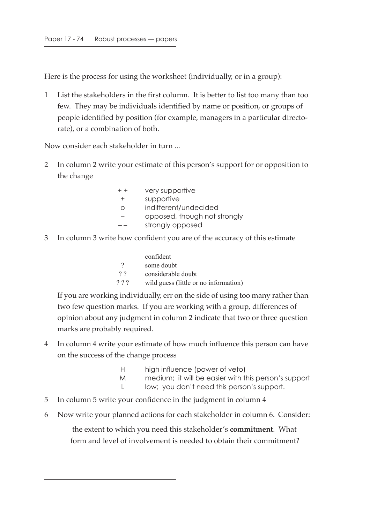Here is the process for using the worksheet (individually, or in a group):

1 List the stakeholders in the first column. It is better to list too many than too few. They may be individuals identified by name or position, or groups of people identified by position (for example, managers in a particular directorate), or a combination of both.

Now consider each stakeholder in turn ...

- 2 In column 2 write your estimate of this person's support for or opposition to the change
	- + + very supportive + supportive o indifferent/undecided – opposed, though not strongly
	- – strongly opposed
- 3 In column 3 write how confident you are of the accuracy of this estimate

|          | confident                             |
|----------|---------------------------------------|
| $\gamma$ | some doubt                            |
| 22       | considerable doubt                    |
| ? ? ?    | wild guess (little or no information) |

If you are working individually, err on the side of using too many rather than two few question marks. If you are working with a group, differences of opinion about any judgment in column 2 indicate that two or three question marks are probably required.

- 4 In column 4 write your estimate of how much influence this person can have on the success of the change process
	- H high influence (power of veto)
	- M medium; it will be easier with this person's support
	- L low; you don't need this person's support.
- 5 In column 5 write your confidence in the judgment in column 4
- 6 Now write your planned actions for each stakeholder in column 6. Consider:

 the extent to which you need this stakeholder's **commitment**. What form and level of involvement is needed to obtain their commitment?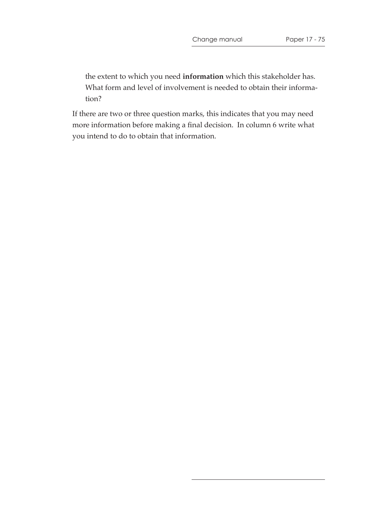the extent to which you need **information** which this stakeholder has. What form and level of involvement is needed to obtain their information?

If there are two or three question marks, this indicates that you may need more information before making a final decision. In column 6 write what you intend to do to obtain that information.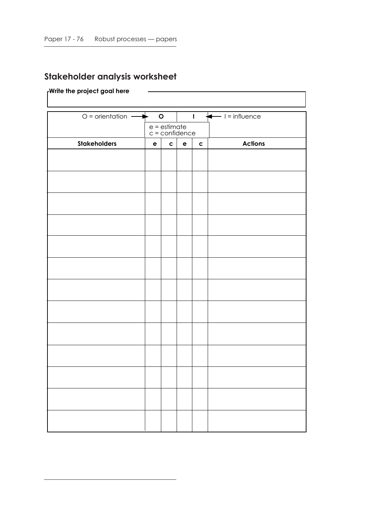## **Stakeholder analysis worksheet**

| $O =$ orientation $\cdot$ |             | $\mathbf O$<br>$e =$ estimate |             | $\mathbf{I}$ | $\leftarrow$ I = influence |
|---------------------------|-------------|-------------------------------|-------------|--------------|----------------------------|
|                           |             | $c =$ confidence              |             |              |                            |
| <b>Stakeholders</b>       | $\mathbf e$ | $\mathbf c$                   | $\mathbf e$ | $\mathbf c$  | <b>Actions</b>             |
|                           |             |                               |             |              |                            |
|                           |             |                               |             |              |                            |
|                           |             |                               |             |              |                            |
|                           |             |                               |             |              |                            |
|                           |             |                               |             |              |                            |
|                           |             |                               |             |              |                            |
|                           |             |                               |             |              |                            |
|                           |             |                               |             |              |                            |
|                           |             |                               |             |              |                            |
|                           |             |                               |             |              |                            |
|                           |             |                               |             |              |                            |
|                           |             |                               |             |              |                            |
|                           |             |                               |             |              |                            |
|                           |             |                               |             |              |                            |
|                           |             |                               |             |              |                            |
|                           |             |                               |             |              |                            |
|                           |             |                               |             |              |                            |
|                           |             |                               |             |              |                            |
|                           |             |                               |             |              |                            |
|                           |             |                               |             |              |                            |
|                           |             |                               |             |              |                            |
|                           |             |                               |             |              |                            |
|                           |             |                               |             |              |                            |
|                           |             |                               |             |              |                            |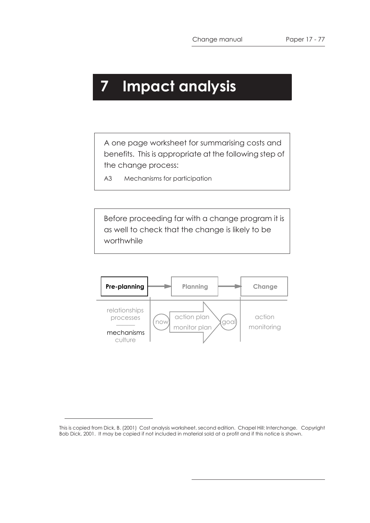# **7 Impact analysis**

A one page worksheet for summarising costs and benefits. This is appropriate at the following step of the change process:

A3 Mechanisms for participation

Before proceeding far with a change program it is as well to check that the change is likely to be worthwhile



This is copied from Dick, B. (2001) Cost analysis worksheet, second edition. Chapel Hill: Interchange. Copyright Bob Dick, 2001. It may be copied if not included in material sold at a profit and if this notice is shown.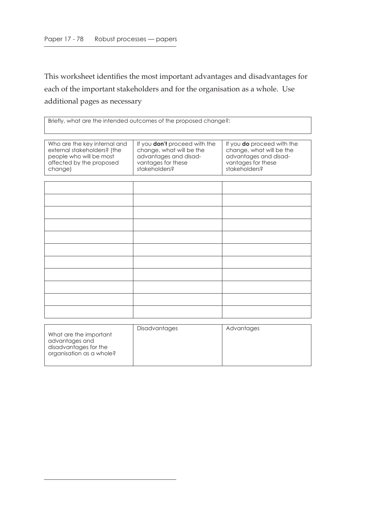This worksheet identifies the most important advantages and disadvantages for each of the important stakeholders and for the organisation as a whole. Use additional pages as necessary

Briefly, what are the intended outcomes of the proposed change?:

| Who are the key internal and<br>external stakeholders? (the<br>people who will be most<br>affected by the proposed<br>change) | If you <b>don't</b> proceed with the<br>change, what will be the<br>advantages and disad-<br>vantages for these<br>stakeholders? | If you <b>do</b> proceed with the<br>change, what will be the<br>advantages and disad-<br>vantages for these<br>stakeholders? |
|-------------------------------------------------------------------------------------------------------------------------------|----------------------------------------------------------------------------------------------------------------------------------|-------------------------------------------------------------------------------------------------------------------------------|
|                                                                                                                               |                                                                                                                                  |                                                                                                                               |
|                                                                                                                               |                                                                                                                                  |                                                                                                                               |
|                                                                                                                               |                                                                                                                                  |                                                                                                                               |
|                                                                                                                               |                                                                                                                                  |                                                                                                                               |

| What are the important<br>advantages and<br>disadvantages for the<br>organisation as a whole? | Disadvantages | Advantages |
|-----------------------------------------------------------------------------------------------|---------------|------------|
|                                                                                               |               |            |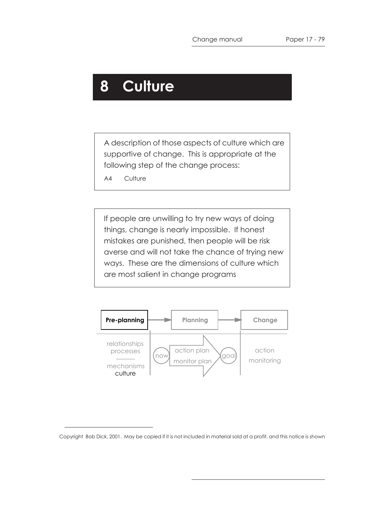## **8 Culture**

A description of those aspects of culture which are supportive of change. This is appropriate at the following step of the change process:

A4 Culture

If people are unwilling to try new ways of doing things, change is nearly impossible. If honest mistakes are punished, then people will be risk averse and will not take the chance of trying new ways. These are the dimensions of culture which are most salient in change programs



Copyright Bob Dick, 2001. May be copied if it is not included in material sold at a profit, and this notice is shown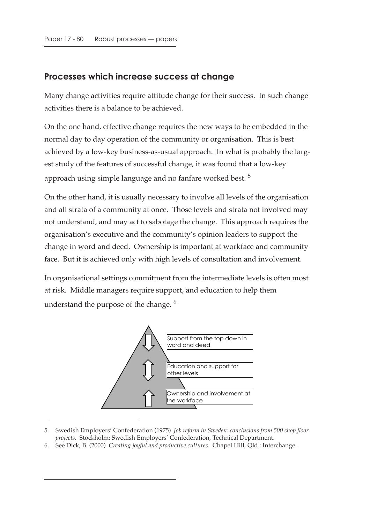#### **Processes which increase success at change**

Many change activities require attitude change for their success. In such change activities there is a balance to be achieved.

On the one hand, effective change requires the new ways to be embedded in the normal day to day operation of the community or organisation. This is best achieved by a low-key business-as-usual approach. In what is probably the largest study of the features of successful change, it was found that a low-key approach using simple language and no fanfare worked best.<sup>5</sup>

On the other hand, it is usually necessary to involve all levels of the organisation and all strata of a community at once. Those levels and strata not involved may not understand, and may act to sabotage the change. This approach requires the organisation's executive and the community's opinion leaders to support the change in word and deed. Ownership is important at workface and community face. But it is achieved only with high levels of consultation and involvement.

In organisational settings commitment from the intermediate levels is often most at risk. Middle managers require support, and education to help them understand the purpose of the change. 6



<sup>5.</sup> Swedish Employers' Confederation (1975) *Job reform in Sweden: conclusions from 500 shop floor projects*. Stockholm: Swedish Employers' Confederation, Technical Department.

<sup>6.</sup> See Dick, B. (2000) *Creating joyful and productive cultures*. Chapel Hill, Qld.: Interchange.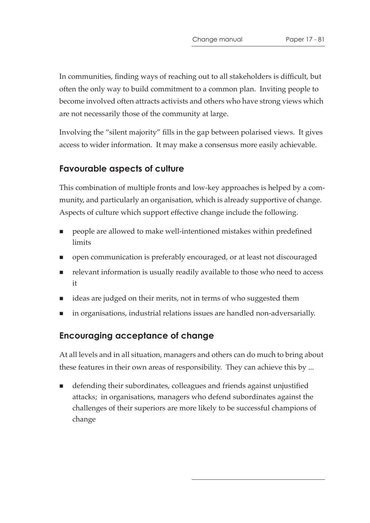In communities, finding ways of reaching out to all stakeholders is difficult, but often the only way to build commitment to a common plan. Inviting people to become involved often attracts activists and others who have strong views which are not necessarily those of the community at large.

Involving the "silent majority" fills in the gap between polarised views. It gives access to wider information. It may make a consensus more easily achievable.

### **Favourable aspects of culture**

This combination of multiple fronts and low-key approaches is helped by a community, and particularly an organisation, which is already supportive of change. Aspects of culture which support effective change include the following.

- people are allowed to make well-intentioned mistakes within predefined limits
- open communication is preferably encouraged, or at least not discouraged
- **The Frequent information is usually readily available to those who need to access** it
- ideas are judged on their merits, not in terms of who suggested them
- in organisations, industrial relations issues are handled non-adversarially.

## **Encouraging acceptance of change**

At all levels and in all situation, managers and others can do much to bring about these features in their own areas of responsibility. They can achieve this by ...

 defending their subordinates, colleagues and friends against unjustified attacks; in organisations, managers who defend subordinates against the challenges of their superiors are more likely to be successful champions of change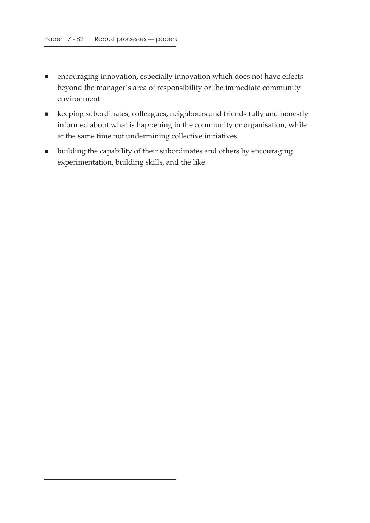- encouraging innovation, especially innovation which does not have effects beyond the manager's area of responsibility or the immediate community environment
- keeping subordinates, colleagues, neighbours and friends fully and honestly informed about what is happening in the community or organisation, while at the same time not undermining collective initiatives
- building the capability of their subordinates and others by encouraging experimentation, building skills, and the like.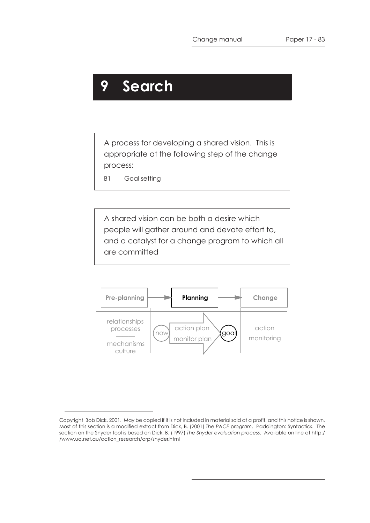A process for developing a shared vision. This is appropriate at the following step of the change process:

B1 Goal setting

A shared vision can be both a desire which people will gather around and devote effort to, and a catalyst for a change program to which all are committed



Copyright Bob Dick, 2001. May be copied if it is not included in material sold at a profit, and this notice is shown. Most of this section is a modified extract from Dick, B. (2001) *The PACE program*. Paddington: Syntactics. The section on the Snyder tool is based on Dick, B. (1997) *The Snyder evaluation process*. Available on line at http:/ /www.uq.net.au/action\_research/arp/snyder.html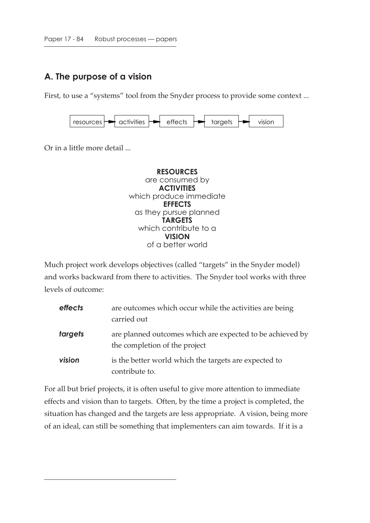#### **A. The purpose of a vision**

First, to use a "systems" tool from the Snyder process to provide some context ...



Or in a little more detail ...



Much project work develops objectives (called "targets" in the Snyder model) and works backward from there to activities. The Snyder tool works with three levels of outcome:

| effects | are outcomes which occur while the activities are being<br>carried out                     |
|---------|--------------------------------------------------------------------------------------------|
| targets | are planned outcomes which are expected to be achieved by<br>the completion of the project |
| vision  | is the better world which the targets are expected to<br>contribute to.                    |

For all but brief projects, it is often useful to give more attention to immediate effects and vision than to targets. Often, by the time a project is completed, the situation has changed and the targets are less appropriate. A vision, being more of an ideal, can still be something that implementers can aim towards. If it is a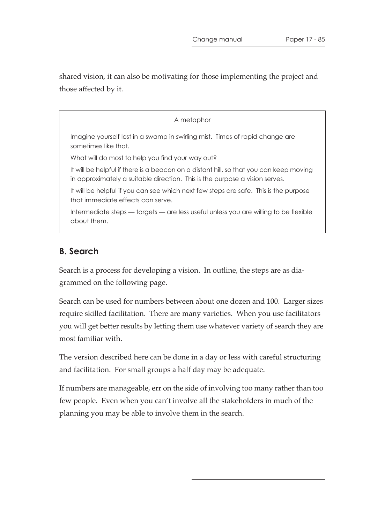shared vision, it can also be motivating for those implementing the project and those affected by it.

#### A metaphor

Imagine yourself lost in a swamp in swirling mist. Times of rapid change are sometimes like that.

What will do most to help you find your way out?

It will be helpful if there is a beacon on a distant hill, so that you can keep moving in approximately a suitable direction. This is the purpose a vision serves.

It will be helpful if you can see which next few steps are safe. This is the purpose that immediate effects can serve.

Intermediate steps — targets — are less useful unless you are willing to be flexible about them.

### **B. Search**

Search is a process for developing a vision. In outline, the steps are as diagrammed on the following page.

Search can be used for numbers between about one dozen and 100. Larger sizes require skilled facilitation. There are many varieties. When you use facilitators you will get better results by letting them use whatever variety of search they are most familiar with.

The version described here can be done in a day or less with careful structuring and facilitation. For small groups a half day may be adequate.

If numbers are manageable, err on the side of involving too many rather than too few people. Even when you can't involve all the stakeholders in much of the planning you may be able to involve them in the search.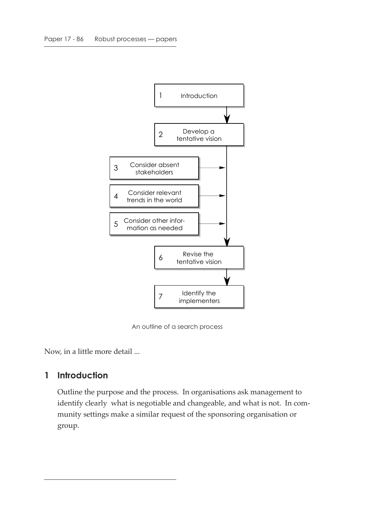

An outline of a search process

Now, in a little more detail ...

### **1 Introduction**

Outline the purpose and the process. In organisations ask management to identify clearly what is negotiable and changeable, and what is not. In community settings make a similar request of the sponsoring organisation or group.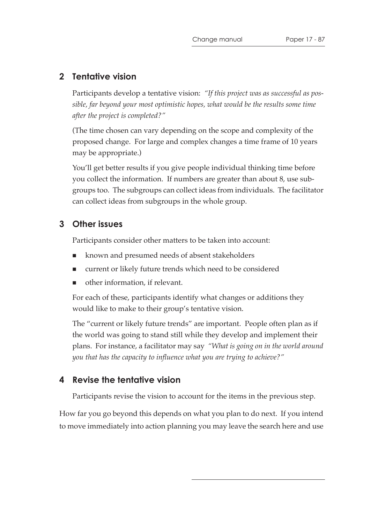### **2 Tentative vision**

Participants develop a tentative vision: *"If this project was as successful as possible, far beyond your most optimistic hopes, what would be the results some time after the project is completed?"*

(The time chosen can vary depending on the scope and complexity of the proposed change. For large and complex changes a time frame of 10 years may be appropriate.)

You'll get better results if you give people individual thinking time before you collect the information. If numbers are greater than about 8, use subgroups too. The subgroups can collect ideas from individuals. The facilitator can collect ideas from subgroups in the whole group.

### **3 Other issues**

Participants consider other matters to be taken into account:

- known and presumed needs of absent stakeholders
- current or likely future trends which need to be considered
- other information, if relevant.

For each of these, participants identify what changes or additions they would like to make to their group's tentative vision.

The "current or likely future trends" are important. People often plan as if the world was going to stand still while they develop and implement their plans. For instance, a facilitator may say *"What is going on in the world around you that has the capacity to influence what you are trying to achieve?"*

## **4 Revise the tentative vision**

Participants revise the vision to account for the items in the previous step.

How far you go beyond this depends on what you plan to do next. If you intend to move immediately into action planning you may leave the search here and use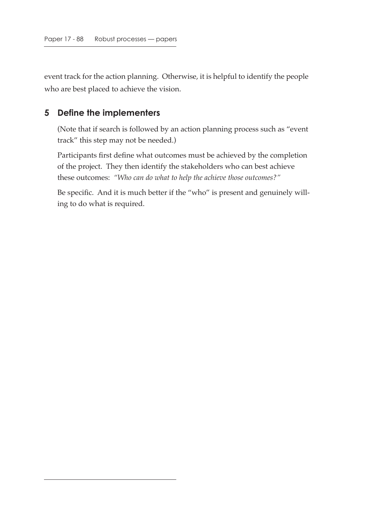event track for the action planning. Otherwise, it is helpful to identify the people who are best placed to achieve the vision.

#### **5 Define the implementers**

(Note that if search is followed by an action planning process such as "event track" this step may not be needed.)

Participants first define what outcomes must be achieved by the completion of the project. They then identify the stakeholders who can best achieve these outcomes: *"Who can do what to help the achieve those outcomes?"*

Be specific. And it is much better if the "who" is present and genuinely willing to do what is required.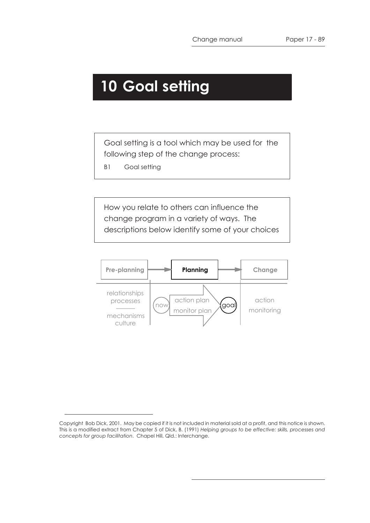# **10 Goal setting**

Goal setting is a tool which may be used for the following step of the change process:

B1 Goal setting

How you relate to others can influence the change program in a variety of ways. The descriptions below identify some of your choices



Copyright Bob Dick, 2001. May be copied if it is not included in material sold at a profit, and this notice is shown. This is a modified extract from Chapter 5 of Dick, B. (1991) *Helping groups to be effective: skills, processes and concepts for group facilitation*. Chapel Hill, Qld.: Interchange.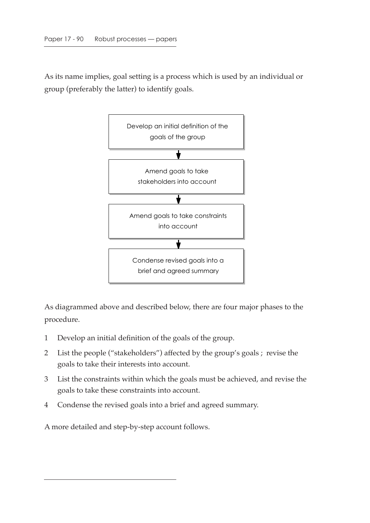As its name implies, goal setting is a process which is used by an individual or group (preferably the latter) to identify goals.



As diagrammed above and described below, there are four major phases to the procedure.

- 1 Develop an initial definition of the goals of the group.
- 2 List the people ("stakeholders") affected by the group's goals ; revise the goals to take their interests into account.
- 3 List the constraints within which the goals must be achieved, and revise the goals to take these constraints into account.
- 4 Condense the revised goals into a brief and agreed summary.

A more detailed and step-by-step account follows.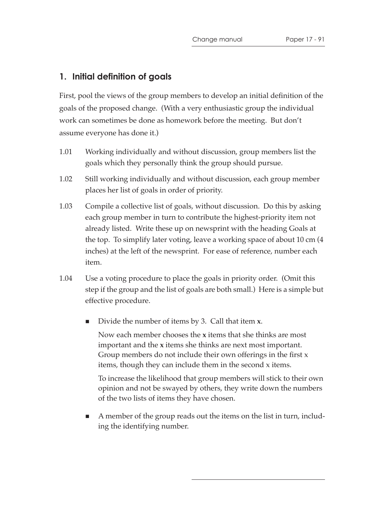### **1. Initial definition of goals**

First, pool the views of the group members to develop an initial definition of the goals of the proposed change. (With a very enthusiastic group the individual work can sometimes be done as homework before the meeting. But don't assume everyone has done it.)

- 1.01 Working individually and without discussion, group members list the goals which they personally think the group should pursue.
- 1.02 Still working individually and without discussion, each group member places her list of goals in order of priority.
- 1.03 Compile a collective list of goals, without discussion. Do this by asking each group member in turn to contribute the highest-priority item not already listed. Write these up on newsprint with the heading Goals at the top. To simplify later voting, leave a working space of about 10 cm (4 inches) at the left of the newsprint. For ease of reference, number each item.
- 1.04 Use a voting procedure to place the goals in priority order. (Omit this step if the group and the list of goals are both small.) Here is a simple but effective procedure.
	- Divide the number of items by 3. Call that item **x**.

Now each member chooses the **x** items that she thinks are most important and the **x** items she thinks are next most important. Group members do not include their own offerings in the first x items, though they can include them in the second x items.

To increase the likelihood that group members will stick to their own opinion and not be swayed by others, they write down the numbers of the two lists of items they have chosen.

 A member of the group reads out the items on the list in turn, including the identifying number.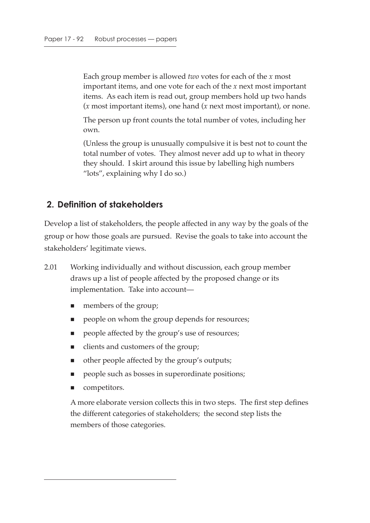Each group member is allowed *two* votes for each of the *x* most important items, and one vote for each of the *x* next most important items. As each item is read out, group members hold up two hands (*x* most important items), one hand (*x* next most important), or none.

The person up front counts the total number of votes, including her own.

(Unless the group is unusually compulsive it is best not to count the total number of votes. They almost never add up to what in theory they should. I skirt around this issue by labelling high numbers "lots", explaining why I do so.)

## **2. Definition of stakeholders**

Develop a list of stakeholders, the people affected in any way by the goals of the group or how those goals are pursued. Revise the goals to take into account the stakeholders' legitimate views.

- 2.01 Working individually and without discussion, each group member draws up a list of people affected by the proposed change or its implementation. Take into account
	- **n** members of the group;
	- **People on whom the group depends for resources;**
	- people affected by the group's use of resources;
	- clients and customers of the group;
	- other people affected by the group's outputs;
	- **people such as bosses in superordinate positions;**
	- **n** competitors.

A more elaborate version collects this in two steps. The first step defines the different categories of stakeholders; the second step lists the members of those categories.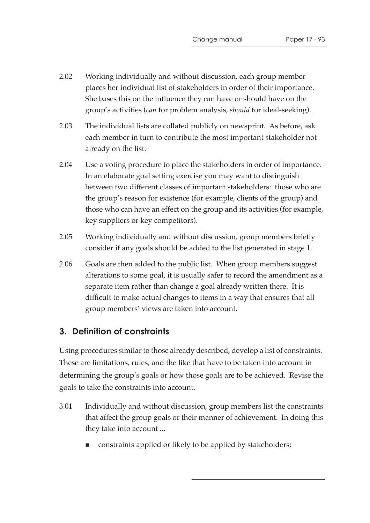- 2.02 Working individually and without discussion, each group member places her individual list of stakeholders in order of their importance. She bases this on the influence they can have or should have on the group's activities (*can* for problem analysis, *should* for ideal-seeking).
- 2.03 The individual lists are collated publicly on newsprint. As before, ask each member in turn to contribute the most important stakeholder not already on the list.
- 2.04 Use a voting procedure to place the stakeholders in order of importance. In an elaborate goal setting exercise you may want to distinguish between two different classes of important stakeholders: those who are the group's reason for existence (for example, clients of the group) and those who can have an effect on the group and its activities (for example, key suppliers or key competitors).
- 2.05 Working individually and without discussion, group members briefly consider if any goals should be added to the list generated in stage 1.
- 2.06 Goals are then added to the public list. When group members suggest alterations to some goal, it is usually safer to record the amendment as a separate item rather than change a goal already written there. It is difficult to make actual changes to items in a way that ensures that all group members' views are taken into account.

## **3. Definition of constraints**

Using procedures similar to those already described, develop a list of constraints. These are limitations, rules, and the like that have to be taken into account in determining the group's goals or how those goals are to be achieved. Revise the goals to take the constraints into account.

- 3.01 Individually and without discussion, group members list the constraints that affect the group goals or their manner of achievement. In doing this they take into account ...
	- constraints applied or likely to be applied by stakeholders;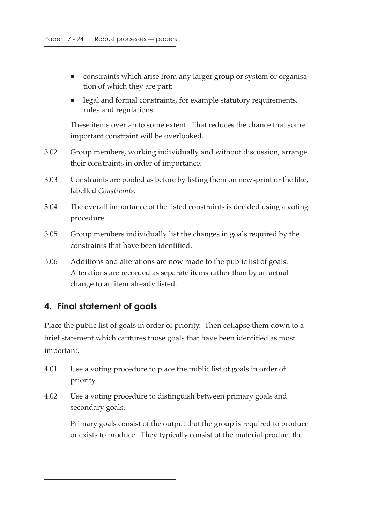- constraints which arise from any larger group or system or organisation of which they are part;
- $\blacksquare$  legal and formal constraints, for example statutory requirements, rules and regulations.

These items overlap to some extent. That reduces the chance that some important constraint will be overlooked.

- 3.02 Group members, working individually and without discussion, arrange their constraints in order of importance.
- 3.03 Constraints are pooled as before by listing them on newsprint or the like, labelled *Constraints*.
- 3.04 The overall importance of the listed constraints is decided using a voting procedure.
- 3.05 Group members individually list the changes in goals required by the constraints that have been identified.
- 3.06 Additions and alterations are now made to the public list of goals. Alterations are recorded as separate items rather than by an actual change to an item already listed.

#### **4. Final statement of goals**

Place the public list of goals in order of priority. Then collapse them down to a brief statement which captures those goals that have been identified as most important.

- 4.01 Use a voting procedure to place the public list of goals in order of priority.
- 4.02 Use a voting procedure to distinguish between primary goals and secondary goals.

Primary goals consist of the output that the group is required to produce or exists to produce. They typically consist of the material product the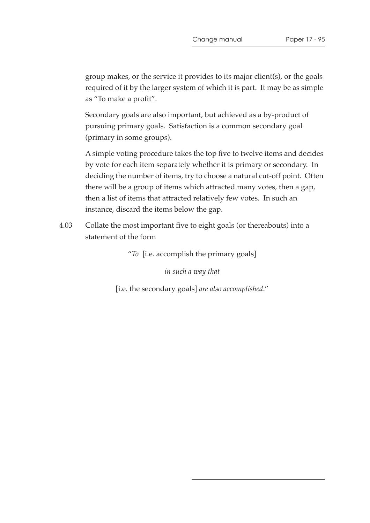group makes, or the service it provides to its major client(s), or the goals required of it by the larger system of which it is part. It may be as simple as "To make a profit".

Secondary goals are also important, but achieved as a by-product of pursuing primary goals. Satisfaction is a common secondary goal (primary in some groups).

A simple voting procedure takes the top five to twelve items and decides by vote for each item separately whether it is primary or secondary. In deciding the number of items, try to choose a natural cut-off point. Often there will be a group of items which attracted many votes, then a gap, then a list of items that attracted relatively few votes. In such an instance, discard the items below the gap.

4.03 Collate the most important five to eight goals (or thereabouts) into a statement of the form

"*To* [i.e. accomplish the primary goals]

*in such a way that*

[i.e. the secondary goals] *are also accomplished*."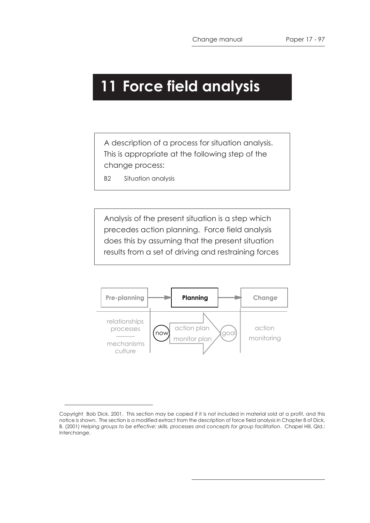## **11 Force field analysis**

A description of a process for situation analysis. This is appropriate at the following step of the change process:

B2 Situation analysis

Analysis of the present situation is a step which precedes action planning. Force field analysis does this by assuming that the present situation results from a set of driving and restraining forces



Copyright Bob Dick, 2001. This section may be copied if it is not included in material sold at a profit, and this notice is shown. The section is a modified extract from the description of force field analysis in Chapter 8 of Dick, B. (2001) *Helping groups to be effective: skills, processes and concepts for group facilitation*. Chapel Hill, Qld.: Interchange.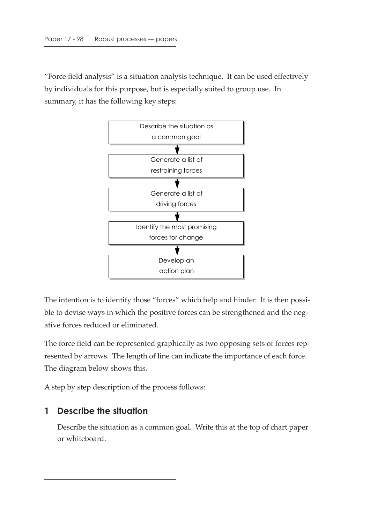"Force field analysis" is a situation analysis technique. It can be used effectively by individuals for this purpose, but is especially suited to group use. In summary, it has the following key steps:



The intention is to identify those "forces" which help and hinder. It is then possible to devise ways in which the positive forces can be strengthened and the negative forces reduced or eliminated.

The force field can be represented graphically as two opposing sets of forces represented by arrows. The length of line can indicate the importance of each force. The diagram below shows this.

A step by step description of the process follows:

## **1 Describe the situation**

Describe the situation as a common goal. Write this at the top of chart paper or whiteboard.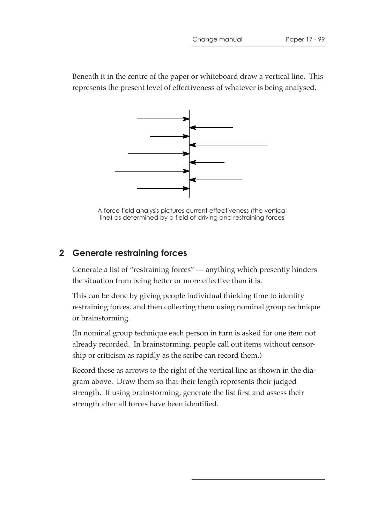Beneath it in the centre of the paper or whiteboard draw a vertical line. This represents the present level of effectiveness of whatever is being analysed.



A force field analysis pictures current effectiveness (the vertical line) as determined by a field of driving and restraining forces

#### **2 Generate restraining forces**

Generate a list of "restraining forces" — anything which presently hinders the situation from being better or more effective than it is.

This can be done by giving people individual thinking time to identify restraining forces, and then collecting them using nominal group technique or brainstorming.

(In nominal group technique each person in turn is asked for one item not already recorded. In brainstorming, people call out items without censorship or criticism as rapidly as the scribe can record them.)

Record these as arrows to the right of the vertical line as shown in the diagram above. Draw them so that their length represents their judged strength. If using brainstorming, generate the list first and assess their strength after all forces have been identified.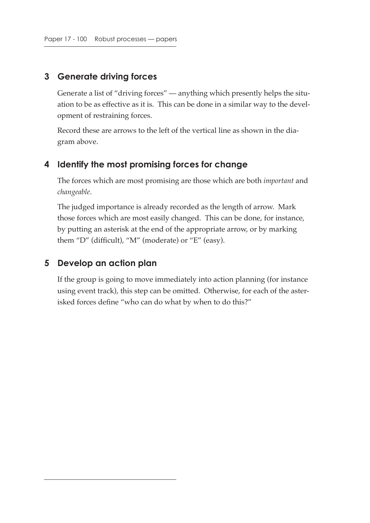#### **3 Generate driving forces**

Generate a list of "driving forces" — anything which presently helps the situation to be as effective as it is. This can be done in a similar way to the development of restraining forces.

Record these are arrows to the left of the vertical line as shown in the diagram above.

#### **4 Identify the most promising forces for change**

The forces which are most promising are those which are both *important* and *changeable*.

The judged importance is already recorded as the length of arrow. Mark those forces which are most easily changed. This can be done, for instance, by putting an asterisk at the end of the appropriate arrow, or by marking them "D" (difficult), "M" (moderate) or "E" (easy).

#### **5 Develop an action plan**

If the group is going to move immediately into action planning (for instance using event track), this step can be omitted. Otherwise, for each of the asterisked forces define "who can do what by when to do this?"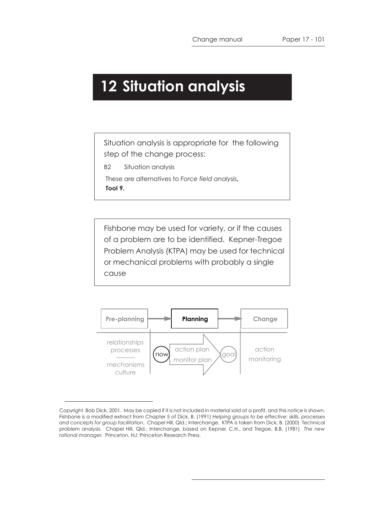# **12 Situation analysis**

Situation analysis is appropriate for the following step of the change process:

B2 Situation analysis

These are alternatives to *Force field analysis***, Tool 9.**

Fishbone may be used for variety, or if the causes of a problem are to be identified. Kepner-Tregoe Problem Analysis (KTPA) may be used for technical or mechanical problems with probably a single cause



Copyright Bob Dick, 2001. May be copied if it is not included in material sold at a profit, and this notice is shown. Fishbone is a modified extract from Chapter 5 of Dick, B. (1991) *Helping groups to be effective: skills, processes and concepts for group facilitation*. Chapel Hill, Qld.: Interchange. KTPA is taken from Dick, B. (2000) Technical problem analysis. Chapel Hill, Qld.: Interchange, based on Kepner, C.H., and Tregoe, B.B. (1981) *The new rational manager*. Princeton, NJ: Princeton Research Press.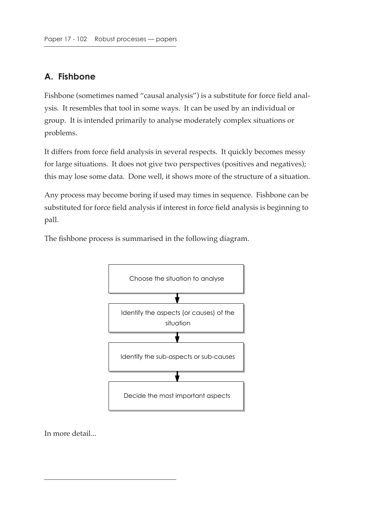## **A. Fishbone**

Fishbone (sometimes named "causal analysis") is a substitute for force field analysis. It resembles that tool in some ways. It can be used by an individual or group. It is intended primarily to analyse moderately complex situations or problems.

It differs from force field analysis in several respects. It quickly becomes messy for large situations. It does not give two perspectives (positives and negatives); this may lose some data. Done well, it shows more of the structure of a situation.

Any process may become boring if used may times in sequence. Fishbone can be substituted for force field analysis if interest in force field analysis is beginning to pall.

The fishbone process is summarised in the following diagram.



In more detail...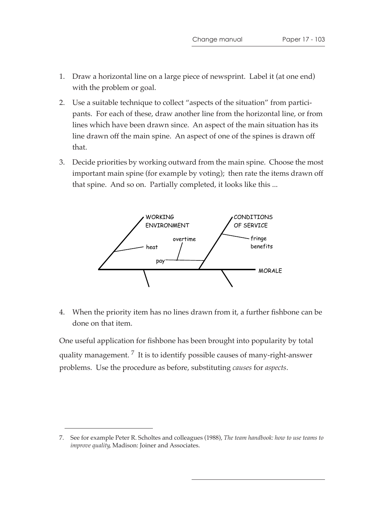- 1. Draw a horizontal line on a large piece of newsprint. Label it (at one end) with the problem or goal.
- 2. Use a suitable technique to collect "aspects of the situation" from participants. For each of these, draw another line from the horizontal line, or from lines which have been drawn since. An aspect of the main situation has its line drawn off the main spine. An aspect of one of the spines is drawn off that.
- 3. Decide priorities by working outward from the main spine. Choose the most important main spine (for example by voting); then rate the items drawn off that spine. And so on. Partially completed, it looks like this ...



4. When the priority item has no lines drawn from it, a further fishbone can be done on that item.

One useful application for fishbone has been brought into popularity by total quality management.<sup>7</sup> It is to identify possible causes of many-right-answer problems. Use the procedure as before, substituting *causes* for *aspects*.

<sup>7.</sup> See for example Peter R. Scholtes and colleagues (1988), *The team handbook: how to use teams to improve quality*, Madison: Joiner and Associates.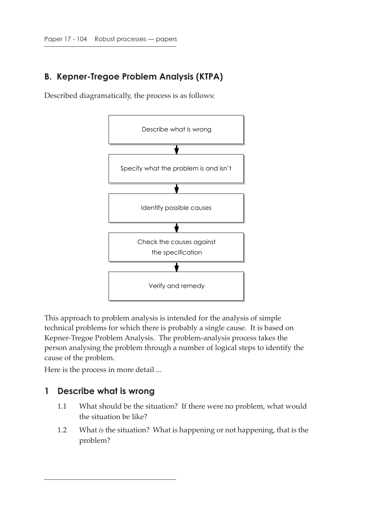## **B. Kepner-Tregoe Problem Analysis (KTPA)**

Described diagramatically, the process is as follows:



This approach to problem analysis is intended for the analysis of simple technical problems for which there is probably a single cause. It is based on Kepner-Tregoe Problem Analysis. The problem-analysis process takes the person analysing the problem through a number of logical steps to identify the cause of the problem.

Here is the process in more detail ...

## **1 Describe what is wrong**

- 1.1 What should be the situation? If there were no problem, what would the situation be like?
- 1.2 What *is* the situation? What is happening or not happening, that is the problem?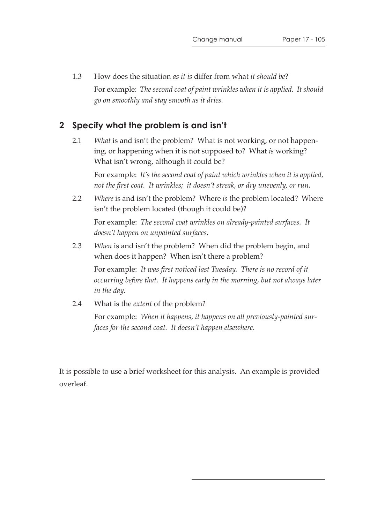1.3 How does the situation *as it is* differ from what *it should be*? For example: *The second coat of paint wrinkles when it is applied. It should go on smoothly and stay smooth as it dries.*

#### **2 Specify what the problem is and isn't**

2.1 *What* is and isn't the problem? What is not working, or not happening, or happening when it is not supposed to? What *is* working? What isn't wrong, although it could be?

For example: *It's the second coat of paint which wrinkles when it is applied, not the first coat. It wrinkles; it doesn't streak, or dry unevenly, or run.*

2.2 *Where* is and isn't the problem? Where *is* the problem located? Where isn't the problem located (though it could be)?

For example: *The second coat wrinkles on already-painted surfaces. It doesn't happen on unpainted surfaces.*

2.3 *When* is and isn't the problem? When did the problem begin, and when does it happen? When isn't there a problem?

For example: *It was first noticed last Tuesday. There is no record of it occurring before that. It happens early in the morning, but not always later in the day.*

2.4 What is the *extent* of the problem?

For example: *When it happens, it happens on all previously-painted surfaces for the second coat. It doesn't happen elsewhere*.

It is possible to use a brief worksheet for this analysis. An example is provided overleaf.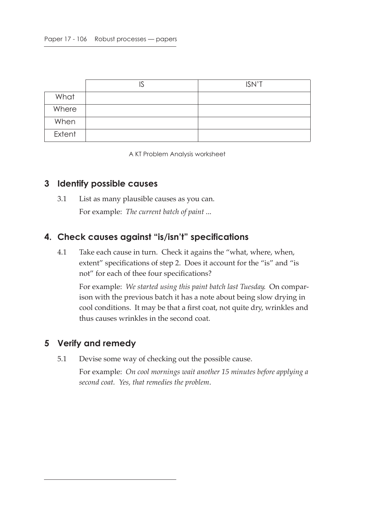|        | ISN'T |
|--------|-------|
| What   |       |
| Where  |       |
| When   |       |
| Extent |       |

A KT Problem Analysis worksheet

#### **3 Identify possible causes**

3.1 List as many plausible causes as you can. For example: *The current batch of paint* ...

#### **4. Check causes against "is/isn't" specifications**

4.1 Take each cause in turn. Check it agains the "what, where, when, extent" specifications of step 2. Does it account for the "is" and "is not" for each of thee four specifications?

For example: *We started using this paint batch last Tuesday*. On comparison with the previous batch it has a note about being slow drying in cool conditions. It may be that a first coat, not quite dry, wrinkles and thus causes wrinkles in the second coat.

#### **5 Verify and remedy**

5.1 Devise some way of checking out the possible cause.

For example: *On cool mornings wait another 15 minutes before applying a second coat. Yes, that remedies the problem*.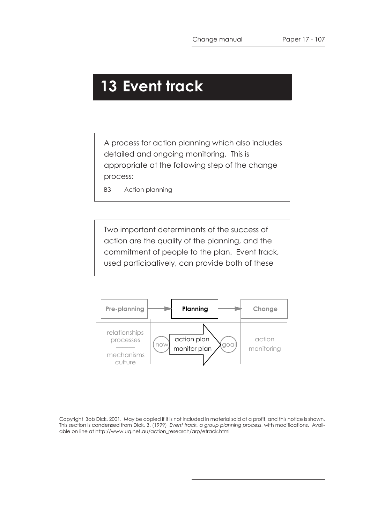## **13 Event track**

A process for action planning which also includes detailed and ongoing monitoring. This is appropriate at the following step of the change process:

B3 Action planning

Two important determinants of the success of action are the quality of the planning, and the commitment of people to the plan. Event track, used participatively, can provide both of these



Copyright Bob Dick, 2001. May be copied if it is not included in material sold at a profit, and this notice is shown. This section is condensed from Dick, B. (1999) *Event track, a group planning process*, with modifications. Available on line at http://www.uq.net.au/action\_research/arp/etrack.html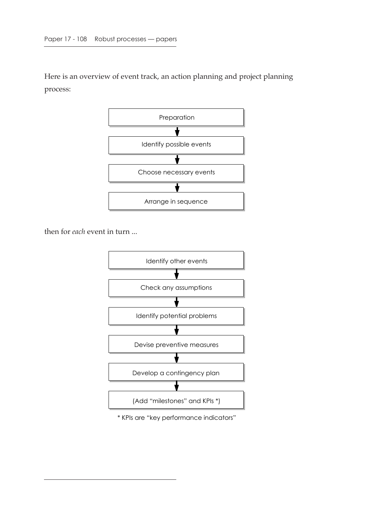Here is an overview of event track, an action planning and project planning process:



then for *each* event in turn ...



\* KPIs are "key performance indicators"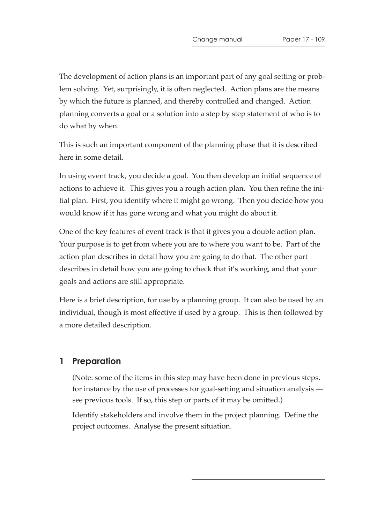The development of action plans is an important part of any goal setting or problem solving. Yet, surprisingly, it is often neglected. Action plans are the means by which the future is planned, and thereby controlled and changed. Action planning converts a goal or a solution into a step by step statement of who is to do what by when.

This is such an important component of the planning phase that it is described here in some detail.

In using event track, you decide a goal. You then develop an initial sequence of actions to achieve it. This gives you a rough action plan. You then refine the initial plan. First, you identify where it might go wrong. Then you decide how you would know if it has gone wrong and what you might do about it.

One of the key features of event track is that it gives you a double action plan. Your purpose is to get from where you are to where you want to be. Part of the action plan describes in detail how you are going to do that. The other part describes in detail how you are going to check that it's working, and that your goals and actions are still appropriate.

Here is a brief description, for use by a planning group. It can also be used by an individual, though is most effective if used by a group. This is then followed by a more detailed description.

### **1 Preparation**

(Note: some of the items in this step may have been done in previous steps, for instance by the use of processes for goal-setting and situation analysis see previous tools. If so, this step or parts of it may be omitted.)

Identify stakeholders and involve them in the project planning. Define the project outcomes. Analyse the present situation.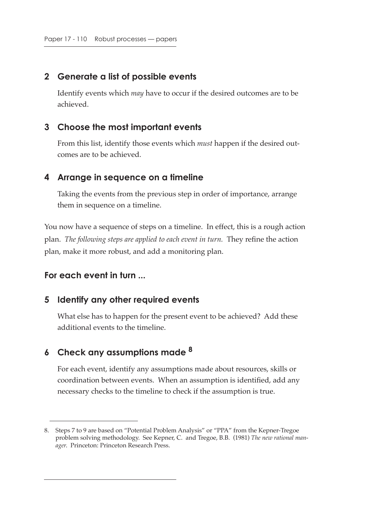# **2 Generate a list of possible events**

Identify events which *may* have to occur if the desired outcomes are to be achieved.

### **3 Choose the most important events**

From this list, identify those events which *must* happen if the desired outcomes are to be achieved.

### **4 Arrange in sequence on a timeline**

Taking the events from the previous step in order of importance, arrange them in sequence on a timeline.

You now have a sequence of steps on a timeline. In effect, this is a rough action plan. *The following steps are applied to each event in turn.* They refine the action plan, make it more robust, and add a monitoring plan.

### **For each event in turn ...**

### **5 Identify any other required events**

What else has to happen for the present event to be achieved? Add these additional events to the timeline.

### **6 Check any assumptions made <sup>8</sup>**

For each event, identify any assumptions made about resources, skills or coordination between events. When an assumption is identified, add any necessary checks to the timeline to check if the assumption is true.

<sup>8.</sup> Steps 7 to 9 are based on "Potential Problem Analysis" or "PPA" from the Kepner-Tregoe problem solving methodology. See Kepner, C. and Tregoe, B.B. (1981) *The new rational manager*. Princeton: Princeton Research Press.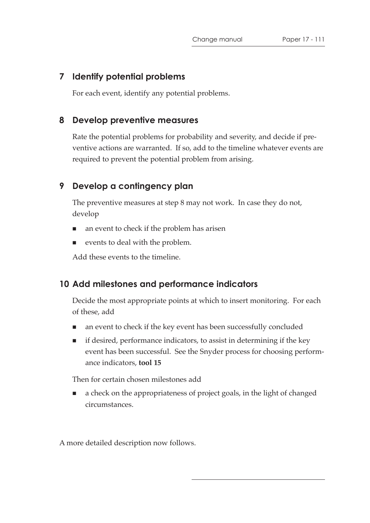# **7 Identify potential problems**

For each event, identify any potential problems.

### **8 Develop preventive measures**

Rate the potential problems for probability and severity, and decide if preventive actions are warranted. If so, add to the timeline whatever events are required to prevent the potential problem from arising.

# **9 Develop a contingency plan**

The preventive measures at step 8 may not work. In case they do not, develop

- an event to check if the problem has arisen
- events to deal with the problem.

Add these events to the timeline.

# **10 Add milestones and performance indicators**

Decide the most appropriate points at which to insert monitoring. For each of these, add

- an event to check if the key event has been successfully concluded
- **i** if desired, performance indicators, to assist in determining if the key event has been successful. See the Snyder process for choosing performance indicators, **tool 15**

Then for certain chosen milestones add

 a check on the appropriateness of project goals, in the light of changed circumstances.

A more detailed description now follows.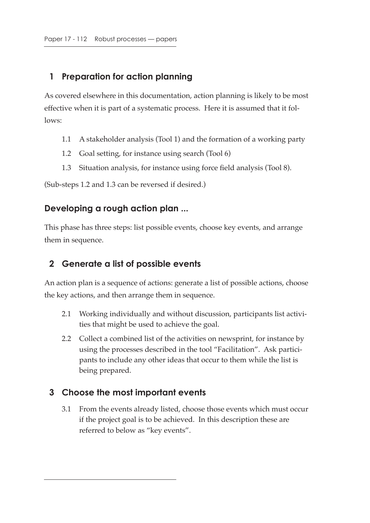# **1 Preparation for action planning**

As covered elsewhere in this documentation, action planning is likely to be most effective when it is part of a systematic process. Here it is assumed that it follows:

- 1.1 A stakeholder analysis (Tool 1) and the formation of a working party
- 1.2 Goal setting, for instance using search (Tool 6)
- 1.3 Situation analysis, for instance using force field analysis (Tool 8).

(Sub-steps 1.2 and 1.3 can be reversed if desired.)

### **Developing a rough action plan ...**

This phase has three steps: list possible events, choose key events, and arrange them in sequence.

# **2 Generate a list of possible events**

An action plan is a sequence of actions: generate a list of possible actions, choose the key actions, and then arrange them in sequence.

- 2.1 Working individually and without discussion, participants list activities that might be used to achieve the goal.
- 2.2 Collect a combined list of the activities on newsprint, for instance by using the processes described in the tool "Facilitation". Ask participants to include any other ideas that occur to them while the list is being prepared.

# **3 Choose the most important events**

3.1 From the events already listed, choose those events which must occur if the project goal is to be achieved. In this description these are referred to below as "key events".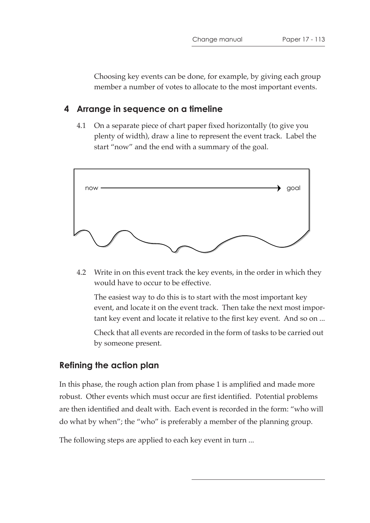Choosing key events can be done, for example, by giving each group member a number of votes to allocate to the most important events.

#### **4 Arrange in sequence on a timeline**

4.1 On a separate piece of chart paper fixed horizontally (to give you plenty of width), draw a line to represent the event track. Label the start "now" and the end with a summary of the goal.



4.2 Write in on this event track the key events, in the order in which they would have to occur to be effective.

The easiest way to do this is to start with the most important key event, and locate it on the event track. Then take the next most important key event and locate it relative to the first key event. And so on ...

Check that all events are recorded in the form of tasks to be carried out by someone present.

#### **Refining the action plan**

In this phase, the rough action plan from phase 1 is amplified and made more robust. Other events which must occur are first identified. Potential problems are then identified and dealt with. Each event is recorded in the form: "who will do what by when"; the "who" is preferably a member of the planning group.

The following steps are applied to each key event in turn ...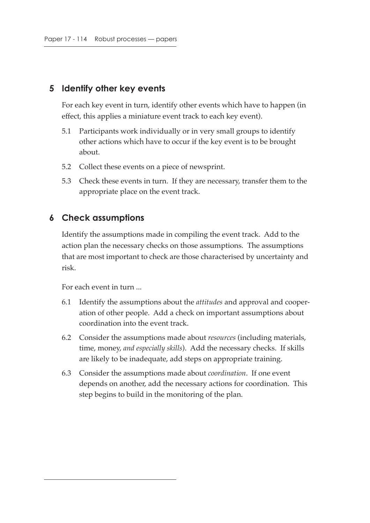#### **5 Identify other key events**

For each key event in turn, identify other events which have to happen (in effect, this applies a miniature event track to each key event).

- 5.1 Participants work individually or in very small groups to identify other actions which have to occur if the key event is to be brought about.
- 5.2 Collect these events on a piece of newsprint.
- 5.3 Check these events in turn. If they are necessary, transfer them to the appropriate place on the event track.

### **6 Check assumptions**

Identify the assumptions made in compiling the event track. Add to the action plan the necessary checks on those assumptions. The assumptions that are most important to check are those characterised by uncertainty and risk.

For each event in turn ...

- 6.1 Identify the assumptions about the *attitudes* and approval and cooperation of other people. Add a check on important assumptions about coordination into the event track.
- 6.2 Consider the assumptions made about *resources* (including materials, time, money, *and especially skills*). Add the necessary checks. If skills are likely to be inadequate, add steps on appropriate training.
- 6.3 Consider the assumptions made about *coordination*. If one event depends on another, add the necessary actions for coordination. This step begins to build in the monitoring of the plan.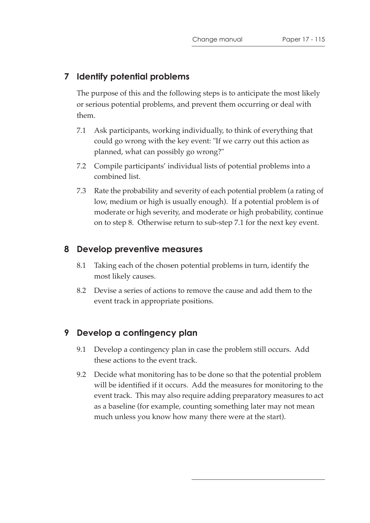### **7 Identify potential problems**

The purpose of this and the following steps is to anticipate the most likely or serious potential problems, and prevent them occurring or deal with them.

- 7.1 Ask participants, working individually, to think of everything that could go wrong with the key event: "If we carry out this action as planned, what can possibly go wrong?"
- 7.2 Compile participants' individual lists of potential problems into a combined list.
- 7.3 Rate the probability and severity of each potential problem (a rating of low, medium or high is usually enough). If a potential problem is of moderate or high severity, and moderate or high probability, continue on to step 8. Otherwise return to sub-step 7.1 for the next key event.

### **8 Develop preventive measures**

- 8.1 Taking each of the chosen potential problems in turn, identify the most likely causes.
- 8.2 Devise a series of actions to remove the cause and add them to the event track in appropriate positions.

### **9 Develop a contingency plan**

- 9.1 Develop a contingency plan in case the problem still occurs. Add these actions to the event track.
- 9.2 Decide what monitoring has to be done so that the potential problem will be identified if it occurs. Add the measures for monitoring to the event track. This may also require adding preparatory measures to act as a baseline (for example, counting something later may not mean much unless you know how many there were at the start).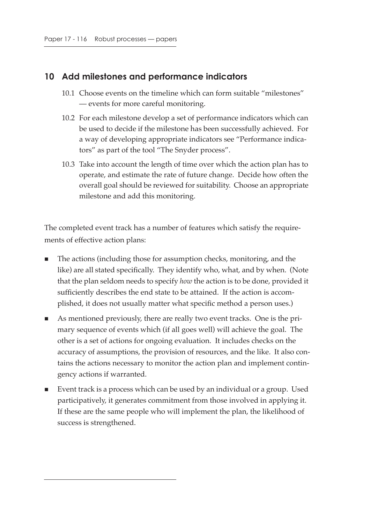### **10 Add milestones and performance indicators**

- 10.1 Choose events on the timeline which can form suitable "milestones" — events for more careful monitoring.
- 10.2 For each milestone develop a set of performance indicators which can be used to decide if the milestone has been successfully achieved. For a way of developing appropriate indicators see "Performance indicators" as part of the tool "The Snyder process".
- 10.3 Take into account the length of time over which the action plan has to operate, and estimate the rate of future change. Decide how often the overall goal should be reviewed for suitability. Choose an appropriate milestone and add this monitoring.

The completed event track has a number of features which satisfy the requirements of effective action plans:

- The actions (including those for assumption checks, monitoring, and the like) are all stated specifically. They identify who, what, and by when. (Note that the plan seldom needs to specify *how* the action is to be done, provided it sufficiently describes the end state to be attained. If the action is accomplished, it does not usually matter what specific method a person uses.)
- As mentioned previously, there are really two event tracks. One is the primary sequence of events which (if all goes well) will achieve the goal. The other is a set of actions for ongoing evaluation. It includes checks on the accuracy of assumptions, the provision of resources, and the like. It also contains the actions necessary to monitor the action plan and implement contingency actions if warranted.
- Event track is a process which can be used by an individual or a group. Used participatively, it generates commitment from those involved in applying it. If these are the same people who will implement the plan, the likelihood of success is strengthened.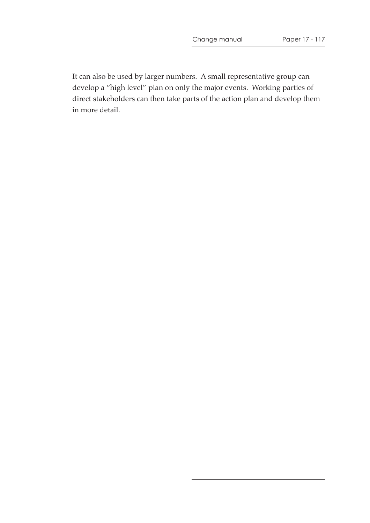It can also be used by larger numbers. A small representative group can develop a "high level" plan on only the major events. Working parties of direct stakeholders can then take parts of the action plan and develop them in more detail.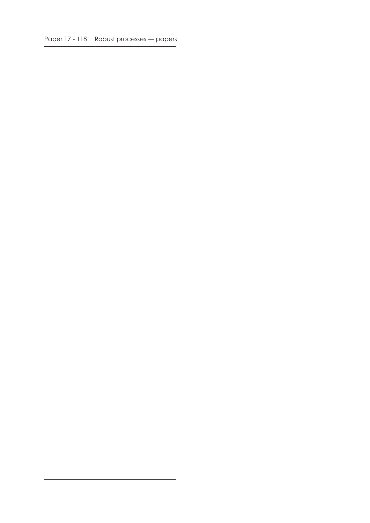Paper 17 - 118 Robust processes — papers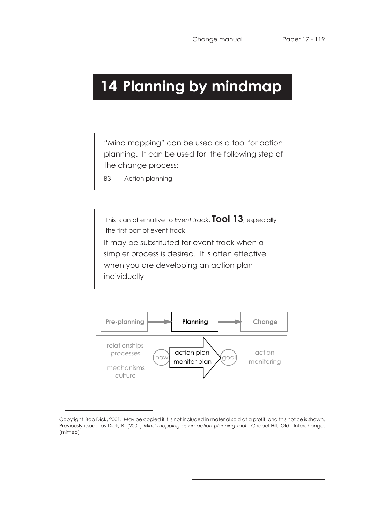# **14 Planning by mindmap**

"Mind mapping" can be used as a tool for action planning. It can be used for the following step of the change process:

B3 Action planning

This is an alternative to *Event track*, **Tool 13**, especially the first part of event track It may be substituted for event track when a simpler process is desired. It is often effective when you are developing an action plan individually



Copyright Bob Dick, 2001. May be copied if it is not included in material sold at a profit, and this notice is shown. Previously issued as Dick, B. (2001) *Mind mapping as an action planning tool*. Chapel Hill, Qld.: Interchange. [mimeo]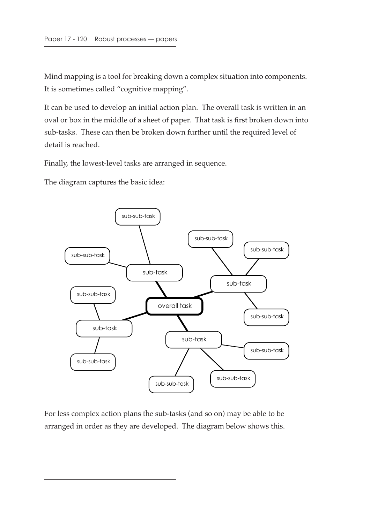Mind mapping is a tool for breaking down a complex situation into components. It is sometimes called "cognitive mapping".

It can be used to develop an initial action plan. The overall task is written in an oval or box in the middle of a sheet of paper. That task is first broken down into sub-tasks. These can then be broken down further until the required level of detail is reached.

Finally, the lowest-level tasks are arranged in sequence.

The diagram captures the basic idea:



For less complex action plans the sub-tasks (and so on) may be able to be arranged in order as they are developed. The diagram below shows this.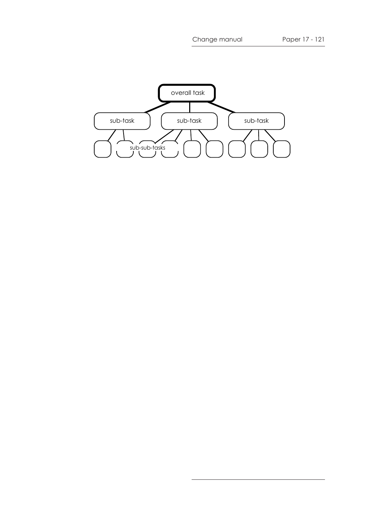Change manual Paper 17 - 121

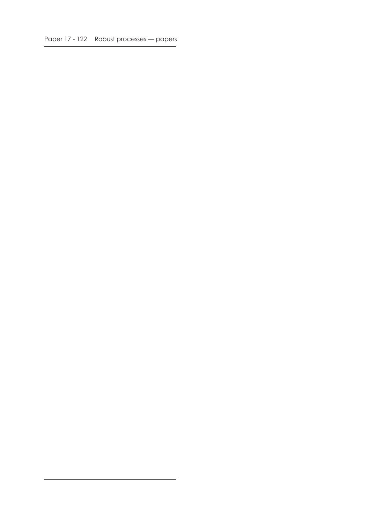Paper 17 - 122 Robust processes — papers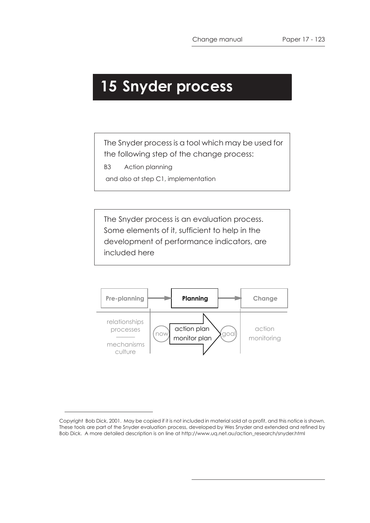# **15 Snyder process**

The Snyder process is a tool which may be used for the following step of the change process:

B3 Action planning

and also at step C1, implementation

The Snyder process is an evaluation process. Some elements of it, sufficient to help in the development of performance indicators, are included here



Copyright Bob Dick, 2001. May be copied if it is not included in material sold at a profit, and this notice is shown. These tools are part of the Snyder evaluation process, developed by Wes Snyder and extended and refined by Bob Dick. A more detailed description is on line at http://www.uq.net.au/action\_research/snyder.html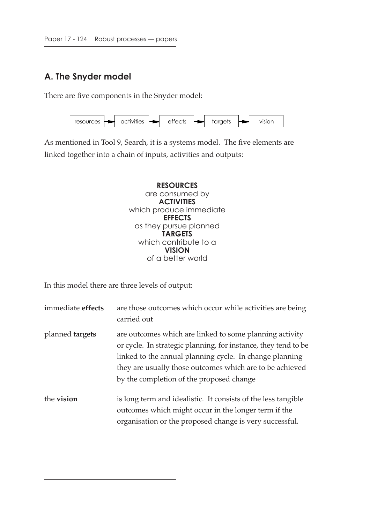# **A. The Snyder model**

There are five components in the Snyder model:



As mentioned in Tool 9, Search, it is a systems model. The five elements are linked together into a chain of inputs, activities and outputs:

> **RESOURCES** are consumed by **ACTIVITIES** which produce immediate **EFFECTS** as they pursue planned **TARGETS** which contribute to a **VISION** of a better world

In this model there are three levels of output:

| immediate effects | are those outcomes which occur while activities are being<br>carried out                                                                                                                                                                                                                     |
|-------------------|----------------------------------------------------------------------------------------------------------------------------------------------------------------------------------------------------------------------------------------------------------------------------------------------|
| planned targets   | are outcomes which are linked to some planning activity<br>or cycle. In strategic planning, for instance, they tend to be<br>linked to the annual planning cycle. In change planning<br>they are usually those outcomes which are to be achieved<br>by the completion of the proposed change |
| the <b>vision</b> | is long term and idealistic. It consists of the less tangible<br>outcomes which might occur in the longer term if the<br>organisation or the proposed change is very successful.                                                                                                             |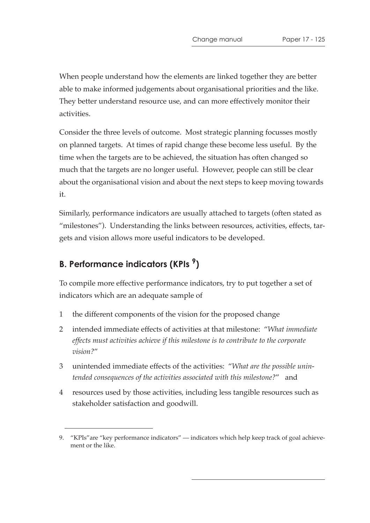When people understand how the elements are linked together they are better able to make informed judgements about organisational priorities and the like. They better understand resource use, and can more effectively monitor their activities.

Consider the three levels of outcome. Most strategic planning focusses mostly on planned targets. At times of rapid change these become less useful. By the time when the targets are to be achieved, the situation has often changed so much that the targets are no longer useful. However, people can still be clear about the organisational vision and about the next steps to keep moving towards it.

Similarly, performance indicators are usually attached to targets (often stated as "milestones"). Understanding the links between resources, activities, effects, targets and vision allows more useful indicators to be developed.

# **B. Performance indicators (KPIs 9)**

To compile more effective performance indicators, try to put together a set of indicators which are an adequate sample of

- 1 the different components of the vision for the proposed change
- 2 intended immediate effects of activities at that milestone: "*What immediate effects must activities achieve if this milestone is to contribute to the corporate vision?*"
- 3 unintended immediate effects of the activities: "*What are the possible unintended consequences of the activities associated with this milestone?*" and
- 4 resources used by those activities, including less tangible resources such as stakeholder satisfaction and goodwill.

<sup>9. &</sup>quot;KPIs"are "key performance indicators" — indicators which help keep track of goal achievement or the like.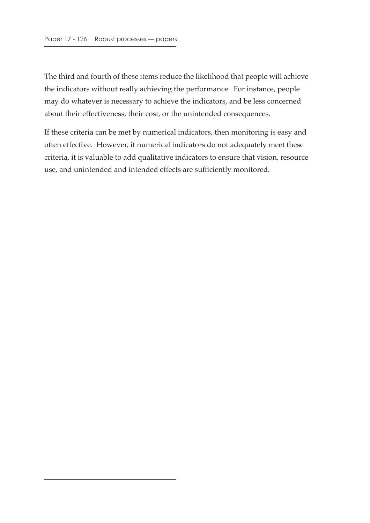The third and fourth of these items reduce the likelihood that people will achieve the indicators without really achieving the performance. For instance, people may do whatever is necessary to achieve the indicators, and be less concerned about their effectiveness, their cost, or the unintended consequences.

If these criteria can be met by numerical indicators, then monitoring is easy and often effective. However, if numerical indicators do not adequately meet these criteria, it is valuable to add qualitative indicators to ensure that vision, resource use, and unintended and intended effects are sufficiently monitored.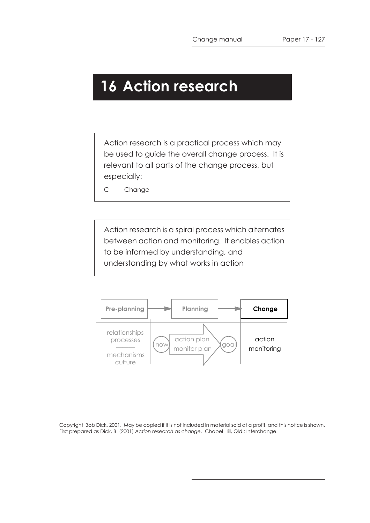# **16 Action research**

Action research is a practical process which may be used to guide the overall change process. It is relevant to all parts of the change process, but especially:

C Change

Action research is a spiral process which alternates between action and monitoring. It enables action to be informed by understanding, and understanding by what works in action



Copyright Bob Dick, 2001. May be copied if it is not included in material sold at a profit, and this notice is shown. First prepared as Dick, B. (2001) *Action research as change*. Chapel Hill, Qld.: Interchange.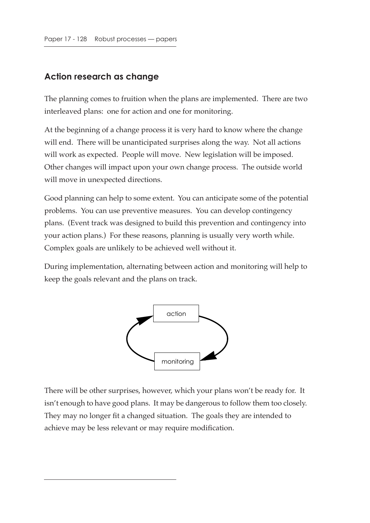### **Action research as change**

The planning comes to fruition when the plans are implemented. There are two interleaved plans: one for action and one for monitoring.

At the beginning of a change process it is very hard to know where the change will end. There will be unanticipated surprises along the way. Not all actions will work as expected. People will move. New legislation will be imposed. Other changes will impact upon your own change process. The outside world will move in unexpected directions.

Good planning can help to some extent. You can anticipate some of the potential problems. You can use preventive measures. You can develop contingency plans. (Event track was designed to build this prevention and contingency into your action plans.) For these reasons, planning is usually very worth while. Complex goals are unlikely to be achieved well without it.

During implementation, alternating between action and monitoring will help to keep the goals relevant and the plans on track.



There will be other surprises, however, which your plans won't be ready for. It isn't enough to have good plans. It may be dangerous to follow them too closely. They may no longer fit a changed situation. The goals they are intended to achieve may be less relevant or may require modification.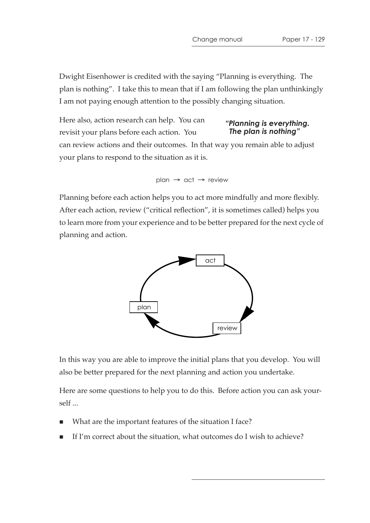Dwight Eisenhower is credited with the saying "Planning is everything. The plan is nothing". I take this to mean that if I am following the plan unthinkingly I am not paying enough attention to the possibly changing situation.

Here also, action research can help. You can revisit your plans before each action. You can review actions and their outcomes. In that way you remain able to adjust your plans to respond to the situation as it is. *"Planning is everything. The plan is nothing"*

$$
plan \rightarrow act \rightarrow review
$$

Planning before each action helps you to act more mindfully and more flexibly. After each action, review ("critical reflection", it is sometimes called) helps you to learn more from your experience and to be better prepared for the next cycle of planning and action.



In this way you are able to improve the initial plans that you develop. You will also be better prepared for the next planning and action you undertake.

Here are some questions to help you to do this. Before action you can ask yourself ...

- What are the important features of the situation I face?
- If I'm correct about the situation, what outcomes do I wish to achieve?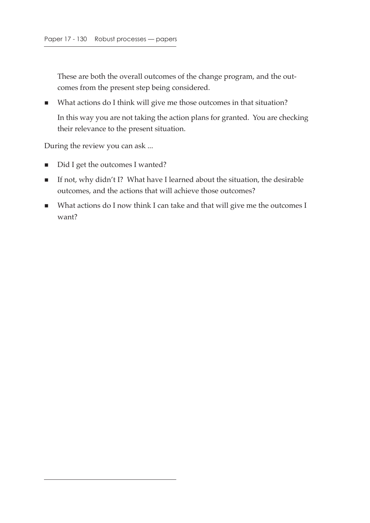These are both the overall outcomes of the change program, and the outcomes from the present step being considered.

■ What actions do I think will give me those outcomes in that situation? In this way you are not taking the action plans for granted. You are checking their relevance to the present situation.

During the review you can ask ...

- Did I get the outcomes I wanted?
- If not, why didn't I? What have I learned about the situation, the desirable outcomes, and the actions that will achieve those outcomes?
- What actions do I now think I can take and that will give me the outcomes I want?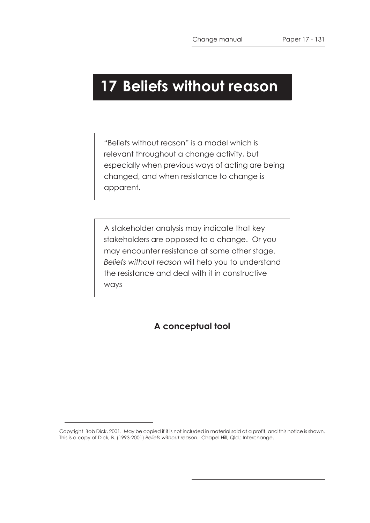# **17 Beliefs without reason**

"Beliefs without reason" is a model which is relevant throughout a change activity, but especially when previous ways of acting are being changed, and when resistance to change is apparent.

A stakeholder analysis may indicate that key stakeholders are opposed to a change. Or you may encounter resistance at some other stage. *Beliefs without reason* will help you to understand the resistance and deal with it in constructive ways

# **A conceptual tool**

Copyright Bob Dick, 2001. May be copied if it is not included in material sold at a profit, and this notice is shown. This is a copy of Dick, B. (1993-2001) *Beliefs without reason*. Chapel Hill, Qld.: Interchange.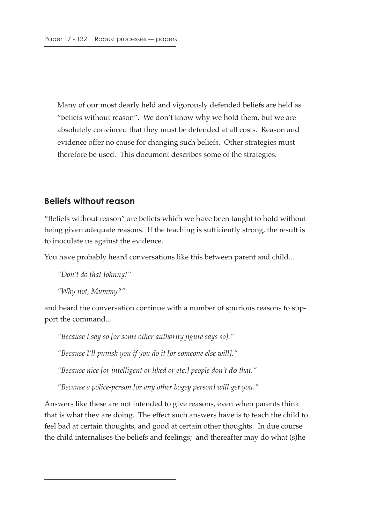Many of our most dearly held and vigorously defended beliefs are held as "beliefs without reason". We don't know why we hold them, but we are absolutely convinced that they must be defended at all costs. Reason and evidence offer no cause for changing such beliefs. Other strategies must therefore be used. This document describes some of the strategies.

#### **Beliefs without reason**

"Beliefs without reason" are beliefs which we have been taught to hold without being given adequate reasons. If the teaching is sufficiently strong, the result is to inoculate us against the evidence.

You have probably heard conversations like this between parent and child...

*"Don't do that Johnny!"*

*"Why not, Mummy?"*

and heard the conversation continue with a number of spurious reasons to support the command...

*"Because I say so [or some other authority figure says so]."*

*"Because I'll punish you if you do it [or someone else will]."*

*"Because nice [or intelligent or liked or etc.] people don't do that."*

*"Because a police-person [or any other bogey person] will get you."*

Answers like these are not intended to give reasons, even when parents think that is what they are doing. The effect such answers have is to teach the child to feel bad at certain thoughts, and good at certain other thoughts. In due course the child internalises the beliefs and feelings; and thereafter may do what (s)he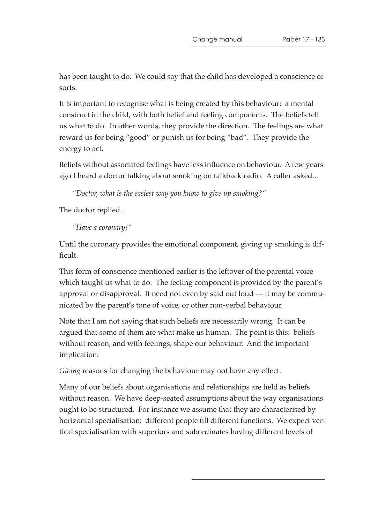has been taught to do. We could say that the child has developed a conscience of sorts.

It is important to recognise what is being created by this behaviour: a mental construct in the child, with both belief and feeling components. The beliefs tell us what to do. In other words, they provide the direction. The feelings are what reward us for being "good" or punish us for being "bad". They provide the energy to act.

Beliefs without associated feelings have less influence on behaviour. A few years ago I heard a doctor talking about smoking on talkback radio. A caller asked...

*"Doctor, what is the easiest way you know to give up smoking?"*

The doctor replied...

#### *"Have a coronary!"*

Until the coronary provides the emotional component, giving up smoking is difficult.

This form of conscience mentioned earlier is the leftover of the parental voice which taught us what to do. The feeling component is provided by the parent's approval or disapproval. It need not even by said out loud — it may be communicated by the parent's tone of voice, or other non-verbal behaviour.

Note that I am not saying that such beliefs are necessarily wrong. It can be argued that some of them are what make us human. The point is this: beliefs without reason, and with feelings, shape our behaviour. And the important implication:

*Giving* reasons for changing the behaviour may not have any effect.

Many of our beliefs about organisations and relationships are held as beliefs without reason. We have deep-seated assumptions about the way organisations ought to be structured. For instance we assume that they are characterised by horizontal specialisation: different people fill different functions. We expect vertical specialisation with superiors and subordinates having different levels of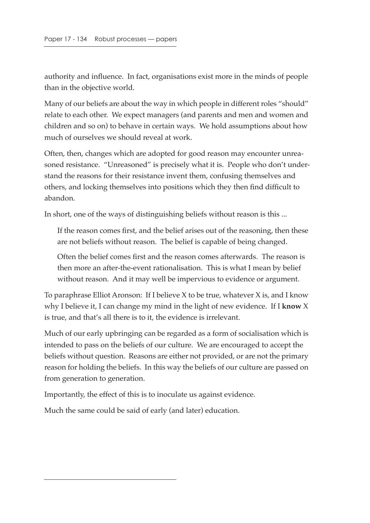authority and influence. In fact, organisations exist more in the minds of people than in the objective world.

Many of our beliefs are about the way in which people in different roles "should" relate to each other. We expect managers (and parents and men and women and children and so on) to behave in certain ways. We hold assumptions about how much of ourselves we should reveal at work.

Often, then, changes which are adopted for good reason may encounter unreasoned resistance. "Unreasoned" is precisely what it is. People who don't understand the reasons for their resistance invent them, confusing themselves and others, and locking themselves into positions which they then find difficult to abandon.

In short, one of the ways of distinguishing beliefs without reason is this ...

If the reason comes first, and the belief arises out of the reasoning, then these are not beliefs without reason. The belief is capable of being changed.

Often the belief comes first and the reason comes afterwards. The reason is then more an after-the-event rationalisation. This is what I mean by belief without reason. And it may well be impervious to evidence or argument.

To paraphrase Elliot Aronson: If I believe X to be true, whatever X is, and I know why I believe it, I can change my mind in the light of new evidence. If I **know** X is true, and that's all there is to it, the evidence is irrelevant.

Much of our early upbringing can be regarded as a form of socialisation which is intended to pass on the beliefs of our culture. We are encouraged to accept the beliefs without question. Reasons are either not provided, or are not the primary reason for holding the beliefs. In this way the beliefs of our culture are passed on from generation to generation.

Importantly, the effect of this is to inoculate us against evidence.

Much the same could be said of early (and later) education.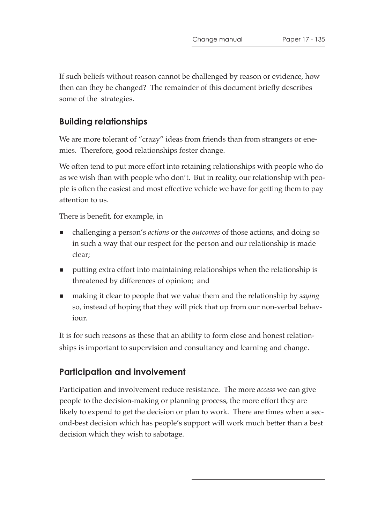If such beliefs without reason cannot be challenged by reason or evidence, how then can they be changed? The remainder of this document briefly describes some of the strategies.

# **Building relationships**

We are more tolerant of "crazy" ideas from friends than from strangers or enemies. Therefore, good relationships foster change.

We often tend to put more effort into retaining relationships with people who do as we wish than with people who don't. But in reality, our relationship with people is often the easiest and most effective vehicle we have for getting them to pay attention to us.

There is benefit, for example, in

- challenging a person's *actions* or the *outcomes* of those actions, and doing so in such a way that our respect for the person and our relationship is made clear;
- **Putting extra effort into maintaining relationships when the relationship is** threatened by differences of opinion; and
- making it clear to people that we value them and the relationship by *saying* so, instead of hoping that they will pick that up from our non-verbal behaviour

It is for such reasons as these that an ability to form close and honest relationships is important to supervision and consultancy and learning and change.

# **Participation and involvement**

Participation and involvement reduce resistance. The more *access* we can give people to the decision-making or planning process, the more effort they are likely to expend to get the decision or plan to work. There are times when a second-best decision which has people's support will work much better than a best decision which they wish to sabotage.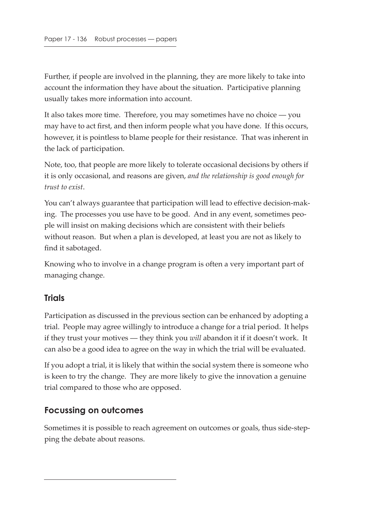Further, if people are involved in the planning, they are more likely to take into account the information they have about the situation. Participative planning usually takes more information into account.

It also takes more time. Therefore, you may sometimes have no choice — you may have to act first, and then inform people what you have done. If this occurs, however, it is pointless to blame people for their resistance. That was inherent in the lack of participation.

Note, too, that people are more likely to tolerate occasional decisions by others if it is only occasional, and reasons are given, *and the relationship is good enough for trust to exist*.

You can't always guarantee that participation will lead to effective decision-making. The processes you use have to be good. And in any event, sometimes people will insist on making decisions which are consistent with their beliefs without reason. But when a plan is developed, at least you are not as likely to find it sabotaged.

Knowing who to involve in a change program is often a very important part of managing change.

### **Trials**

Participation as discussed in the previous section can be enhanced by adopting a trial. People may agree willingly to introduce a change for a trial period. It helps if they trust your motives — they think you *will* abandon it if it doesn't work. It can also be a good idea to agree on the way in which the trial will be evaluated.

If you adopt a trial, it is likely that within the social system there is someone who is keen to try the change. They are more likely to give the innovation a genuine trial compared to those who are opposed.

### **Focussing on outcomes**

Sometimes it is possible to reach agreement on outcomes or goals, thus side-stepping the debate about reasons.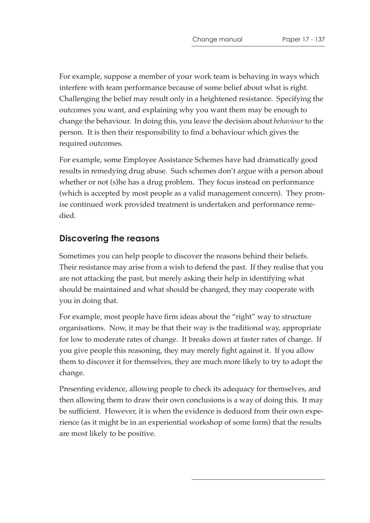For example, suppose a member of your work team is behaving in ways which interfere with team performance because of some belief about what is right. Challenging the belief may result only in a heightened resistance. Specifying the outcomes you want, and explaining why you want them may be enough to change the behaviour. In doing this, you leave the decision about *behaviour* to the person. It is then their responsibility to find a behaviour which gives the required outcomes.

For example, some Employee Assistance Schemes have had dramatically good results in remedying drug abuse. Such schemes don't argue with a person about whether or not (s)he has a drug problem. They focus instead on performance (which is accepted by most people as a valid management concern). They promise continued work provided treatment is undertaken and performance remedied.

### **Discovering the reasons**

Sometimes you can help people to discover the reasons behind their beliefs. Their resistance may arise from a wish to defend the past. If they realise that you are not attacking the past, but merely asking their help in identifying what should be maintained and what should be changed, they may cooperate with you in doing that.

For example, most people have firm ideas about the "right" way to structure organisations. Now, it may be that their way is the traditional way, appropriate for low to moderate rates of change. It breaks down at faster rates of change. If you give people this reasoning, they may merely fight against it. If you allow them to discover it for themselves, they are much more likely to try to adopt the change.

Presenting evidence, allowing people to check its adequacy for themselves, and then allowing them to draw their own conclusions is a way of doing this. It may be sufficient. However, it is when the evidence is deduced from their own experience (as it might be in an experiential workshop of some form) that the results are most likely to be positive.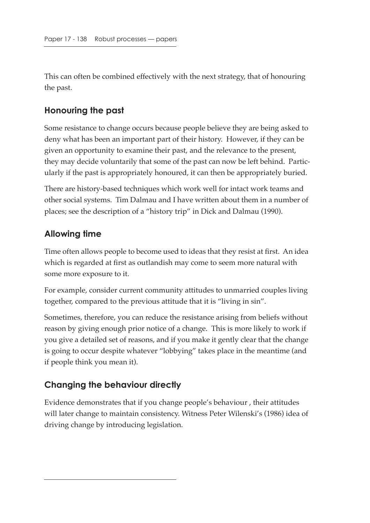This can often be combined effectively with the next strategy, that of honouring the past.

### **Honouring the past**

Some resistance to change occurs because people believe they are being asked to deny what has been an important part of their history. However, if they can be given an opportunity to examine their past, and the relevance to the present, they may decide voluntarily that some of the past can now be left behind. Particularly if the past is appropriately honoured, it can then be appropriately buried.

There are history-based techniques which work well for intact work teams and other social systems. Tim Dalmau and I have written about them in a number of places; see the description of a "history trip" in Dick and Dalmau (1990).

### **Allowing time**

Time often allows people to become used to ideas that they resist at first. An idea which is regarded at first as outlandish may come to seem more natural with some more exposure to it.

For example, consider current community attitudes to unmarried couples living together, compared to the previous attitude that it is "living in sin".

Sometimes, therefore, you can reduce the resistance arising from beliefs without reason by giving enough prior notice of a change. This is more likely to work if you give a detailed set of reasons, and if you make it gently clear that the change is going to occur despite whatever "lobbying" takes place in the meantime (and if people think you mean it).

# **Changing the behaviour directly**

Evidence demonstrates that if you change people's behaviour , their attitudes will later change to maintain consistency. Witness Peter Wilenski's (1986) idea of driving change by introducing legislation.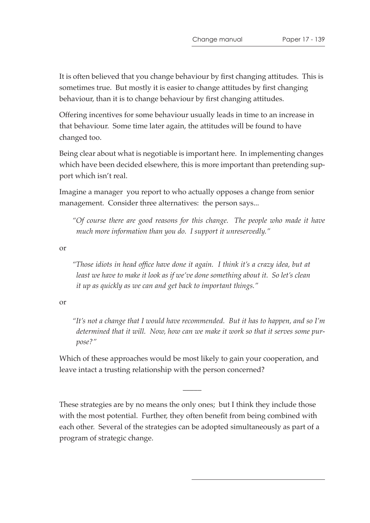It is often believed that you change behaviour by first changing attitudes. This is sometimes true. But mostly it is easier to change attitudes by first changing behaviour, than it is to change behaviour by first changing attitudes.

Offering incentives for some behaviour usually leads in time to an increase in that behaviour. Some time later again, the attitudes will be found to have changed too.

Being clear about what is negotiable is important here. In implementing changes which have been decided elsewhere, this is more important than pretending support which isn't real.

Imagine a manager you report to who actually opposes a change from senior management. Consider three alternatives: the person says...

*"Of course there are good reasons for this change. The people who made it have much more information than you do. I support it unreservedly."*

or

*"Those idiots in head office have done it again. I think it's a crazy idea, but at least we have to make it look as if we've done something about it. So let's clean it up as quickly as we can and get back to important things."*

or

*"It's not a change that I would have recommended. But it has to happen, and so I'm determined that it will. Now, how can we make it work so that it serves some purpose?"*

Which of these approaches would be most likely to gain your cooperation, and leave intact a trusting relationship with the person concerned?

 $\overline{\phantom{a}}$ 

These strategies are by no means the only ones; but I think they include those with the most potential. Further, they often benefit from being combined with each other. Several of the strategies can be adopted simultaneously as part of a program of strategic change.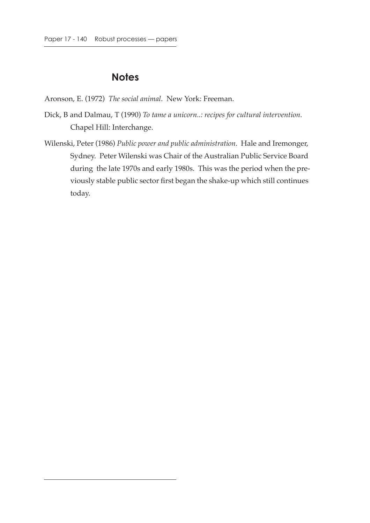# **Notes**

Aronson, E. (1972) *The social animal*. New York: Freeman.

- Dick, B and Dalmau, T (1990) *To tame a unicorn..: recipes for cultural intervention*. Chapel Hill: Interchange.
- Wilenski, Peter (1986) *Public power and public administration*. Hale and Iremonger, Sydney. Peter Wilenski was Chair of the Australian Public Service Board during the late 1970s and early 1980s. This was the period when the previously stable public sector first began the shake-up which still continues today.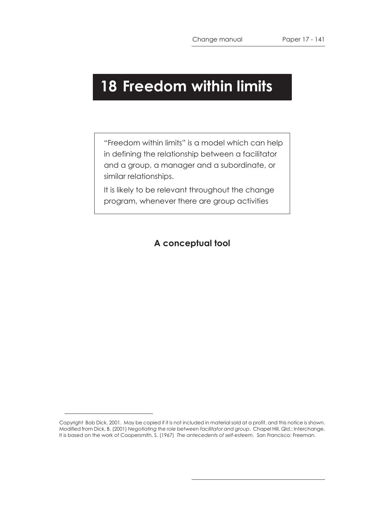# **18 Freedom within limits**

"Freedom within limits" is a model which can help in defining the relationship between a facilitator and a group, a manager and a subordinate, or similar relationships.

It is likely to be relevant throughout the change program, whenever there are group activities

### **A conceptual tool**

Copyright Bob Dick, 2001. May be copied if it is not included in material sold at a profit, and this notice is shown. Modified from Dick, B. (2001) *Negotiating the role between facilitator and group*. Chapel Hill, Qld.: Interchange. It is based on the work of Coopersmith, S. (1967) *The antecedents of self-esteem*. San Francisco: Freeman.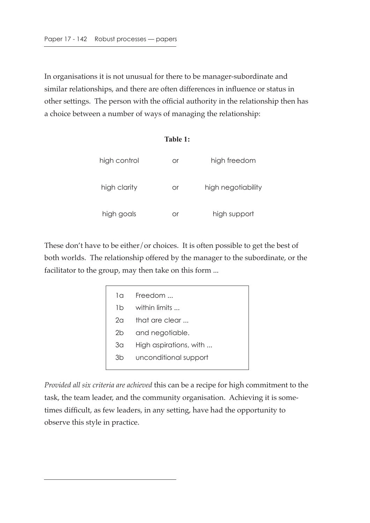In organisations it is not unusual for there to be manager-subordinate and similar relationships, and there are often differences in influence or status in other settings. The person with the official authority in the relationship then has a choice between a number of ways of managing the relationship:

|              | Table 1: |                    |
|--------------|----------|--------------------|
| high control | or       | high freedom       |
| high clarity | or       | high negotiability |
| high goals   | Ωr       | high support       |

These don't have to be either/or choices. It is often possible to get the best of both worlds. The relationship offered by the manager to the subordinate, or the facilitator to the group, may then take on this form ...

| $\overline{a}$ | Freedom                |
|----------------|------------------------|
| 1b.            | within limits          |
| 2α -           | that are clear         |
| 2b -           | and negotiable.        |
| 3a             | High aspirations, with |
| 3b.            | unconditional support  |
|                |                        |

*Provided all six criteria are achieved* this can be a recipe for high commitment to the task, the team leader, and the community organisation. Achieving it is sometimes difficult, as few leaders, in any setting, have had the opportunity to observe this style in practice.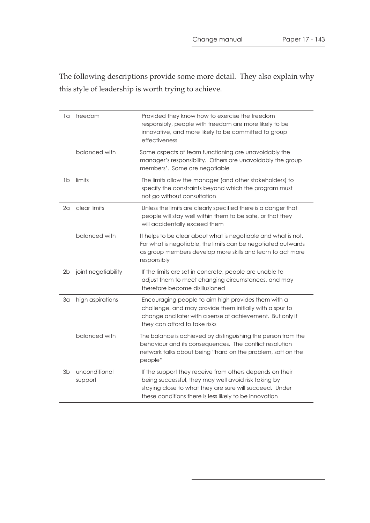The following descriptions provide some more detail. They also explain why this style of leadership is worth trying to achieve.

| 1 <sub>a</sub> | freedom                  | Provided they know how to exercise the freedom<br>responsibly, people with freedom are more likely to be<br>innovative, and more likely to be committed to group<br>effectiveness                                                     |
|----------------|--------------------------|---------------------------------------------------------------------------------------------------------------------------------------------------------------------------------------------------------------------------------------|
|                | balanced with            | Some aspects of team functioning are unavoidably the<br>manager's responsibility. Others are unavoidably the group<br>members'. Some are negotiable                                                                                   |
| 1 <sub>b</sub> | limits                   | The limits allow the manager (and other stakeholders) to<br>specify the constraints beyond which the program must<br>not go without consultation                                                                                      |
| 2a             | clear limits             | Unless the limits are clearly specified there is a danger that<br>people will stay well within them to be safe, or that they<br>will accidentally exceed them                                                                         |
|                | balanced with            | It helps to be clear about what is negotiable and what is not.<br>For what is negotiable, the limits can be negotiated outwards<br>as group members develop more skills and learn to act more<br>responsibly                          |
| 2b             | joint negotiability      | If the limits are set in concrete, people are unable to<br>adjust them to meet changing circumstances, and may<br>therefore become disillusioned                                                                                      |
| 3 <sub>a</sub> | high aspirations         | Encouraging people to aim high provides them with a<br>challenge, and may provide them initially with a spur to<br>change and later with a sense of achievement. But only if<br>they can afford to take risks                         |
|                | balanced with            | The balance is achieved by distinguishing the person from the<br>behaviour and its consequences. The conflict resolution<br>network talks about being "hard on the problem, soft on the<br>people"                                    |
| 3 <sub>b</sub> | unconditional<br>support | If the support they receive from others depends on their<br>being successful, they may well avoid risk taking by<br>staying close to what they are sure will succeed. Under<br>these conditions there is less likely to be innovation |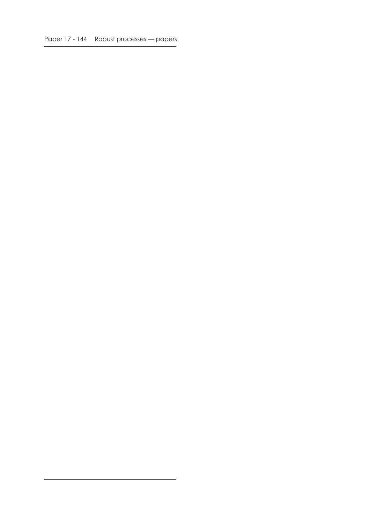Paper 17 - 144 Robust processes — papers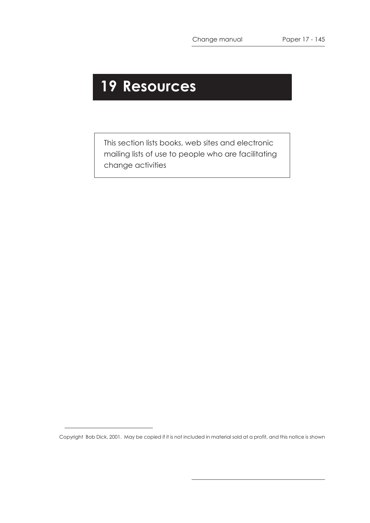# **19 Resources**

This section lists books, web sites and electronic mailing lists of use to people who are facilitating change activities

Copyright Bob Dick, 2001. May be copied if it is not included in material sold at a profit, and this notice is shown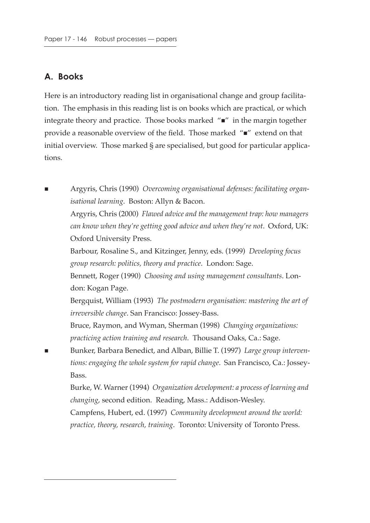### **A. Books**

Here is an introductory reading list in organisational change and group facilitation. The emphasis in this reading list is on books which are practical, or which integrate theory and practice. Those books marked  $\mathbf{w}$  in the margin together provide a reasonable overview of the field. Those marked " $\blacksquare$ " extend on that initial overview. Those marked § are specialised, but good for particular applications.

 Argyris, Chris (1990) *Overcoming organisational defenses: facilitating organisational learning*. Boston: Allyn & Bacon. Argyris, Chris (2000) *Flawed advice and the management trap: how managers can know when they're getting good advice and when they're not*. Oxford, UK: Oxford University Press. Barbour, Rosaline S., and Kitzinger, Jenny, eds. (1999) *Developing focus group research: politics, theory and practice*. London: Sage. Bennett, Roger (1990) *Choosing and using management consultants*. London: Kogan Page. Bergquist, William (1993) *The postmodern organisation: mastering the art of irreversible change*. San Francisco: Jossey-Bass. Bruce, Raymon, and Wyman, Sherman (1998) *Changing organizations: practicing action training and research*. Thousand Oaks, Ca.: Sage. Bunker, Barbara Benedict, and Alban, Billie T. (1997) *Large group interventions: engaging the whole system for rapid change*. San Francisco, Ca.: Jossey-Bass. Burke, W. Warner (1994) *Organization development: a process of learning and changing*, second edition. Reading, Mass.: Addison-Wesley.

Campfens, Hubert, ed. (1997) *Community development around the world: practice, theory, research, training*. Toronto: University of Toronto Press.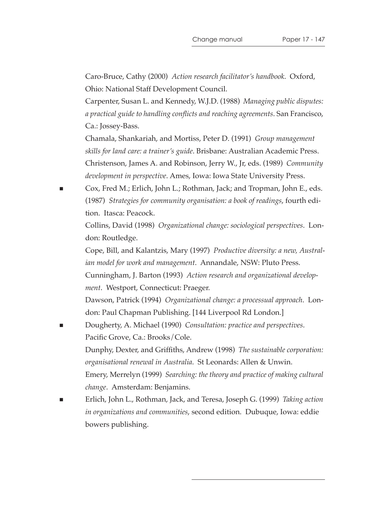Caro-Bruce, Cathy (2000) *Action research facilitator's handbook*. Oxford, Ohio: National Staff Development Council.

Carpenter, Susan L. and Kennedy, W.J.D. (1988) *Managing public disputes: a practical guide to handling conflicts and reaching agreements*. San Francisco, Ca.: Jossey-Bass.

Chamala, Shankariah, and Mortiss, Peter D. (1991) *Group management skills for land care: a trainer's guide*. Brisbane: Australian Academic Press. Christenson, James A. and Robinson, Jerry W., Jr, eds. (1989) *Community development in perspective*. Ames, Iowa: Iowa State University Press.

 Cox, Fred M.; Erlich, John L.; Rothman, Jack; and Tropman, John E., eds. (1987) *Strategies for community organisation: a book of readings*, fourth edition. Itasca: Peacock.

Collins, David (1998) *Organizational change: sociological perspectives*. London: Routledge.

Cope, Bill, and Kalantzis, Mary (1997) *Productive diversity: a new, Australian model for work and management*. Annandale, NSW: Pluto Press.

Cunningham, J. Barton (1993) *Action research and organizational development*. Westport, Connecticut: Praeger.

Dawson, Patrick (1994) *Organizational change: a processual approach*. London: Paul Chapman Publishing. [144 Liverpool Rd London.]

- Dougherty, A. Michael (1990) *Consultation: practice and perspectives*. Pacific Grove, Ca.: Brooks/Cole. Dunphy, Dexter, and Griffiths, Andrew (1998) *The sustainable corporation: organisational renewal in Australia*. St Leonards: Allen & Unwin. Emery, Merrelyn (1999) *Searching: the theory and practice of making cultural change*. Amsterdam: Benjamins.
- Erlich, John L., Rothman, Jack, and Teresa, Joseph G. (1999) *Taking action in organizations and communities*, second edition. Dubuque, Iowa: eddie bowers publishing.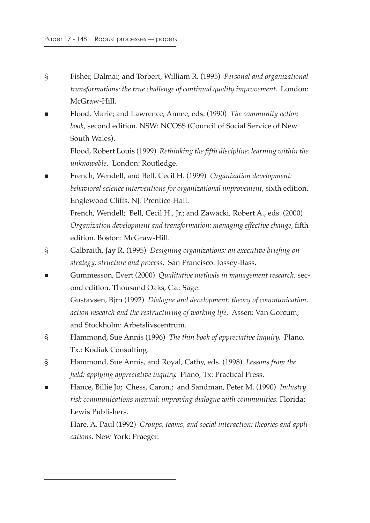- § Fisher, Dalmar, and Torbert, William R. (1995) *Personal and organizational transformations: the true challenge of continual quality improvement*. London: McGraw-Hill.
- Flood, Marie; and Lawrence, Annee, eds. (1990) *The community action book*, second edition. NSW: NCOSS (Council of Social Service of New South Wales).

Flood, Robert Louis (1999) *Rethinking the fifth discipline: learning within the unknowable*. London: Routledge.

 French, Wendell, and Bell, Cecil H. (1999) *Organization development: behavioral science interventions for organizational improvement*, sixth edition. Englewood Cliffs, NJ: Prentice-Hall. French, Wendell; Bell, Cecil H., Jr.; and Zawacki, Robert A., eds. (2000)

*Organization development and transformation: managing effective change*, fifth edition. Boston: McGraw-Hill.

- § Galbraith, Jay R. (1995) *Designing organizations: an executive briefing on strategy, structure and process*. San Francisco: Jossey-Bass.
- Gummesson, Evert (2000) *Qualitative methods in management research*, second edition. Thousand Oaks, Ca.: Sage. Gustavsen, Bjrn (1992) *Dialogue and development: theory of communication, action research and the restructuring of working life*. Assen: Van Gorcum; and Stockholm: Arbetslivscentrum.
- § Hammond, Sue Annis (1996) *The thin book of appreciative inquiry*. Plano, Tx.: Kodiak Consulting.
- § Hammond, Sue Annis, and Royal, Cathy, eds. (1998) *Lessons from the field: applying appreciative inquiry*. Plano, Tx: Practical Press.
- Hance, Billie Jo; Chess, Caron.; and Sandman, Peter M. (1990) *Industry risk communications manual: improving dialogue with communities*. Florida: Lewis Publishers.

Hare, A. Paul (1992) *Groups, teams, and social interaction: theories and applications*. New York: Praeger.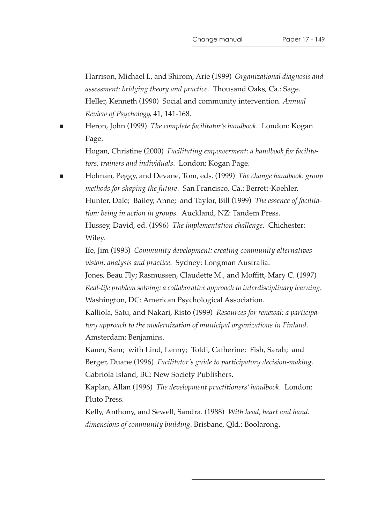Harrison, Michael I., and Shirom, Arie (1999) *Organizational diagnosis and assessment: bridging theory and practice*. Thousand Oaks, Ca.: Sage. Heller, Kenneth (1990) Social and community intervention. *Annual Review of Psychology*, 41, 141-168.

 Heron, John (1999) *The complete facilitator's handbook*. London: Kogan Page.

> Hogan, Christine (2000) *Facilitating empowerment: a handbook for facilitators, trainers and individuals*. London: Kogan Page.

 Holman, Peggy, and Devane, Tom, eds. (1999) *The change handbook: group methods for shaping the future*. San Francisco, Ca.: Berrett-Koehler. Hunter, Dale; Bailey, Anne; and Taylor, Bill (1999) *The essence of facilitation: being in action in groups*. Auckland, NZ: Tandem Press. Hussey, David, ed. (1996) *The implementation challenge*. Chichester: Wiley.

Ife, Jim (1995) *Community development: creating community alternatives vision, analysis and practice*. Sydney: Longman Australia.

Jones, Beau Fly; Rasmussen, Claudette M., and Moffitt, Mary C. (1997) *Real-life problem solving: a collaborative approach to interdisciplinary learning*. Washington, DC: American Psychological Association.

Kalliola, Satu, and Nakari, Risto (1999) *Resources for renewal: a participatory approach to the modernization of municipal organizations in Finland*. Amsterdam: Benjamins.

Kaner, Sam; with Lind, Lenny; Toldi, Catherine; Fish, Sarah; and Berger, Duane (1996) *Facilitator's guide to participatory decision-making*. Gabriola Island, BC: New Society Publishers.

Kaplan, Allan (1996) *The development practitioners' handbook*. London: Pluto Press.

Kelly, Anthony, and Sewell, Sandra. (1988) *With head, heart and hand: dimensions of community building*. Brisbane, Qld.: Boolarong.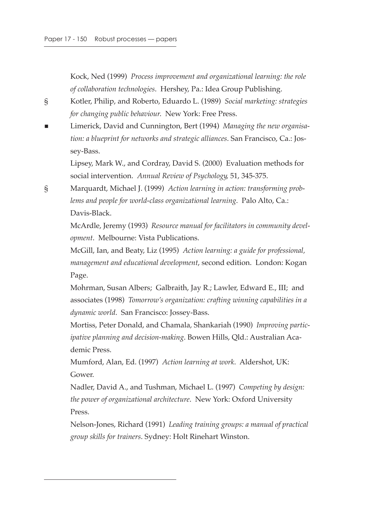Kock, Ned (1999) *Process improvement and organizational learning: the role of collaboration technologies*. Hershey, Pa.: Idea Group Publishing.

- § Kotler, Philip, and Roberto, Eduardo L. (1989) *Social marketing: strategies for changing public behaviour*. New York: Free Press.
- Limerick, David and Cunnington, Bert (1994) *Managing the new organisation: a blueprint for networks and strategic alliances*. San Francisco, Ca.: Jossey-Bass.

Lipsey, Mark W., and Cordray, David S. (2000) Evaluation methods for social intervention. *Annual Review of Psychology*, 51, 345-375.

§ Marquardt, Michael J. (1999) *Action learning in action: transforming problems and people for world-class organizational learning*. Palo Alto, Ca.: Davis-Black.

McArdle, Jeremy (1993) *Resource manual for facilitators in community development*. Melbourne: Vista Publications.

McGill, Ian, and Beaty, Liz (1995) *Action learning: a guide for professional, management and educational development*, second edition. London: Kogan Page.

Mohrman, Susan Albers; Galbraith, Jay R.; Lawler, Edward E., III; and associates (1998) *Tomorrow's organization: crafting winning capabilities in a dynamic world*. San Francisco: Jossey-Bass.

Mortiss, Peter Donald, and Chamala, Shankariah (1990) *Improving participative planning and decision-making*. Bowen Hills, Qld.: Australian Academic Press.

Mumford, Alan, Ed. (1997) *Action learning at work*. Aldershot, UK: Gower.

Nadler, David A., and Tushman, Michael L. (1997) *Competing by design: the power of organizational architecture*. New York: Oxford University Press.

Nelson-Jones, Richard (1991) *Leading training groups: a manual of practical group skills for trainers*. Sydney: Holt Rinehart Winston.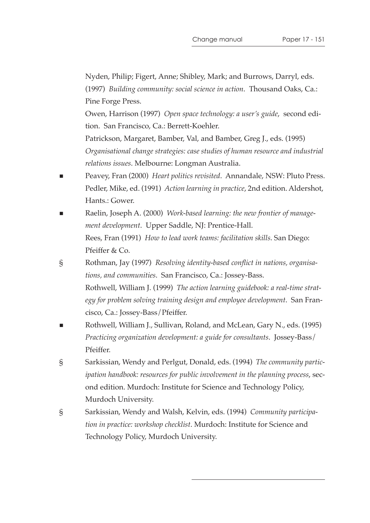Nyden, Philip; Figert, Anne; Shibley, Mark; and Burrows, Darryl, eds. (1997) *Building community: social science in action*. Thousand Oaks, Ca.: Pine Forge Press. Owen, Harrison (1997) *Open space technology: a user's guide*, second edition. San Francisco, Ca.: Berrett-Koehler. Patrickson, Margaret, Bamber, Val, and Bamber, Greg J., eds. (1995) *Organisational change strategies: case studies of human resource and industrial relations issues*. Melbourne: Longman Australia.

- Peavey, Fran (2000) *Heart politics revisited*. Annandale, NSW: Pluto Press. Pedler, Mike, ed. (1991) *Action learning in practice*, 2nd edition. Aldershot, Hants.: Gower.
- Raelin, Joseph A. (2000) *Work-based learning: the new frontier of management development*. Upper Saddle, NJ: Prentice-Hall. Rees, Fran (1991) *How to lead work teams: facilitation skills*. San Diego: Pfeiffer & Co.
- § Rothman, Jay (1997) *Resolving identity-based conflict in nations, organisations, and communities*. San Francisco, Ca.: Jossey-Bass. Rothwell, William J. (1999) *The action learning guidebook: a real-time strategy for problem solving training design and employee development*. San Francisco, Ca.: Jossey-Bass/Pfeiffer.
- Rothwell, William J., Sullivan, Roland, and McLean, Gary N., eds. (1995) *Practicing organization development: a guide for consultants*. Jossey-Bass/ Pfeiffer.
- § Sarkissian, Wendy and Perlgut, Donald, eds. (1994) *The community participation handbook: resources for public involvement in the planning process*, second edition. Murdoch: Institute for Science and Technology Policy, Murdoch University.
- § Sarkissian, Wendy and Walsh, Kelvin, eds. (1994) *Community participation in practice: workshop checklist*. Murdoch: Institute for Science and Technology Policy, Murdoch University.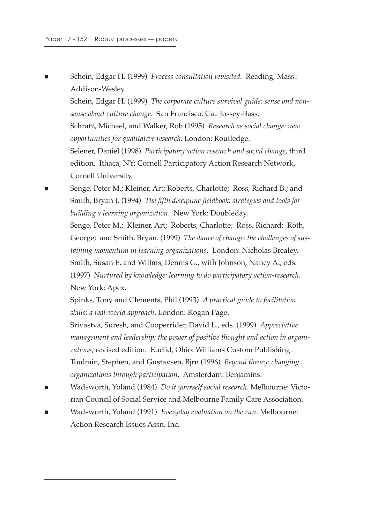Schein, Edgar H. (1999) *Process consultation revisited*. Reading, Mass.: Addison-Wesley.

Schein, Edgar H. (1999) *The corporate culture survival guide: sense and nonsense about culture change*. San Francisco, Ca.: Jossey-Bass. Schratz, Michael, and Walker, Rob (1995) *Research as social change: new opportunities for qualitative research*. London: Routledge. Selener, Daniel (1998) *Participatory action research and social change*, third edition. Ithaca, NY: Cornell Participatory Action Research Network, Cornell University.

 Senge, Peter M.; Kleiner, Art; Roberts, Charlotte; Ross, Richard B.; and Smith, Bryan J. (1994) *The fifth discipline fieldbook: strategies and tools for building a learning organization*. New York: Doubleday. Senge, Peter M.; Kleiner, Art; Roberts, Charlotte; Ross, Richard; Roth, George; and Smith, Bryan. (1999) *The dance of change: the challenges of sustaining momentum in learning organizations*. London: Nicholas Brealey. Smith, Susan E. and Willms, Dennis G., with Johnson, Nancy A., eds. (1997) *Nurtured by knowledge: learning to do participatory action-research*. New York: Apex.

Spinks, Tony and Clements, Phil (1993) *A practical guide to facilitation skills: a real-world approach*. London: Kogan Page.

Srivastva, Suresh, and Cooperrider, David L., eds. (1999) *Appreciative management and leadership: the power of positive thought and action in organizations*, revised edition. Euclid, Ohio: Williams Custom Publishing. Toulmin, Stephen, and Gustavsen, Bjrn (1996) *Beyond theory: changing organizations through participation*. Amsterdam: Benjamins.

- Wadsworth, Yoland (1984) *Do it yourself social research*. Melbourne: Victorian Council of Social Service and Melbourne Family Care Association.
- Wadsworth, Yoland (1991) *Everyday evaluation on the run*. Melbourne: Action Research Issues Assn. Inc.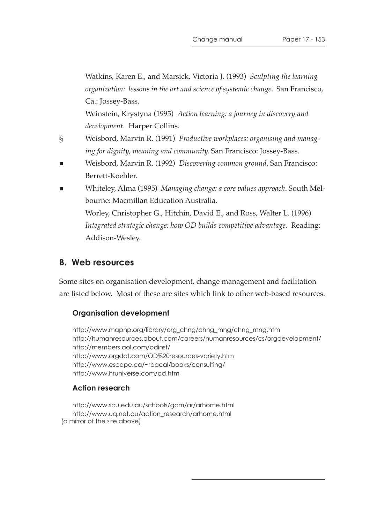Watkins, Karen E., and Marsick, Victoria J. (1993) *Sculpting the learning organization: lessons in the art and science of systemic change*. San Francisco, Ca.: Jossey-Bass.

Weinstein, Krystyna (1995) *Action learning: a journey in discovery and development*. Harper Collins.

- § Weisbord, Marvin R. (1991) *Productive workplaces: organising and managing for dignity, meaning and community*. San Francisco: Jossey-Bass.
- Weisbord, Marvin R. (1992) *Discovering common ground*. San Francisco: Berrett-Koehler.
- Whiteley, Alma (1995) *Managing change: a core values approach*. South Melbourne: Macmillan Education Australia. Worley, Christopher G., Hitchin, David E., and Ross, Walter L. (1996) *Integrated strategic change: how OD builds competitive advantage*. Reading: Addison-Wesley.

## **B. Web resources**

Some sites on organisation development, change management and facilitation are listed below. Most of these are sites which link to other web-based resources.

#### **Organisation development**

http://www.mapnp.org/library/org\_chng/chng\_mng/chng\_mng.htm http://humanresources.about.com/careers/humanresources/cs/orgdevelopment/ http://members.aol.com/odinst/ http://www.orgdct.com/OD%20resources-variety.htm http://www.escape.ca/~rbacal/books/consulting/ http://www.hruniverse.com/od.htm

#### **Action research**

http://www.scu.edu.au/schools/gcm/ar/arhome.html http://www.uq.net.au/action\_research/arhome.html (a mirror of the site above)